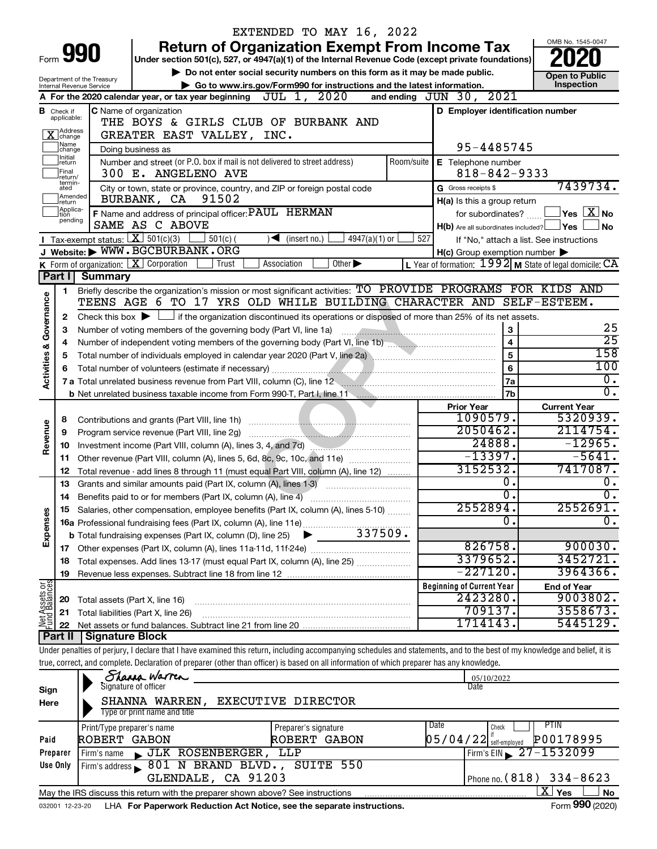|                         |                               |                                                        |                                                                                                 | EXTENDED TO MAY 16, 2022                                                                                                                                                                                                       |                  |                                                             |     |                                                |
|-------------------------|-------------------------------|--------------------------------------------------------|-------------------------------------------------------------------------------------------------|--------------------------------------------------------------------------------------------------------------------------------------------------------------------------------------------------------------------------------|------------------|-------------------------------------------------------------|-----|------------------------------------------------|
|                         |                               |                                                        |                                                                                                 | <b>Return of Organization Exempt From Income Tax</b>                                                                                                                                                                           |                  |                                                             |     | OMB No. 1545-0047                              |
|                         |                               | Form 990                                               |                                                                                                 | Under section 501(c), 527, or 4947(a)(1) of the Internal Revenue Code (except private foundations)                                                                                                                             |                  |                                                             |     |                                                |
|                         |                               |                                                        |                                                                                                 | Do not enter social security numbers on this form as it may be made public.                                                                                                                                                    |                  |                                                             |     | <b>Open to Public</b>                          |
|                         |                               | Department of the Treasury<br>Internal Revenue Service |                                                                                                 | Go to www.irs.gov/Form990 for instructions and the latest information.                                                                                                                                                         |                  |                                                             |     | Inspection                                     |
|                         |                               |                                                        | A For the 2020 calendar year, or tax year beginning                                             | JUL 1, 2020                                                                                                                                                                                                                    |                  | 2021<br>and ending $JUN$ 30,                                |     |                                                |
|                         |                               |                                                        | <b>C</b> Name of organization                                                                   |                                                                                                                                                                                                                                |                  | D Employer identification number                            |     |                                                |
|                         | <b>B</b> Check if applicable: |                                                        |                                                                                                 |                                                                                                                                                                                                                                |                  |                                                             |     |                                                |
|                         | X Address                     |                                                        | THE BOYS & GIRLS CLUB OF BURBANK AND<br>GREATER EAST VALLEY, INC.                               |                                                                                                                                                                                                                                |                  |                                                             |     |                                                |
|                         | ]Name<br>]change              |                                                        | Doing business as                                                                               |                                                                                                                                                                                                                                |                  | 95-4485745                                                  |     |                                                |
|                         | Initial<br>∣return            |                                                        | Number and street (or P.O. box if mail is not delivered to street address)                      |                                                                                                                                                                                                                                | Room/suite       | E Telephone number                                          |     |                                                |
|                         | Final<br>return/              | $818 - 842 - 9333$                                     |                                                                                                 |                                                                                                                                                                                                                                |                  |                                                             |     |                                                |
|                         | termin-<br>ated               |                                                        | 300 E. ANGELENO AVE<br>City or town, state or province, country, and ZIP or foreign postal code |                                                                                                                                                                                                                                |                  | G Gross receipts \$                                         |     | 7439734.                                       |
|                         | Amended<br>Ireturn            |                                                        | 91502<br>BURBANK, CA                                                                            |                                                                                                                                                                                                                                |                  | H(a) Is this a group return                                 |     |                                                |
|                         | Applica-<br>tion              |                                                        | F Name and address of principal officer: PAUL HERMAN                                            |                                                                                                                                                                                                                                |                  | for subordinates?                                           |     | $\vert$ Yes $\vert$ $\rm X$ $\vert$ No $\vert$ |
|                         | pending                       |                                                        | SAME AS C ABOVE                                                                                 |                                                                                                                                                                                                                                |                  | H(b) Are all subordinates included? Ves                     |     | l No                                           |
|                         |                               |                                                        | Tax-exempt status: $X \over 301(c)(3)$<br>$501(c)$ (                                            | $\sqrt{\frac{1}{1}}$ (insert no.)<br>$4947(a)(1)$ or                                                                                                                                                                           | 527              |                                                             |     | If "No," attach a list. See instructions       |
|                         |                               |                                                        | J Website: WWW.BGCBURBANK.ORG                                                                   |                                                                                                                                                                                                                                |                  | $H(c)$ Group exemption number $\blacktriangleright$         |     |                                                |
|                         |                               |                                                        | K Form of organization:   X Corporation<br>Trust                                                | Other $\blacktriangleright$<br>Association                                                                                                                                                                                     |                  | L Year of formation: $1992$ M State of legal domicile: $CA$ |     |                                                |
|                         | Part I                        | <b>Summary</b>                                         |                                                                                                 |                                                                                                                                                                                                                                |                  |                                                             |     |                                                |
|                         | 1                             |                                                        |                                                                                                 | Briefly describe the organization's mission or most significant activities: TO PROVIDE PROGRAMS FOR KIDS AND                                                                                                                   |                  |                                                             |     |                                                |
|                         |                               |                                                        |                                                                                                 | TEENS AGE 6 TO 17 YRS OLD WHILE BUILDING CHARACTER AND SELF-ESTEEM.                                                                                                                                                            |                  |                                                             |     |                                                |
| Governance              | 2                             |                                                        |                                                                                                 | Check this box $\blacktriangleright$ $\Box$ if the organization discontinued its operations or disposed of more than 25% of its net assets.                                                                                    |                  |                                                             |     |                                                |
|                         | З                             |                                                        | Number of voting members of the governing body (Part VI, line 1a)                               |                                                                                                                                                                                                                                |                  | 3                                                           |     | 25                                             |
|                         |                               |                                                        |                                                                                                 |                                                                                                                                                                                                                                |                  | $\overline{\mathbf{4}}$                                     |     | $\overline{25}$                                |
| <b>Activities &amp;</b> | 4                             |                                                        |                                                                                                 | Total number of individuals employed in calendar year 2020 (Part V, line 2a) \\min \\min \\min \\min \\min \\min \\min \\min \\min \\min \\min \\min \\min \\min \\min \\min \\min \\min \\min \\min \\min \\min \\min \\min \ |                  | 5                                                           |     | 158                                            |
|                         | 5                             |                                                        | Total number of volunteers (estimate if necessary)                                              |                                                                                                                                                                                                                                | $6\phantom{1}6$  |                                                             | 100 |                                                |
|                         | 6                             |                                                        | 7a                                                                                              |                                                                                                                                                                                                                                | $\overline{0}$ . |                                                             |     |                                                |
|                         |                               |                                                        |                                                                                                 | 7 a Total unrelated business revenue from Part VIII, column (C), line 12 <b>Column Constant Constant Constant Constant</b>                                                                                                     |                  | <b>7b</b>                                                   |     | σ.                                             |
|                         |                               |                                                        |                                                                                                 |                                                                                                                                                                                                                                |                  | <b>Prior Year</b>                                           |     | <b>Current Year</b>                            |
|                         |                               |                                                        |                                                                                                 |                                                                                                                                                                                                                                |                  | 1090579.                                                    |     | 5320939.                                       |
| Revenue                 | 8<br>9                        |                                                        | Program service revenue (Part VIII, line 2g)                                                    |                                                                                                                                                                                                                                |                  | 2050462.                                                    |     | 2114754.                                       |
|                         |                               |                                                        |                                                                                                 |                                                                                                                                                                                                                                |                  | 24888.                                                      |     | $-12965.$                                      |
|                         | 10                            |                                                        | Investment income (Part VIII, column (A), lines 3, 4, and 7d)                                   | $-13397.$                                                                                                                                                                                                                      |                  | $-5641.$                                                    |     |                                                |
|                         | 11                            |                                                        |                                                                                                 | Other revenue (Part VIII, column (A), lines 5, 6d, 8c, 9c, 10c, and 11e)                                                                                                                                                       |                  | 3152532.                                                    |     | 7417087.                                       |
|                         | 12                            |                                                        |                                                                                                 | Total revenue - add lines 8 through 11 (must equal Part VIII, column (A), line 12)                                                                                                                                             |                  | 0.                                                          |     | Ο.                                             |
|                         | 13                            |                                                        | Grants and similar amounts paid (Part IX, column (A), lines 1-3)                                |                                                                                                                                                                                                                                |                  | $\overline{0}$ .                                            |     | $\overline{0}$ .                               |
|                         |                               |                                                        | 14 Benefits paid to or for members (Part IX, column (A), line 4)                                | 15 Salaries, other compensation, employee benefits (Part IX, column (A), lines 5-10)                                                                                                                                           |                  | 2552894.                                                    |     | 2552691.                                       |
|                         |                               |                                                        |                                                                                                 |                                                                                                                                                                                                                                |                  | $\overline{0}$                                              |     | $\overline{0}$ .                               |
| Expenses                |                               |                                                        |                                                                                                 |                                                                                                                                                                                                                                |                  |                                                             |     |                                                |
|                         |                               |                                                        |                                                                                                 |                                                                                                                                                                                                                                |                  | 826758.                                                     |     | 900030.                                        |
|                         |                               |                                                        |                                                                                                 |                                                                                                                                                                                                                                |                  | 3379652.                                                    |     | 3452721.                                       |
|                         | 18                            |                                                        |                                                                                                 | Total expenses. Add lines 13-17 (must equal Part IX, column (A), line 25) <i></i>                                                                                                                                              |                  | $-227120$ .                                                 |     | 3964366.                                       |
|                         | 19                            |                                                        |                                                                                                 |                                                                                                                                                                                                                                |                  | <b>Beginning of Current Year</b>                            |     |                                                |
| Net Assets or           |                               |                                                        |                                                                                                 |                                                                                                                                                                                                                                |                  | 2423280.                                                    |     | <b>End of Year</b><br>9003802.                 |
|                         | 20                            |                                                        | Total assets (Part X, line 16)                                                                  |                                                                                                                                                                                                                                |                  | 709137.                                                     |     | 3558673.                                       |
|                         | 21                            |                                                        | Total liabilities (Part X, line 26)                                                             |                                                                                                                                                                                                                                |                  | 1714143.                                                    |     | 5445129.                                       |
|                         | 22<br>Part II                 | <b>Signature Block</b>                                 |                                                                                                 |                                                                                                                                                                                                                                |                  |                                                             |     |                                                |
|                         |                               |                                                        |                                                                                                 | Under penalties of perjury, I declare that I have examined this return, including accompanying schedules and statements, and to the best of my knowledge and belief, it is                                                     |                  |                                                             |     |                                                |
|                         |                               |                                                        |                                                                                                 | true, correct, and complete. Declaration of preparer (other than officer) is based on all information of which preparer has any knowledge.                                                                                     |                  |                                                             |     |                                                |
|                         |                               |                                                        | Sharra Warren                                                                                   |                                                                                                                                                                                                                                |                  |                                                             |     |                                                |
|                         |                               |                                                        | Signature of officer                                                                            |                                                                                                                                                                                                                                |                  | 05/10/2022<br>Date                                          |     |                                                |
| Sign                    |                               |                                                        | SHANNA WARREN,                                                                                  | EXECUTIVE DIRECTOR                                                                                                                                                                                                             |                  |                                                             |     |                                                |
| Here                    |                               |                                                        | Type or print name and title                                                                    |                                                                                                                                                                                                                                |                  |                                                             |     |                                                |
|                         |                               |                                                        |                                                                                                 |                                                                                                                                                                                                                                |                  | Date<br>Check                                               |     | <b>PTIN</b>                                    |
| Paid                    |                               | Print/Type preparer's name<br>ROBERT GABON             |                                                                                                 | Preparer's signature<br>ROBERT GABON                                                                                                                                                                                           |                  | $05/04/22$ self-employed                                    |     | P00178995                                      |
|                         | Preparer                      |                                                        | JLK ROSENBERGER,                                                                                | LLP                                                                                                                                                                                                                            |                  |                                                             |     | Firm's EIN 27-1532099                          |
|                         | Use Only                      | Firm's name                                            | Firm's address 801 N BRAND BLVD., SUITE 550                                                     |                                                                                                                                                                                                                                |                  |                                                             |     |                                                |
|                         |                               |                                                        | GLENDALE, CA 91203                                                                              |                                                                                                                                                                                                                                |                  |                                                             |     | Phone no. (818) 334-8623                       |
|                         |                               |                                                        |                                                                                                 |                                                                                                                                                                                                                                |                  |                                                             |     | $\overline{\mathrm{X}}$ Yes                    |
|                         |                               |                                                        | May the IRS discuss this return with the preparer shown above? See instructions                 |                                                                                                                                                                                                                                |                  |                                                             |     | No                                             |

032001 12-23-20 LHA **For Paperwork Reduction Act Notice, see the separate instructions.** Form 990 (2020)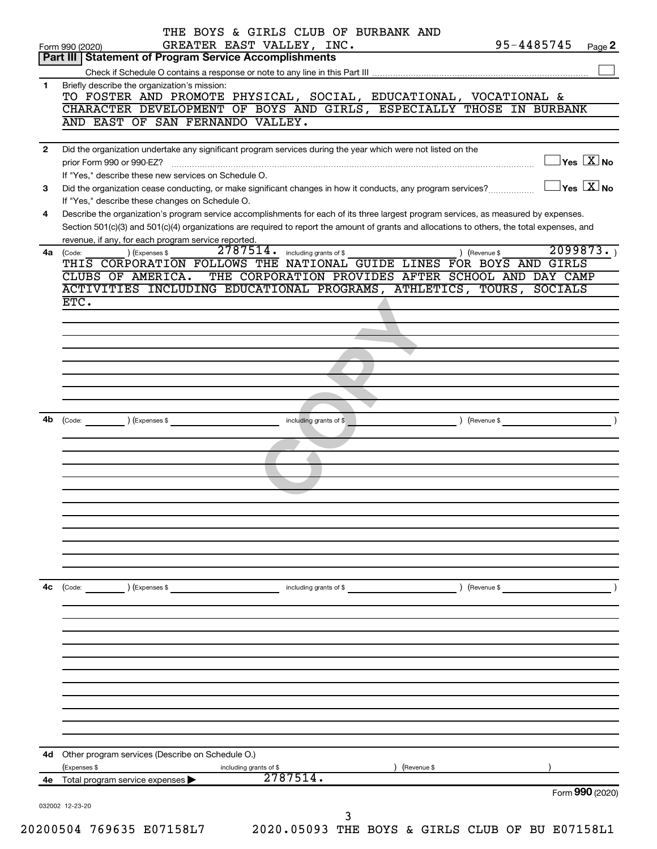|              | THE BOYS & GIRLS CLUB OF BURBANK AND<br>GREATER EAST VALLEY, INC.<br>95-4485745<br>Page 2<br>Form 990 (2020)                                                                                                    |
|--------------|-----------------------------------------------------------------------------------------------------------------------------------------------------------------------------------------------------------------|
|              | Part III   Statement of Program Service Accomplishments                                                                                                                                                         |
|              |                                                                                                                                                                                                                 |
| 1            | Briefly describe the organization's mission:                                                                                                                                                                    |
|              | TO FOSTER AND PROMOTE PHYSICAL, SOCIAL, EDUCATIONAL, VOCATIONAL &<br>CHARACTER DEVELOPMENT OF BOYS AND GIRLS, ESPECIALLY THOSE IN BURBANK                                                                       |
|              | AND EAST OF SAN FERNANDO VALLEY.                                                                                                                                                                                |
|              |                                                                                                                                                                                                                 |
| $\mathbf{2}$ | Did the organization undertake any significant program services during the year which were not listed on the<br>$\Box$ Yes $[\overline{\mathrm{X}}]$ No                                                         |
| 3            | If "Yes," describe these new services on Schedule O.<br>$\Box$ Yes $[\overline{\mathrm{X}}]$ No<br>Did the organization cease conducting, or make significant changes in how it conducts, any program services? |
| 4            | If "Yes," describe these changes on Schedule O.<br>Describe the organization's program service accomplishments for each of its three largest program services, as measured by expenses.                         |
|              | Section 501(c)(3) and 501(c)(4) organizations are required to report the amount of grants and allocations to others, the total expenses, and<br>revenue, if any, for each program service reported.             |
|              | 2099873.<br>$2787514$ $\cdot$ including grants of \$<br>) (Expenses \$<br>4a (Code:<br>) (Revenue \$                                                                                                            |
|              | THIS CORPORATION FOLLOWS THE NATIONAL GUIDE LINES FOR BOYS AND GIRLS                                                                                                                                            |
|              | THE CORPORATION PROVIDES AFTER SCHOOL AND DAY CAMP<br>CLUBS OF AMERICA.                                                                                                                                         |
|              | ACTIVITIES INCLUDING EDUCATIONAL PROGRAMS, ATHLETICS, TOURS, SOCIALS                                                                                                                                            |
|              | ETC.                                                                                                                                                                                                            |
|              |                                                                                                                                                                                                                 |
|              |                                                                                                                                                                                                                 |
|              |                                                                                                                                                                                                                 |
|              |                                                                                                                                                                                                                 |
|              |                                                                                                                                                                                                                 |
|              |                                                                                                                                                                                                                 |
|              |                                                                                                                                                                                                                 |
| 4b           | (Expenses \$<br>including grants of \$<br>(Revenue \$<br>(Code:                                                                                                                                                 |
|              |                                                                                                                                                                                                                 |
|              |                                                                                                                                                                                                                 |
|              |                                                                                                                                                                                                                 |
|              |                                                                                                                                                                                                                 |
|              |                                                                                                                                                                                                                 |
|              |                                                                                                                                                                                                                 |
|              |                                                                                                                                                                                                                 |
|              |                                                                                                                                                                                                                 |
|              |                                                                                                                                                                                                                 |
|              |                                                                                                                                                                                                                 |
|              |                                                                                                                                                                                                                 |
| 4c           | (Code:<br>(Expenses \$<br>(Revenue \$<br>including grants of \$                                                                                                                                                 |
|              |                                                                                                                                                                                                                 |
|              |                                                                                                                                                                                                                 |
|              |                                                                                                                                                                                                                 |
|              |                                                                                                                                                                                                                 |
|              |                                                                                                                                                                                                                 |
|              |                                                                                                                                                                                                                 |
|              |                                                                                                                                                                                                                 |
|              |                                                                                                                                                                                                                 |
|              |                                                                                                                                                                                                                 |
|              |                                                                                                                                                                                                                 |
|              |                                                                                                                                                                                                                 |
|              |                                                                                                                                                                                                                 |
| 4d           | Other program services (Describe on Schedule O.)                                                                                                                                                                |
|              | (Revenue \$<br>(Expenses \$<br>including grants of \$                                                                                                                                                           |
| 4е           | 2787514.<br>Total program service expenses<br>Form 990 (2020)                                                                                                                                                   |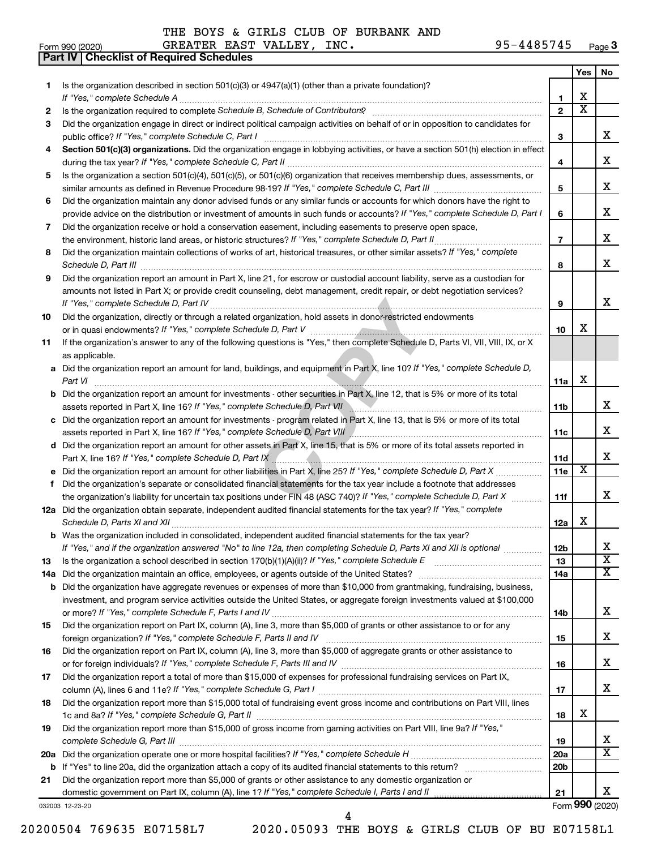**Part IV Checklist of Required Schedules**

| Form 990 (2020) | GREATER EAST VALLEY,<br>INC. | 95-4485745<br>Page 3 |
|-----------------|------------------------------|----------------------|
|-----------------|------------------------------|----------------------|

|     |                                                                                                                                                                                                                                                |                 | Yes                     | No                      |
|-----|------------------------------------------------------------------------------------------------------------------------------------------------------------------------------------------------------------------------------------------------|-----------------|-------------------------|-------------------------|
| 1   | Is the organization described in section $501(c)(3)$ or $4947(a)(1)$ (other than a private foundation)?                                                                                                                                        |                 |                         |                         |
|     | If "Yes," complete Schedule A                                                                                                                                                                                                                  | 1               | x                       |                         |
| 2   |                                                                                                                                                                                                                                                | $\overline{2}$  | $\overline{\textbf{X}}$ |                         |
| 3   | Did the organization engage in direct or indirect political campaign activities on behalf of or in opposition to candidates for                                                                                                                |                 |                         |                         |
|     | public office? If "Yes," complete Schedule C, Part I                                                                                                                                                                                           | 3               |                         | x                       |
| 4   | Section 501(c)(3) organizations. Did the organization engage in lobbying activities, or have a section 501(h) election in effect                                                                                                               |                 |                         | x                       |
|     | Is the organization a section 501(c)(4), 501(c)(5), or 501(c)(6) organization that receives membership dues, assessments, or                                                                                                                   | 4               |                         |                         |
| 5   |                                                                                                                                                                                                                                                | 5               |                         | x                       |
| 6   | Did the organization maintain any donor advised funds or any similar funds or accounts for which donors have the right to                                                                                                                      |                 |                         |                         |
|     | provide advice on the distribution or investment of amounts in such funds or accounts? If "Yes," complete Schedule D, Part I                                                                                                                   | 6               |                         | x                       |
| 7   | Did the organization receive or hold a conservation easement, including easements to preserve open space,                                                                                                                                      |                 |                         |                         |
|     |                                                                                                                                                                                                                                                | $\overline{7}$  |                         | x                       |
| 8   | Did the organization maintain collections of works of art, historical treasures, or other similar assets? If "Yes," complete                                                                                                                   |                 |                         |                         |
|     | Schedule D, Part III <b>Process Construction Construction Construction</b> Construction Construction Construction Construction Construction Construction Construction Construction Construction Construction Construction Construct            | 8               |                         | x                       |
| 9   | Did the organization report an amount in Part X, line 21, for escrow or custodial account liability, serve as a custodian for                                                                                                                  |                 |                         |                         |
|     | amounts not listed in Part X; or provide credit counseling, debt management, credit repair, or debt negotiation services?                                                                                                                      |                 |                         |                         |
|     | If "Yes," complete Schedule D, Part IV.                                                                                                                                                                                                        | 9               |                         | x                       |
| 10  | Did the organization, directly or through a related organization, hold assets in donor-restricted endowments                                                                                                                                   |                 |                         |                         |
|     |                                                                                                                                                                                                                                                | 10              | x                       |                         |
| 11  | If the organization's answer to any of the following questions is "Yes," then complete Schedule D, Parts VI, VII, VIII, IX, or X                                                                                                               |                 |                         |                         |
|     | as applicable.                                                                                                                                                                                                                                 |                 |                         |                         |
|     | a Did the organization report an amount for land, buildings, and equipment in Part X, line 10? If "Yes," complete Schedule D,                                                                                                                  |                 |                         |                         |
|     | Part VI                                                                                                                                                                                                                                        | 11a             | х                       |                         |
|     | <b>b</b> Did the organization report an amount for investments - other securities in Part X, line 12, that is 5% or more of its total                                                                                                          |                 |                         |                         |
|     |                                                                                                                                                                                                                                                | 11 <sub>b</sub> |                         | x                       |
|     | c Did the organization report an amount for investments - program related in Part X, line 13, that is 5% or more of its total<br>assets reported in Part X, line 16? If "Yes," complete Schedule D, Part VIII [[[[[[[[[[[[[[[[[[[[[[[[[[[[[[[[ |                 |                         | x                       |
|     | d Did the organization report an amount for other assets in Part X, line 15, that is 5% or more of its total assets reported in                                                                                                                | 11c             |                         |                         |
|     |                                                                                                                                                                                                                                                | 11d             |                         | x                       |
|     |                                                                                                                                                                                                                                                | 11e             | х                       |                         |
|     | f Did the organization's separate or consolidated financial statements for the tax year include a footnote that addresses                                                                                                                      |                 |                         |                         |
|     | the organization's liability for uncertain tax positions under FIN 48 (ASC 740)? If "Yes," complete Schedule D, Part X                                                                                                                         | 11f             |                         | x                       |
|     | 12a Did the organization obtain separate, independent audited financial statements for the tax year? If "Yes," complete                                                                                                                        |                 |                         |                         |
|     | Schedule D, Parts XI and XII                                                                                                                                                                                                                   | 12a             | x                       |                         |
|     | <b>b</b> Was the organization included in consolidated, independent audited financial statements for the tax year?                                                                                                                             |                 |                         |                         |
|     | If "Yes," and if the organization answered "No" to line 12a, then completing Schedule D, Parts XI and XII is optional www.                                                                                                                     | 12 <sub>b</sub> |                         | Х                       |
| 13  |                                                                                                                                                                                                                                                | 13              |                         | $\overline{\mathbf{X}}$ |
| 14a | Did the organization maintain an office, employees, or agents outside of the United States?                                                                                                                                                    | 14a             |                         | X                       |
| b   | Did the organization have aggregate revenues or expenses of more than \$10,000 from grantmaking, fundraising, business,                                                                                                                        |                 |                         |                         |
|     | investment, and program service activities outside the United States, or aggregate foreign investments valued at \$100,000                                                                                                                     |                 |                         |                         |
|     |                                                                                                                                                                                                                                                | 14b             |                         | х                       |
| 15  | Did the organization report on Part IX, column (A), line 3, more than \$5,000 of grants or other assistance to or for any                                                                                                                      |                 |                         |                         |
|     |                                                                                                                                                                                                                                                | 15              |                         | x                       |
| 16  | Did the organization report on Part IX, column (A), line 3, more than \$5,000 of aggregate grants or other assistance to                                                                                                                       |                 |                         | х                       |
|     |                                                                                                                                                                                                                                                | 16              |                         |                         |
| 17  | Did the organization report a total of more than \$15,000 of expenses for professional fundraising services on Part IX,                                                                                                                        | 17              |                         | X                       |
| 18  | Did the organization report more than \$15,000 total of fundraising event gross income and contributions on Part VIII, lines                                                                                                                   |                 |                         |                         |
|     |                                                                                                                                                                                                                                                | 18              | x                       |                         |
| 19  | Did the organization report more than \$15,000 of gross income from gaming activities on Part VIII, line 9a? If "Yes,"                                                                                                                         |                 |                         |                         |
|     |                                                                                                                                                                                                                                                | 19              |                         | x                       |
|     |                                                                                                                                                                                                                                                | <b>20a</b>      |                         | $\overline{\mathbf{X}}$ |
|     |                                                                                                                                                                                                                                                | 20 <sub>b</sub> |                         |                         |
| 21  | Did the organization report more than \$5,000 of grants or other assistance to any domestic organization or                                                                                                                                    |                 |                         |                         |
|     |                                                                                                                                                                                                                                                | 21              |                         | x                       |
|     | 032003 12-23-20                                                                                                                                                                                                                                |                 |                         | Form 990 (2020)         |

20200504 769635 E07158L7 2020.05093 THE BOYS & GIRLS CLUB OF BU E07158L1

4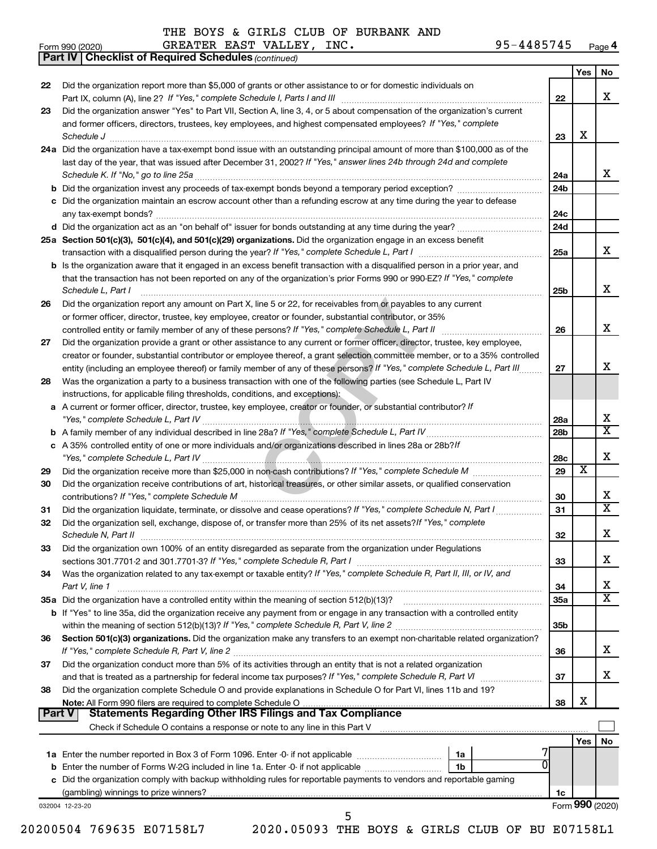*(continued)* **Part IV Checklist of Required Schedules**

THE BOYS & GIRLS CLUB OF BURBANK AND

|        |                                                                                                                                                                                                      |                 | Yes                     | No                           |
|--------|------------------------------------------------------------------------------------------------------------------------------------------------------------------------------------------------------|-----------------|-------------------------|------------------------------|
| 22     | Did the organization report more than \$5,000 of grants or other assistance to or for domestic individuals on                                                                                        |                 |                         |                              |
|        |                                                                                                                                                                                                      | 22              |                         | x                            |
| 23     | Did the organization answer "Yes" to Part VII, Section A, line 3, 4, or 5 about compensation of the organization's current                                                                           |                 |                         |                              |
|        | and former officers, directors, trustees, key employees, and highest compensated employees? If "Yes," complete                                                                                       |                 |                         |                              |
|        | Schedule J <b>Example 2 Contract 2 Contract 2 Contract 2 Contract 2 Contract 2 Contract 2 Contract 2 Contract 2 Contract 2 Contract 2 Contract 2 Contract 2 Contract 2 Contract 2 Contract 2 Con</b> | 23              | X                       |                              |
|        | 24a Did the organization have a tax-exempt bond issue with an outstanding principal amount of more than \$100,000 as of the                                                                          |                 |                         |                              |
|        | last day of the year, that was issued after December 31, 2002? If "Yes," answer lines 24b through 24d and complete                                                                                   |                 |                         |                              |
|        |                                                                                                                                                                                                      | 24a             |                         | x                            |
|        |                                                                                                                                                                                                      | 24b             |                         |                              |
|        | c Did the organization maintain an escrow account other than a refunding escrow at any time during the year to defease                                                                               |                 |                         |                              |
|        |                                                                                                                                                                                                      | 24c             |                         |                              |
|        |                                                                                                                                                                                                      | 24d             |                         |                              |
|        | 25a Section 501(c)(3), 501(c)(4), and 501(c)(29) organizations. Did the organization engage in an excess benefit                                                                                     |                 |                         |                              |
|        |                                                                                                                                                                                                      | 25a             |                         | x                            |
|        | <b>b</b> Is the organization aware that it engaged in an excess benefit transaction with a disqualified person in a prior year, and                                                                  |                 |                         |                              |
|        | that the transaction has not been reported on any of the organization's prior Forms 990 or 990-EZ? If "Yes," complete                                                                                |                 |                         |                              |
|        | Schedule L, Part I                                                                                                                                                                                   | 25b             |                         | x                            |
| 26     | Did the organization report any amount on Part X, line 5 or 22, for receivables from or payables to any current                                                                                      |                 |                         |                              |
|        | or former officer, director, trustee, key employee, creator or founder, substantial contributor, or 35%                                                                                              |                 |                         |                              |
|        |                                                                                                                                                                                                      | 26              |                         | x                            |
| 27     | Did the organization provide a grant or other assistance to any current or former officer, director, trustee, key employee,                                                                          |                 |                         |                              |
|        | creator or founder, substantial contributor or employee thereof, a grant selection committee member, or to a 35% controlled                                                                          |                 |                         |                              |
|        | entity (including an employee thereof) or family member of any of these persons? If "Yes," complete Schedule L, Part III                                                                             | 27              |                         | X                            |
| 28     | Was the organization a party to a business transaction with one of the following parties (see Schedule L, Part IV                                                                                    |                 |                         |                              |
|        | instructions, for applicable filing thresholds, conditions, and exceptions):                                                                                                                         |                 |                         |                              |
|        | a A current or former officer, director, trustee, key employee, creator or founder, or substantial contributor? If                                                                                   |                 |                         |                              |
|        |                                                                                                                                                                                                      | 28a             |                         | х                            |
|        |                                                                                                                                                                                                      | 28 <sub>b</sub> |                         | $\overline{\mathtt{x}}$      |
|        | c A 35% controlled entity of one or more individuals and/or organizations described in lines 28a or 28b?If                                                                                           |                 |                         |                              |
|        |                                                                                                                                                                                                      | 28c             |                         | x                            |
| 29     |                                                                                                                                                                                                      | 29              | $\overline{\mathbf{X}}$ |                              |
| 30     | Did the organization receive contributions of art, historical treasures, or other similar assets, or qualified conservation                                                                          |                 |                         |                              |
|        |                                                                                                                                                                                                      | 30              |                         | x<br>$\overline{\mathtt{x}}$ |
| 31     | Did the organization liquidate, terminate, or dissolve and cease operations? If "Yes," complete Schedule N, Part I                                                                                   | 31              |                         |                              |
| 32     | Did the organization sell, exchange, dispose of, or transfer more than 25% of its net assets? If "Yes," complete                                                                                     |                 |                         |                              |
|        |                                                                                                                                                                                                      | 32              |                         | x                            |
| 33     | Did the organization own 100% of an entity disregarded as separate from the organization under Regulations                                                                                           |                 |                         | х                            |
|        |                                                                                                                                                                                                      | 33              |                         |                              |
| 34     | Was the organization related to any tax-exempt or taxable entity? If "Yes," complete Schedule R, Part II, III, or IV, and                                                                            |                 |                         |                              |
|        | Part V, line 1                                                                                                                                                                                       | 34              |                         | x<br>$\overline{\texttt{x}}$ |
|        |                                                                                                                                                                                                      | 35a             |                         |                              |
|        | b If "Yes" to line 35a, did the organization receive any payment from or engage in any transaction with a controlled entity                                                                          |                 |                         |                              |
|        | Section 501(c)(3) organizations. Did the organization make any transfers to an exempt non-charitable related organization?                                                                           | 35 <sub>b</sub> |                         |                              |
| 36     |                                                                                                                                                                                                      |                 |                         | x                            |
|        | Did the organization conduct more than 5% of its activities through an entity that is not a related organization                                                                                     | 36              |                         |                              |
| 37     |                                                                                                                                                                                                      | 37              |                         | x                            |
| 38     | Did the organization complete Schedule O and provide explanations in Schedule O for Part VI, lines 11b and 19?                                                                                       |                 |                         |                              |
|        |                                                                                                                                                                                                      | 38              | X                       |                              |
| Part V |                                                                                                                                                                                                      |                 |                         |                              |
|        |                                                                                                                                                                                                      |                 |                         |                              |
|        |                                                                                                                                                                                                      |                 | Yes                     | No                           |
|        | 1a                                                                                                                                                                                                   |                 |                         |                              |
|        | 0<br>1 <sub>b</sub>                                                                                                                                                                                  |                 |                         |                              |
|        | c Did the organization comply with backup withholding rules for reportable payments to vendors and reportable gaming                                                                                 |                 |                         |                              |
|        |                                                                                                                                                                                                      | 1c              |                         |                              |
|        | 032004 12-23-20                                                                                                                                                                                      |                 |                         | Form 990 (2020)              |
|        | 5                                                                                                                                                                                                    |                 |                         |                              |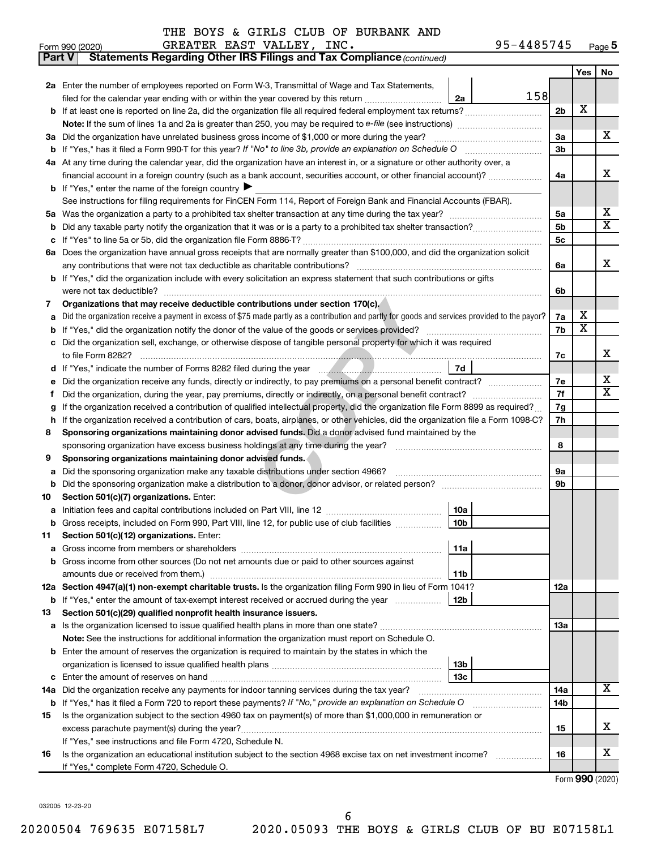|    | Statements Regarding Other IRS Filings and Tax Compliance (continued)<br><b>Part V</b>                                                          |                 |                |                       |                         |  |  |  |  |
|----|-------------------------------------------------------------------------------------------------------------------------------------------------|-----------------|----------------|-----------------------|-------------------------|--|--|--|--|
|    |                                                                                                                                                 |                 |                | Yes                   | No                      |  |  |  |  |
|    | 2a Enter the number of employees reported on Form W-3, Transmittal of Wage and Tax Statements,                                                  |                 |                |                       |                         |  |  |  |  |
|    | filed for the calendar year ending with or within the year covered by this return                                                               | 158<br>2a       |                |                       |                         |  |  |  |  |
|    | b If at least one is reported on line 2a, did the organization file all required federal employment tax returns?                                |                 | 2 <sub>b</sub> | X                     |                         |  |  |  |  |
|    |                                                                                                                                                 |                 |                |                       |                         |  |  |  |  |
|    | 3a Did the organization have unrelated business gross income of \$1,000 or more during the year?                                                |                 |                |                       |                         |  |  |  |  |
|    |                                                                                                                                                 |                 |                |                       |                         |  |  |  |  |
|    | 4a At any time during the calendar year, did the organization have an interest in, or a signature or other authority over, a                    |                 |                |                       |                         |  |  |  |  |
|    | financial account in a foreign country (such as a bank account, securities account, or other financial account)?                                |                 | 4a             |                       | x                       |  |  |  |  |
|    | <b>b</b> If "Yes," enter the name of the foreign country $\blacktriangleright$                                                                  |                 |                |                       |                         |  |  |  |  |
|    | See instructions for filing requirements for FinCEN Form 114, Report of Foreign Bank and Financial Accounts (FBAR).                             |                 |                |                       |                         |  |  |  |  |
|    |                                                                                                                                                 |                 | 5a             |                       | х                       |  |  |  |  |
| b  |                                                                                                                                                 |                 | 5 <sub>b</sub> |                       | $\overline{\textbf{X}}$ |  |  |  |  |
|    |                                                                                                                                                 |                 | <b>5c</b>      |                       |                         |  |  |  |  |
|    | 6a Does the organization have annual gross receipts that are normally greater than \$100,000, and did the organization solicit                  |                 |                |                       |                         |  |  |  |  |
|    |                                                                                                                                                 |                 | 6a             |                       | x                       |  |  |  |  |
|    | b If "Yes," did the organization include with every solicitation an express statement that such contributions or gifts                          |                 |                |                       |                         |  |  |  |  |
|    |                                                                                                                                                 |                 | 6b             |                       |                         |  |  |  |  |
| 7  | Organizations that may receive deductible contributions under section 170(c).                                                                   |                 |                |                       |                         |  |  |  |  |
| a  | Did the organization receive a payment in excess of \$75 made partly as a contribution and partly for goods and services provided to the payor? |                 | 7a             | х                     |                         |  |  |  |  |
|    |                                                                                                                                                 |                 | 7b             | $\overline{\text{X}}$ |                         |  |  |  |  |
|    | c Did the organization sell, exchange, or otherwise dispose of tangible personal property for which it was required                             |                 |                |                       |                         |  |  |  |  |
|    |                                                                                                                                                 |                 | 7c             |                       | х                       |  |  |  |  |
|    |                                                                                                                                                 | 7d              |                |                       |                         |  |  |  |  |
| е  |                                                                                                                                                 |                 | 7e             |                       | x                       |  |  |  |  |
| f. |                                                                                                                                                 |                 |                |                       |                         |  |  |  |  |
|    | If the organization received a contribution of qualified intellectual property, did the organization file Form 8899 as required?                |                 |                |                       |                         |  |  |  |  |
|    | h If the organization received a contribution of cars, boats, airplanes, or other vehicles, did the organization file a Form 1098-C?            |                 | 7g<br>7h       |                       |                         |  |  |  |  |
| 8  | Sponsoring organizations maintaining donor advised funds. Did a donor advised fund maintained by the                                            |                 |                |                       |                         |  |  |  |  |
|    |                                                                                                                                                 |                 | 8              |                       |                         |  |  |  |  |
| 9  | Sponsoring organizations maintaining donor advised funds.                                                                                       |                 |                |                       |                         |  |  |  |  |
| а  | Did the sponsoring organization make any taxable distributions under section 4966?                                                              |                 | 9а             |                       |                         |  |  |  |  |
|    |                                                                                                                                                 |                 | 9b             |                       |                         |  |  |  |  |
| 10 | Section 501(c)(7) organizations. Enter:                                                                                                         |                 |                |                       |                         |  |  |  |  |
|    |                                                                                                                                                 | 10a             |                |                       |                         |  |  |  |  |
|    | b Gross receipts, included on Form 990, Part VIII, line 12, for public use of club facilities                                                   | 10 <sub>b</sub> |                |                       |                         |  |  |  |  |
| 11 | Section 501(c)(12) organizations. Enter:                                                                                                        |                 |                |                       |                         |  |  |  |  |
| а  |                                                                                                                                                 | 11a             |                |                       |                         |  |  |  |  |
|    | b Gross income from other sources (Do not net amounts due or paid to other sources against                                                      |                 |                |                       |                         |  |  |  |  |
|    |                                                                                                                                                 | 11b             |                |                       |                         |  |  |  |  |
|    | 12a Section 4947(a)(1) non-exempt charitable trusts. Is the organization filing Form 990 in lieu of Form 1041?                                  |                 | 12a            |                       |                         |  |  |  |  |
|    | <b>b</b> If "Yes," enter the amount of tax-exempt interest received or accrued during the year                                                  | 12 <sub>b</sub> |                |                       |                         |  |  |  |  |
| 13 | Section 501(c)(29) qualified nonprofit health insurance issuers.                                                                                |                 |                |                       |                         |  |  |  |  |
|    | <b>a</b> Is the organization licensed to issue qualified health plans in more than one state?                                                   |                 | 1За            |                       |                         |  |  |  |  |
|    | Note: See the instructions for additional information the organization must report on Schedule O.                                               |                 |                |                       |                         |  |  |  |  |
|    | <b>b</b> Enter the amount of reserves the organization is required to maintain by the states in which the                                       |                 |                |                       |                         |  |  |  |  |
|    |                                                                                                                                                 | 13b             |                |                       |                         |  |  |  |  |
|    |                                                                                                                                                 | 13c             |                |                       |                         |  |  |  |  |
|    | 14a Did the organization receive any payments for indoor tanning services during the tax year?                                                  |                 | 14a            |                       | x                       |  |  |  |  |
|    | <b>b</b> If "Yes," has it filed a Form 720 to report these payments? If "No," provide an explanation on Schedule O                              |                 | 14b            |                       |                         |  |  |  |  |
| 15 | Is the organization subject to the section 4960 tax on payment(s) of more than \$1,000,000 in remuneration or                                   |                 |                |                       |                         |  |  |  |  |
|    |                                                                                                                                                 |                 | 15             |                       | x.                      |  |  |  |  |
|    | If "Yes," see instructions and file Form 4720, Schedule N.                                                                                      |                 |                |                       |                         |  |  |  |  |
| 16 | Is the organization an educational institution subject to the section 4968 excise tax on net investment income?                                 |                 | 16             |                       | х                       |  |  |  |  |
|    | If "Yes," complete Form 4720, Schedule O.                                                                                                       |                 |                |                       |                         |  |  |  |  |
|    |                                                                                                                                                 |                 |                |                       |                         |  |  |  |  |

Form (2020) **990**

032005 12-23-20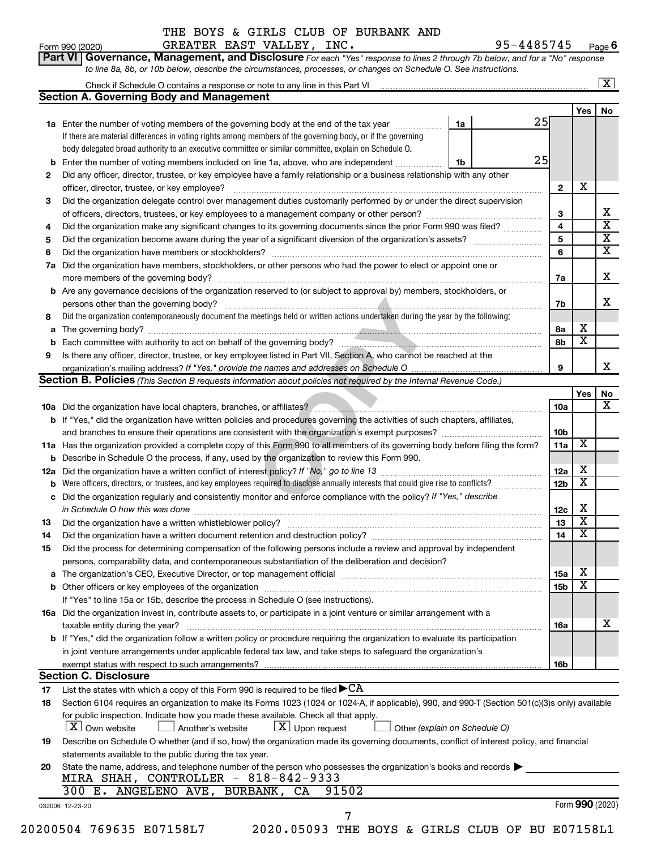#### Form 990 (2020) GREATER EAST VALLEY, INC. 95-4485745 <sub>Page</sub> THE BOYS & GIRLS CLUB OF BURBANK AND

Check if Schedule O contains a response or note to any line in this Part VI

 $\boxed{\text{X}}$ 

| Part VI   Governance, Management, and Disclosure For each "Yes" response to lines 2 through 7b below, and for a "No" response |
|-------------------------------------------------------------------------------------------------------------------------------|
| to line 8a, 8b, or 10b below, describe the circumstances, processes, or changes on Schedule O. See instructions.              |

|     |                                                                                                                                                                                                                                |                               |                 | Yes                     | No                         |
|-----|--------------------------------------------------------------------------------------------------------------------------------------------------------------------------------------------------------------------------------|-------------------------------|-----------------|-------------------------|----------------------------|
|     | <b>1a</b> Enter the number of voting members of the governing body at the end of the tax year                                                                                                                                  | 25<br>1a                      |                 |                         |                            |
|     | If there are material differences in voting rights among members of the governing body, or if the governing                                                                                                                    |                               |                 |                         |                            |
|     | body delegated broad authority to an executive committee or similar committee, explain on Schedule O.                                                                                                                          |                               |                 |                         |                            |
| b   | Enter the number of voting members included on line 1a, above, who are independent                                                                                                                                             | 25<br>1b                      |                 |                         |                            |
| 2   | Did any officer, director, trustee, or key employee have a family relationship or a business relationship with any other                                                                                                       |                               |                 |                         |                            |
|     | officer, director, trustee, or key employee?                                                                                                                                                                                   |                               | $\mathbf{2}$    | х                       |                            |
| 3   | Did the organization delegate control over management duties customarily performed by or under the direct supervision                                                                                                          |                               |                 |                         |                            |
|     |                                                                                                                                                                                                                                |                               | 3               |                         | x<br>$\overline{\text{x}}$ |
| 4   | Did the organization make any significant changes to its governing documents since the prior Form 990 was filed?                                                                                                               |                               | 4               |                         | $\overline{\mathbf{X}}$    |
| 5   |                                                                                                                                                                                                                                |                               | 5               |                         | $\overline{\textbf{x}}$    |
| 6   |                                                                                                                                                                                                                                |                               | 6               |                         |                            |
| 7a  | Did the organization have members, stockholders, or other persons who had the power to elect or appoint one or                                                                                                                 |                               | 7a              |                         | x                          |
| b   | Are any governance decisions of the organization reserved to (or subject to approval by) members, stockholders, or                                                                                                             |                               |                 |                         |                            |
|     |                                                                                                                                                                                                                                |                               | 7b              |                         | x                          |
| 8   | Did the organization contemporaneously document the meetings held or written actions undertaken during the year by the following:                                                                                              |                               |                 |                         |                            |
| a   |                                                                                                                                                                                                                                |                               | 8а              | х                       |                            |
| b   |                                                                                                                                                                                                                                |                               | 8b              | х                       |                            |
| 9   | Is there any officer, director, trustee, or key employee listed in Part VII, Section A, who cannot be reached at the                                                                                                           |                               |                 |                         |                            |
|     |                                                                                                                                                                                                                                |                               | 9               |                         | x                          |
|     | Section B. Policies (This Section B requests information about policies not required by the Internal Revenue Code.)                                                                                                            |                               |                 |                         |                            |
|     |                                                                                                                                                                                                                                |                               |                 | Yes                     | No                         |
|     |                                                                                                                                                                                                                                |                               | 10a             |                         | х                          |
|     | b If "Yes," did the organization have written policies and procedures governing the activities of such chapters, affiliates,                                                                                                   |                               |                 |                         |                            |
|     |                                                                                                                                                                                                                                |                               | 10 <sub>b</sub> |                         |                            |
|     | 11a Has the organization provided a complete copy of this Form 990 to all members of its governing body before filing the form?                                                                                                |                               | 11a             | X                       |                            |
| b   | Describe in Schedule O the process, if any, used by the organization to review this Form 990.                                                                                                                                  |                               |                 |                         |                            |
| 12a |                                                                                                                                                                                                                                |                               | 12a             | х                       |                            |
| b   | Were officers, directors, or trustees, and key employees required to disclose annually interests that could give rise to conflicts?                                                                                            |                               | 12 <sub>b</sub> | X                       |                            |
| с   | Did the organization regularly and consistently monitor and enforce compliance with the policy? If "Yes," describe                                                                                                             |                               |                 |                         |                            |
|     | in Schedule O how this was done [11, 2010] with the contract of the state of the state of the state of the state of the state of the state of the state of the state of the state of the state of the state of the state of th |                               | 12c             | х                       |                            |
| 13  |                                                                                                                                                                                                                                |                               | 13              | X                       |                            |
| 14  | Did the organization have a written document retention and destruction policy? [11] manufaction manufaction in                                                                                                                 |                               | 14              | х                       |                            |
| 15  | Did the process for determining compensation of the following persons include a review and approval by independent                                                                                                             |                               |                 |                         |                            |
|     | persons, comparability data, and contemporaneous substantiation of the deliberation and decision?                                                                                                                              |                               |                 |                         |                            |
|     | The organization's CEO, Executive Director, or top management official [111] [11] manument content of the organization's CEO, Executive Director, or top management official [11] manument content of the original manument of |                               | 15a             | $\mathbf X$             |                            |
|     |                                                                                                                                                                                                                                |                               | 15b             | $\overline{\textbf{x}}$ |                            |
|     | If "Yes" to line 15a or 15b, describe the process in Schedule O (see instructions).                                                                                                                                            |                               |                 |                         |                            |
|     | 16a Did the organization invest in, contribute assets to, or participate in a joint venture or similar arrangement with a                                                                                                      |                               |                 |                         |                            |
|     | taxable entity during the year?                                                                                                                                                                                                |                               | 16a             |                         | х                          |
|     | b If "Yes," did the organization follow a written policy or procedure requiring the organization to evaluate its participation                                                                                                 |                               |                 |                         |                            |
|     | in joint venture arrangements under applicable federal tax law, and take steps to safeguard the organization's                                                                                                                 |                               |                 |                         |                            |
|     | exempt status with respect to such arrangements?                                                                                                                                                                               |                               | 16b             |                         |                            |
|     | <b>Section C. Disclosure</b>                                                                                                                                                                                                   |                               |                 |                         |                            |
| 17  | List the states with which a copy of this Form 990 is required to be filed $\blacktriangleright$ CA                                                                                                                            |                               |                 |                         |                            |
| 18  | Section 6104 requires an organization to make its Forms 1023 (1024 or 1024-A, if applicable), 990, and 990-T (Section 501(c)(3)s only) available                                                                               |                               |                 |                         |                            |
|     | for public inspection. Indicate how you made these available. Check all that apply.<br>$\lfloor x \rfloor$ Upon request<br><b>X</b> Own website<br>Another's website                                                           | Other (explain on Schedule O) |                 |                         |                            |
| 19  | Describe on Schedule O whether (and if so, how) the organization made its governing documents, conflict of interest policy, and financial                                                                                      |                               |                 |                         |                            |
|     | statements available to the public during the tax year.                                                                                                                                                                        |                               |                 |                         |                            |
| 20  | State the name, address, and telephone number of the person who possesses the organization's books and records                                                                                                                 |                               |                 |                         |                            |
|     | MIRA SHAH, CONTROLLER - 818-842-9333                                                                                                                                                                                           |                               |                 |                         |                            |
|     | 300 E. ANGELENO AVE, BURBANK, CA<br>91502                                                                                                                                                                                      |                               |                 |                         |                            |
|     | 032006 12-23-20                                                                                                                                                                                                                |                               |                 | Form 990 (2020)         |                            |
|     | 7                                                                                                                                                                                                                              |                               |                 |                         |                            |
|     | 20200504 769635 E07158L7<br>2020.05093 THE BOYS & GIRLS CLUB OF BU E07158L1                                                                                                                                                    |                               |                 |                         |                            |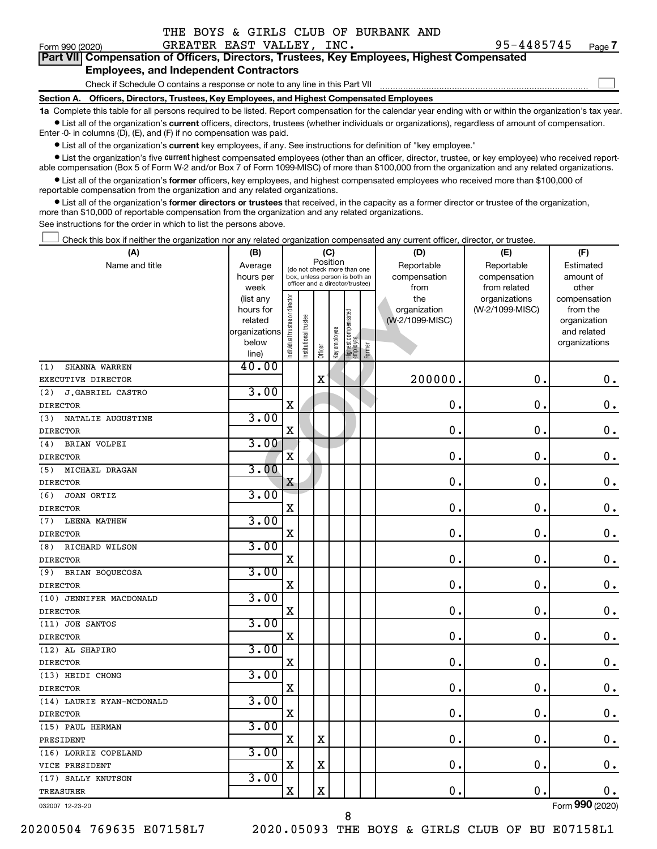|  |  |  |  |  |  | THE BOYS & GIRLS CLUB OF BURBANK AND |  |
|--|--|--|--|--|--|--------------------------------------|--|
|--|--|--|--|--|--|--------------------------------------|--|

 $\Box$ 

|  | Part VII Compensation of Officers, Directors, Trustees, Key Employees, Highest Compensated |  |  |  |  |
|--|--------------------------------------------------------------------------------------------|--|--|--|--|
|  | <b>Employees, and Independent Contractors</b>                                              |  |  |  |  |

Check if Schedule O contains a response or note to any line in this Part VII

**Section A. Officers, Directors, Trustees, Key Employees, and Highest Compensated Employees**

**1a**  Complete this table for all persons required to be listed. Report compensation for the calendar year ending with or within the organization's tax year.  $\bullet$  List all of the organization's current officers, directors, trustees (whether individuals or organizations), regardless of amount of compensation.

Enter -0- in columns (D), (E), and (F) if no compensation was paid.

**•** List all of the organization's current key employees, if any. See instructions for definition of "key employee."

• List the organization's five *current* highest compensated employees (other than an officer, director, trustee, or key employee) who received reportable compensation (Box 5 of Form W-2 and/or Box 7 of Form 1099-MISC) of more than \$100,000 from the organization and any related organizations.

 $\bullet$  List all of the organization's former officers, key employees, and highest compensated employees who received more than \$100,000 of reportable compensation from the organization and any related organizations.

**•** List all of the organization's former directors or trustees that received, in the capacity as a former director or trustee of the organization, more than \$10,000 of reportable compensation from the organization and any related organizations.

See instructions for the order in which to list the persons above.

Check this box if neither the organization nor any related organization compensated any current officer, director, or trustee.  $\Box$ 

| Position<br>Name and title<br>Reportable<br>Reportable<br>Average<br>Estimated<br>(do not check more than one<br>hours per<br>compensation<br>compensation<br>amount of<br>box, unless person is both an<br>officer and a director/trustee)<br>week<br>from<br>from related<br>other<br>ndividual trustee or director<br>the<br>(list any<br>organizations<br>compensation<br>(W-2/1099-MISC)<br>hours for<br>organization<br>from the<br>Highest compensated<br>employee<br>Institutional trustee<br>(W-2/1099-MISC)<br>related<br>organization<br>Keyemployee<br>organizations<br>and related<br>below<br>organizations<br>Former<br>Officer<br>line)<br>40.00<br>SHANNA WARREN<br>(1)<br>$\overline{\mathbf{X}}$<br>200000<br>$\mathbf 0$ .<br>$\mathbf 0$ .<br>EXECUTIVE DIRECTOR<br>3.00<br>J.GABRIEL CASTRO<br>(2)<br>$\mathbf 0$ .<br>0.<br>X<br>0<br><b>DIRECTOR</b><br>3.00<br>NATALIE AUGUSTINE<br>(3)<br>$\mathbf X$<br>$\mathbf 0$<br>$\mathbf 0$ .<br>$\mathbf 0$ .<br><b>DIRECTOR</b><br>3.00<br>BRIAN VOLPEI<br>(4)<br>$\overline{\mathbf{X}}$<br>$\mathbf 0$ .<br>$\mathbf 0$<br>$\mathbf 0$ .<br><b>DIRECTOR</b><br>3.00<br>MICHAEL DRAGAN<br>(5)<br>0<br>$\mathbf 0$<br>0.<br>X<br><b>DIRECTOR</b><br>3.00<br>(6)<br>JOAN ORTIZ<br>0<br>$\mathbf 0$<br>$\mathbf 0$ .<br>X<br><b>DIRECTOR</b><br>3.00<br>LEENA MATHEW<br>(7)<br>$\mathbf 0$ .<br>$\mathbf 0$ .<br>$\mathbf 0$ .<br>X<br><b>DIRECTOR</b><br>3.00<br>RICHARD WILSON<br>(8)<br>$\mathbf 0$ .<br>$\mathbf 0$<br>$\mathbf 0$ .<br>X<br><b>DIRECTOR</b><br>3.00<br>BRIAN BOQUECOSA<br>(9)<br>$\mathbf 0$ .<br>$\mathbf 0$ .<br>X<br>$\mathbf 0$ .<br><b>DIRECTOR</b><br>3.00<br>(10) JENNIFER MACDONALD<br>$\mathbf 0$ .<br>$0$ .<br>$\mathbf X$<br>$\mathbf 0$ .<br><b>DIRECTOR</b><br>3.00<br>(11) JOE SANTOS<br>0.<br>$\mathbf 0$ .<br>$\mathbf 0$ .<br>X<br><b>DIRECTOR</b><br>3.00<br>(12) AL SHAPIRO<br>$\rm X$<br>0.<br>$\mathbf 0$ .<br><b>DIRECTOR</b><br>3.00<br>(13) HEIDI CHONG<br>$\mathbf X$<br>$\mathbf 0$<br>0.<br>$\mathbf 0$ .<br><b>DIRECTOR</b><br>3.00<br>(14) LAURIE RYAN-MCDONALD<br>0<br>0<br>$\mathbf 0$ .<br>$\mathbf X$<br><b>DIRECTOR</b><br>3.00<br>(15) PAUL HERMAN<br>X<br>X<br>0<br>$\mathbf 0$<br>0.<br>PRESIDENT<br>3.00<br>(16) LORRIE COPELAND<br>$\mathbf 0$<br>$\mathbf 0$ .<br>$\mathbf 0$ .<br>$\mathbf X$<br>$\mathbf X$<br>VICE PRESIDENT<br>3.00<br>(17) SALLY KNUTSON<br>$\overline{\mathbf{X}}$<br>$\mathbf X$<br>$\mathbf 0$<br>$\mathbf 0$ .<br>0.<br><b>TREASURER</b><br>$000$ ( $000$ | (A) | (B) |  |  | (C) |  |  | (D) | (E) | (F) |
|-------------------------------------------------------------------------------------------------------------------------------------------------------------------------------------------------------------------------------------------------------------------------------------------------------------------------------------------------------------------------------------------------------------------------------------------------------------------------------------------------------------------------------------------------------------------------------------------------------------------------------------------------------------------------------------------------------------------------------------------------------------------------------------------------------------------------------------------------------------------------------------------------------------------------------------------------------------------------------------------------------------------------------------------------------------------------------------------------------------------------------------------------------------------------------------------------------------------------------------------------------------------------------------------------------------------------------------------------------------------------------------------------------------------------------------------------------------------------------------------------------------------------------------------------------------------------------------------------------------------------------------------------------------------------------------------------------------------------------------------------------------------------------------------------------------------------------------------------------------------------------------------------------------------------------------------------------------------------------------------------------------------------------------------------------------------------------------------------------------------------------------------------------------------------------------------------------------------------------------------------------------------------------------------------------------------------------------------------------------------------------------------------------------------------------------------------------------------------------------------------------------------|-----|-----|--|--|-----|--|--|-----|-----|-----|
| $\mathbf 0$ .                                                                                                                                                                                                                                                                                                                                                                                                                                                                                                                                                                                                                                                                                                                                                                                                                                                                                                                                                                                                                                                                                                                                                                                                                                                                                                                                                                                                                                                                                                                                                                                                                                                                                                                                                                                                                                                                                                                                                                                                                                                                                                                                                                                                                                                                                                                                                                                                                                                                                                     |     |     |  |  |     |  |  |     |     |     |
|                                                                                                                                                                                                                                                                                                                                                                                                                                                                                                                                                                                                                                                                                                                                                                                                                                                                                                                                                                                                                                                                                                                                                                                                                                                                                                                                                                                                                                                                                                                                                                                                                                                                                                                                                                                                                                                                                                                                                                                                                                                                                                                                                                                                                                                                                                                                                                                                                                                                                                                   |     |     |  |  |     |  |  |     |     |     |
|                                                                                                                                                                                                                                                                                                                                                                                                                                                                                                                                                                                                                                                                                                                                                                                                                                                                                                                                                                                                                                                                                                                                                                                                                                                                                                                                                                                                                                                                                                                                                                                                                                                                                                                                                                                                                                                                                                                                                                                                                                                                                                                                                                                                                                                                                                                                                                                                                                                                                                                   |     |     |  |  |     |  |  |     |     |     |
|                                                                                                                                                                                                                                                                                                                                                                                                                                                                                                                                                                                                                                                                                                                                                                                                                                                                                                                                                                                                                                                                                                                                                                                                                                                                                                                                                                                                                                                                                                                                                                                                                                                                                                                                                                                                                                                                                                                                                                                                                                                                                                                                                                                                                                                                                                                                                                                                                                                                                                                   |     |     |  |  |     |  |  |     |     |     |
|                                                                                                                                                                                                                                                                                                                                                                                                                                                                                                                                                                                                                                                                                                                                                                                                                                                                                                                                                                                                                                                                                                                                                                                                                                                                                                                                                                                                                                                                                                                                                                                                                                                                                                                                                                                                                                                                                                                                                                                                                                                                                                                                                                                                                                                                                                                                                                                                                                                                                                                   |     |     |  |  |     |  |  |     |     |     |
|                                                                                                                                                                                                                                                                                                                                                                                                                                                                                                                                                                                                                                                                                                                                                                                                                                                                                                                                                                                                                                                                                                                                                                                                                                                                                                                                                                                                                                                                                                                                                                                                                                                                                                                                                                                                                                                                                                                                                                                                                                                                                                                                                                                                                                                                                                                                                                                                                                                                                                                   |     |     |  |  |     |  |  |     |     |     |
|                                                                                                                                                                                                                                                                                                                                                                                                                                                                                                                                                                                                                                                                                                                                                                                                                                                                                                                                                                                                                                                                                                                                                                                                                                                                                                                                                                                                                                                                                                                                                                                                                                                                                                                                                                                                                                                                                                                                                                                                                                                                                                                                                                                                                                                                                                                                                                                                                                                                                                                   |     |     |  |  |     |  |  |     |     |     |
|                                                                                                                                                                                                                                                                                                                                                                                                                                                                                                                                                                                                                                                                                                                                                                                                                                                                                                                                                                                                                                                                                                                                                                                                                                                                                                                                                                                                                                                                                                                                                                                                                                                                                                                                                                                                                                                                                                                                                                                                                                                                                                                                                                                                                                                                                                                                                                                                                                                                                                                   |     |     |  |  |     |  |  |     |     |     |
|                                                                                                                                                                                                                                                                                                                                                                                                                                                                                                                                                                                                                                                                                                                                                                                                                                                                                                                                                                                                                                                                                                                                                                                                                                                                                                                                                                                                                                                                                                                                                                                                                                                                                                                                                                                                                                                                                                                                                                                                                                                                                                                                                                                                                                                                                                                                                                                                                                                                                                                   |     |     |  |  |     |  |  |     |     |     |
|                                                                                                                                                                                                                                                                                                                                                                                                                                                                                                                                                                                                                                                                                                                                                                                                                                                                                                                                                                                                                                                                                                                                                                                                                                                                                                                                                                                                                                                                                                                                                                                                                                                                                                                                                                                                                                                                                                                                                                                                                                                                                                                                                                                                                                                                                                                                                                                                                                                                                                                   |     |     |  |  |     |  |  |     |     |     |
|                                                                                                                                                                                                                                                                                                                                                                                                                                                                                                                                                                                                                                                                                                                                                                                                                                                                                                                                                                                                                                                                                                                                                                                                                                                                                                                                                                                                                                                                                                                                                                                                                                                                                                                                                                                                                                                                                                                                                                                                                                                                                                                                                                                                                                                                                                                                                                                                                                                                                                                   |     |     |  |  |     |  |  |     |     |     |
|                                                                                                                                                                                                                                                                                                                                                                                                                                                                                                                                                                                                                                                                                                                                                                                                                                                                                                                                                                                                                                                                                                                                                                                                                                                                                                                                                                                                                                                                                                                                                                                                                                                                                                                                                                                                                                                                                                                                                                                                                                                                                                                                                                                                                                                                                                                                                                                                                                                                                                                   |     |     |  |  |     |  |  |     |     |     |
|                                                                                                                                                                                                                                                                                                                                                                                                                                                                                                                                                                                                                                                                                                                                                                                                                                                                                                                                                                                                                                                                                                                                                                                                                                                                                                                                                                                                                                                                                                                                                                                                                                                                                                                                                                                                                                                                                                                                                                                                                                                                                                                                                                                                                                                                                                                                                                                                                                                                                                                   |     |     |  |  |     |  |  |     |     |     |
|                                                                                                                                                                                                                                                                                                                                                                                                                                                                                                                                                                                                                                                                                                                                                                                                                                                                                                                                                                                                                                                                                                                                                                                                                                                                                                                                                                                                                                                                                                                                                                                                                                                                                                                                                                                                                                                                                                                                                                                                                                                                                                                                                                                                                                                                                                                                                                                                                                                                                                                   |     |     |  |  |     |  |  |     |     |     |
|                                                                                                                                                                                                                                                                                                                                                                                                                                                                                                                                                                                                                                                                                                                                                                                                                                                                                                                                                                                                                                                                                                                                                                                                                                                                                                                                                                                                                                                                                                                                                                                                                                                                                                                                                                                                                                                                                                                                                                                                                                                                                                                                                                                                                                                                                                                                                                                                                                                                                                                   |     |     |  |  |     |  |  |     |     |     |
|                                                                                                                                                                                                                                                                                                                                                                                                                                                                                                                                                                                                                                                                                                                                                                                                                                                                                                                                                                                                                                                                                                                                                                                                                                                                                                                                                                                                                                                                                                                                                                                                                                                                                                                                                                                                                                                                                                                                                                                                                                                                                                                                                                                                                                                                                                                                                                                                                                                                                                                   |     |     |  |  |     |  |  |     |     |     |
|                                                                                                                                                                                                                                                                                                                                                                                                                                                                                                                                                                                                                                                                                                                                                                                                                                                                                                                                                                                                                                                                                                                                                                                                                                                                                                                                                                                                                                                                                                                                                                                                                                                                                                                                                                                                                                                                                                                                                                                                                                                                                                                                                                                                                                                                                                                                                                                                                                                                                                                   |     |     |  |  |     |  |  |     |     |     |
|                                                                                                                                                                                                                                                                                                                                                                                                                                                                                                                                                                                                                                                                                                                                                                                                                                                                                                                                                                                                                                                                                                                                                                                                                                                                                                                                                                                                                                                                                                                                                                                                                                                                                                                                                                                                                                                                                                                                                                                                                                                                                                                                                                                                                                                                                                                                                                                                                                                                                                                   |     |     |  |  |     |  |  |     |     |     |
|                                                                                                                                                                                                                                                                                                                                                                                                                                                                                                                                                                                                                                                                                                                                                                                                                                                                                                                                                                                                                                                                                                                                                                                                                                                                                                                                                                                                                                                                                                                                                                                                                                                                                                                                                                                                                                                                                                                                                                                                                                                                                                                                                                                                                                                                                                                                                                                                                                                                                                                   |     |     |  |  |     |  |  |     |     |     |
|                                                                                                                                                                                                                                                                                                                                                                                                                                                                                                                                                                                                                                                                                                                                                                                                                                                                                                                                                                                                                                                                                                                                                                                                                                                                                                                                                                                                                                                                                                                                                                                                                                                                                                                                                                                                                                                                                                                                                                                                                                                                                                                                                                                                                                                                                                                                                                                                                                                                                                                   |     |     |  |  |     |  |  |     |     |     |
|                                                                                                                                                                                                                                                                                                                                                                                                                                                                                                                                                                                                                                                                                                                                                                                                                                                                                                                                                                                                                                                                                                                                                                                                                                                                                                                                                                                                                                                                                                                                                                                                                                                                                                                                                                                                                                                                                                                                                                                                                                                                                                                                                                                                                                                                                                                                                                                                                                                                                                                   |     |     |  |  |     |  |  |     |     |     |
|                                                                                                                                                                                                                                                                                                                                                                                                                                                                                                                                                                                                                                                                                                                                                                                                                                                                                                                                                                                                                                                                                                                                                                                                                                                                                                                                                                                                                                                                                                                                                                                                                                                                                                                                                                                                                                                                                                                                                                                                                                                                                                                                                                                                                                                                                                                                                                                                                                                                                                                   |     |     |  |  |     |  |  |     |     |     |
|                                                                                                                                                                                                                                                                                                                                                                                                                                                                                                                                                                                                                                                                                                                                                                                                                                                                                                                                                                                                                                                                                                                                                                                                                                                                                                                                                                                                                                                                                                                                                                                                                                                                                                                                                                                                                                                                                                                                                                                                                                                                                                                                                                                                                                                                                                                                                                                                                                                                                                                   |     |     |  |  |     |  |  |     |     |     |
|                                                                                                                                                                                                                                                                                                                                                                                                                                                                                                                                                                                                                                                                                                                                                                                                                                                                                                                                                                                                                                                                                                                                                                                                                                                                                                                                                                                                                                                                                                                                                                                                                                                                                                                                                                                                                                                                                                                                                                                                                                                                                                                                                                                                                                                                                                                                                                                                                                                                                                                   |     |     |  |  |     |  |  |     |     |     |
|                                                                                                                                                                                                                                                                                                                                                                                                                                                                                                                                                                                                                                                                                                                                                                                                                                                                                                                                                                                                                                                                                                                                                                                                                                                                                                                                                                                                                                                                                                                                                                                                                                                                                                                                                                                                                                                                                                                                                                                                                                                                                                                                                                                                                                                                                                                                                                                                                                                                                                                   |     |     |  |  |     |  |  |     |     |     |
|                                                                                                                                                                                                                                                                                                                                                                                                                                                                                                                                                                                                                                                                                                                                                                                                                                                                                                                                                                                                                                                                                                                                                                                                                                                                                                                                                                                                                                                                                                                                                                                                                                                                                                                                                                                                                                                                                                                                                                                                                                                                                                                                                                                                                                                                                                                                                                                                                                                                                                                   |     |     |  |  |     |  |  |     |     |     |
|                                                                                                                                                                                                                                                                                                                                                                                                                                                                                                                                                                                                                                                                                                                                                                                                                                                                                                                                                                                                                                                                                                                                                                                                                                                                                                                                                                                                                                                                                                                                                                                                                                                                                                                                                                                                                                                                                                                                                                                                                                                                                                                                                                                                                                                                                                                                                                                                                                                                                                                   |     |     |  |  |     |  |  |     |     |     |
|                                                                                                                                                                                                                                                                                                                                                                                                                                                                                                                                                                                                                                                                                                                                                                                                                                                                                                                                                                                                                                                                                                                                                                                                                                                                                                                                                                                                                                                                                                                                                                                                                                                                                                                                                                                                                                                                                                                                                                                                                                                                                                                                                                                                                                                                                                                                                                                                                                                                                                                   |     |     |  |  |     |  |  |     |     |     |
|                                                                                                                                                                                                                                                                                                                                                                                                                                                                                                                                                                                                                                                                                                                                                                                                                                                                                                                                                                                                                                                                                                                                                                                                                                                                                                                                                                                                                                                                                                                                                                                                                                                                                                                                                                                                                                                                                                                                                                                                                                                                                                                                                                                                                                                                                                                                                                                                                                                                                                                   |     |     |  |  |     |  |  |     |     |     |
|                                                                                                                                                                                                                                                                                                                                                                                                                                                                                                                                                                                                                                                                                                                                                                                                                                                                                                                                                                                                                                                                                                                                                                                                                                                                                                                                                                                                                                                                                                                                                                                                                                                                                                                                                                                                                                                                                                                                                                                                                                                                                                                                                                                                                                                                                                                                                                                                                                                                                                                   |     |     |  |  |     |  |  |     |     |     |
|                                                                                                                                                                                                                                                                                                                                                                                                                                                                                                                                                                                                                                                                                                                                                                                                                                                                                                                                                                                                                                                                                                                                                                                                                                                                                                                                                                                                                                                                                                                                                                                                                                                                                                                                                                                                                                                                                                                                                                                                                                                                                                                                                                                                                                                                                                                                                                                                                                                                                                                   |     |     |  |  |     |  |  |     |     |     |
|                                                                                                                                                                                                                                                                                                                                                                                                                                                                                                                                                                                                                                                                                                                                                                                                                                                                                                                                                                                                                                                                                                                                                                                                                                                                                                                                                                                                                                                                                                                                                                                                                                                                                                                                                                                                                                                                                                                                                                                                                                                                                                                                                                                                                                                                                                                                                                                                                                                                                                                   |     |     |  |  |     |  |  |     |     |     |
|                                                                                                                                                                                                                                                                                                                                                                                                                                                                                                                                                                                                                                                                                                                                                                                                                                                                                                                                                                                                                                                                                                                                                                                                                                                                                                                                                                                                                                                                                                                                                                                                                                                                                                                                                                                                                                                                                                                                                                                                                                                                                                                                                                                                                                                                                                                                                                                                                                                                                                                   |     |     |  |  |     |  |  |     |     |     |
|                                                                                                                                                                                                                                                                                                                                                                                                                                                                                                                                                                                                                                                                                                                                                                                                                                                                                                                                                                                                                                                                                                                                                                                                                                                                                                                                                                                                                                                                                                                                                                                                                                                                                                                                                                                                                                                                                                                                                                                                                                                                                                                                                                                                                                                                                                                                                                                                                                                                                                                   |     |     |  |  |     |  |  |     |     |     |
|                                                                                                                                                                                                                                                                                                                                                                                                                                                                                                                                                                                                                                                                                                                                                                                                                                                                                                                                                                                                                                                                                                                                                                                                                                                                                                                                                                                                                                                                                                                                                                                                                                                                                                                                                                                                                                                                                                                                                                                                                                                                                                                                                                                                                                                                                                                                                                                                                                                                                                                   |     |     |  |  |     |  |  |     |     |     |
|                                                                                                                                                                                                                                                                                                                                                                                                                                                                                                                                                                                                                                                                                                                                                                                                                                                                                                                                                                                                                                                                                                                                                                                                                                                                                                                                                                                                                                                                                                                                                                                                                                                                                                                                                                                                                                                                                                                                                                                                                                                                                                                                                                                                                                                                                                                                                                                                                                                                                                                   |     |     |  |  |     |  |  |     |     |     |
|                                                                                                                                                                                                                                                                                                                                                                                                                                                                                                                                                                                                                                                                                                                                                                                                                                                                                                                                                                                                                                                                                                                                                                                                                                                                                                                                                                                                                                                                                                                                                                                                                                                                                                                                                                                                                                                                                                                                                                                                                                                                                                                                                                                                                                                                                                                                                                                                                                                                                                                   |     |     |  |  |     |  |  |     |     |     |
|                                                                                                                                                                                                                                                                                                                                                                                                                                                                                                                                                                                                                                                                                                                                                                                                                                                                                                                                                                                                                                                                                                                                                                                                                                                                                                                                                                                                                                                                                                                                                                                                                                                                                                                                                                                                                                                                                                                                                                                                                                                                                                                                                                                                                                                                                                                                                                                                                                                                                                                   |     |     |  |  |     |  |  |     |     |     |
|                                                                                                                                                                                                                                                                                                                                                                                                                                                                                                                                                                                                                                                                                                                                                                                                                                                                                                                                                                                                                                                                                                                                                                                                                                                                                                                                                                                                                                                                                                                                                                                                                                                                                                                                                                                                                                                                                                                                                                                                                                                                                                                                                                                                                                                                                                                                                                                                                                                                                                                   |     |     |  |  |     |  |  |     |     |     |
|                                                                                                                                                                                                                                                                                                                                                                                                                                                                                                                                                                                                                                                                                                                                                                                                                                                                                                                                                                                                                                                                                                                                                                                                                                                                                                                                                                                                                                                                                                                                                                                                                                                                                                                                                                                                                                                                                                                                                                                                                                                                                                                                                                                                                                                                                                                                                                                                                                                                                                                   |     |     |  |  |     |  |  |     |     |     |
|                                                                                                                                                                                                                                                                                                                                                                                                                                                                                                                                                                                                                                                                                                                                                                                                                                                                                                                                                                                                                                                                                                                                                                                                                                                                                                                                                                                                                                                                                                                                                                                                                                                                                                                                                                                                                                                                                                                                                                                                                                                                                                                                                                                                                                                                                                                                                                                                                                                                                                                   |     |     |  |  |     |  |  |     |     |     |
|                                                                                                                                                                                                                                                                                                                                                                                                                                                                                                                                                                                                                                                                                                                                                                                                                                                                                                                                                                                                                                                                                                                                                                                                                                                                                                                                                                                                                                                                                                                                                                                                                                                                                                                                                                                                                                                                                                                                                                                                                                                                                                                                                                                                                                                                                                                                                                                                                                                                                                                   |     |     |  |  |     |  |  |     |     |     |

032007 12-23-20

8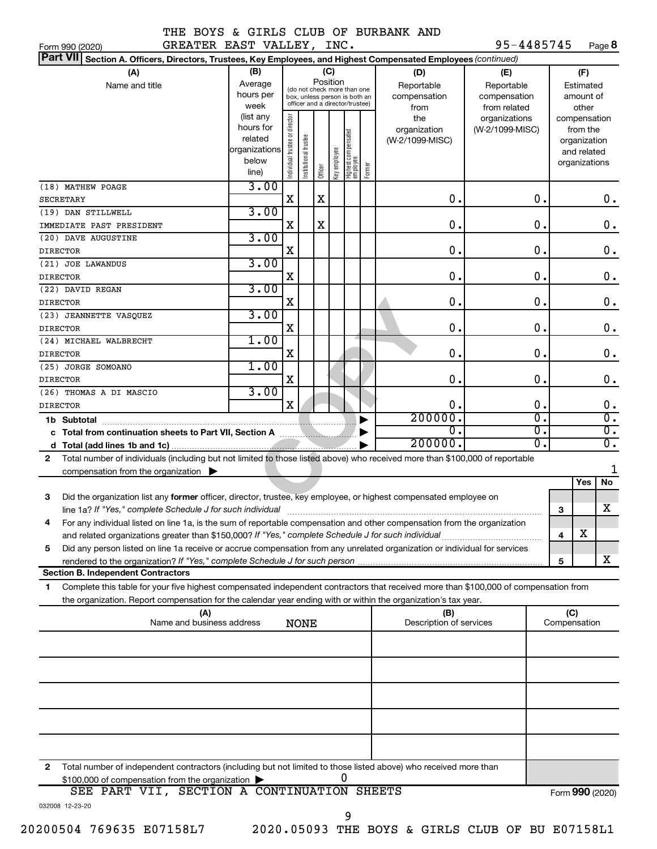Form 990 (2020) Page GREATER EAST VALLEY, INC. 95-4485745 95-4485745 Page 8

| Part VII Section A. Officers, Directors, Trustees, Key Employees, and Highest Compensated Employees (continued)                                                                      |                        |                                |                                                                  |             |              |                                   |        |                         |                                  |               |     |                          |                                   |
|--------------------------------------------------------------------------------------------------------------------------------------------------------------------------------------|------------------------|--------------------------------|------------------------------------------------------------------|-------------|--------------|-----------------------------------|--------|-------------------------|----------------------------------|---------------|-----|--------------------------|-----------------------------------|
| (A)                                                                                                                                                                                  | (B)                    |                                |                                                                  |             | (C)          |                                   |        | (D)                     | (E)                              |               |     | (F)                      |                                   |
| Name and title                                                                                                                                                                       | Average                |                                | (do not check more than one                                      |             | Position     |                                   |        | Reportable              | Reportable                       |               |     | Estimated                |                                   |
|                                                                                                                                                                                      | hours per              |                                | box, unless person is both an<br>officer and a director/trustee) |             |              |                                   |        | compensation            | compensation                     |               |     | amount of                |                                   |
|                                                                                                                                                                                      | week                   |                                |                                                                  |             |              |                                   |        | from                    | from related                     |               |     | other                    |                                   |
|                                                                                                                                                                                      | (list any<br>hours for |                                |                                                                  |             |              |                                   |        | the<br>organization     | organizations<br>(W-2/1099-MISC) |               |     | compensation<br>from the |                                   |
|                                                                                                                                                                                      | related                |                                |                                                                  |             |              |                                   |        | (W-2/1099-MISC)         |                                  |               |     | organization             |                                   |
|                                                                                                                                                                                      | organizations          |                                |                                                                  |             |              |                                   |        |                         |                                  |               |     | and related              |                                   |
|                                                                                                                                                                                      | below                  | Individual trustee or director | Institutional trustee                                            |             | Key employee |                                   |        |                         |                                  |               |     | organizations            |                                   |
|                                                                                                                                                                                      | line)                  |                                |                                                                  | Officer     |              | Highest compensated<br>  employee | Former |                         |                                  |               |     |                          |                                   |
| (18) MATHEW POAGE                                                                                                                                                                    | 3.00                   |                                |                                                                  |             |              |                                   |        |                         |                                  |               |     |                          |                                   |
| <b>SECRETARY</b>                                                                                                                                                                     |                        | X                              |                                                                  | X           |              |                                   |        | $\mathbf 0$ .           |                                  | $\mathbf 0$ . |     |                          | 0.                                |
| (19) DAN STILLWELL                                                                                                                                                                   | 3.00                   |                                |                                                                  |             |              |                                   |        |                         |                                  |               |     |                          |                                   |
| IMMEDIATE PAST PRESIDENT                                                                                                                                                             |                        | X                              |                                                                  | $\mathbf X$ |              |                                   |        | $\mathbf 0$ .           |                                  | $\mathbf 0$ . |     |                          | $\mathbf 0$ .                     |
| (20) DAVE AUGUSTINE                                                                                                                                                                  | 3.00                   |                                |                                                                  |             |              |                                   |        |                         |                                  |               |     |                          |                                   |
| <b>DIRECTOR</b>                                                                                                                                                                      |                        | X                              |                                                                  |             |              |                                   |        | $\mathbf 0$ .           |                                  | $\mathbf 0$ . |     |                          | $\mathbf 0$ .                     |
| (21) JOE LAWANDUS                                                                                                                                                                    | 3.00                   |                                |                                                                  |             |              |                                   |        |                         |                                  |               |     |                          |                                   |
| <b>DIRECTOR</b>                                                                                                                                                                      |                        | X                              |                                                                  |             |              |                                   |        | $\mathbf 0$ .           |                                  | $\mathbf 0$ . |     |                          | $\mathbf 0$ .                     |
| (22) DAVID REGAN                                                                                                                                                                     | 3.00                   |                                |                                                                  |             |              |                                   |        |                         |                                  |               |     |                          |                                   |
| <b>DIRECTOR</b>                                                                                                                                                                      |                        | X                              |                                                                  |             |              |                                   |        | $\mathbf 0$ .           |                                  | $\mathbf 0$ . |     |                          | $\mathbf 0$ .                     |
| (23) JEANNETTE VASQUEZ                                                                                                                                                               | 3.00                   |                                |                                                                  |             |              |                                   |        |                         |                                  |               |     |                          |                                   |
| <b>DIRECTOR</b>                                                                                                                                                                      |                        | X                              |                                                                  |             |              |                                   |        | 0.                      |                                  | $\mathbf 0$ . |     |                          | $\mathbf 0$ .                     |
| (24) MICHAEL WALBRECHT                                                                                                                                                               | 1.00                   |                                |                                                                  |             |              |                                   |        |                         |                                  |               |     |                          |                                   |
| <b>DIRECTOR</b>                                                                                                                                                                      |                        | X                              |                                                                  |             |              |                                   |        | $\mathbf 0$ .           |                                  | $\mathbf 0$ . |     |                          | $\mathbf 0$ .                     |
| (25) JORGE SOMOANO                                                                                                                                                                   | 1.00                   |                                |                                                                  |             |              |                                   |        |                         |                                  |               |     |                          |                                   |
| <b>DIRECTOR</b>                                                                                                                                                                      |                        | X                              |                                                                  |             |              |                                   |        | $\mathbf 0$ .           |                                  | $\mathbf 0$ . |     |                          | $\mathbf 0$ .                     |
| (26) THOMAS A DI MASCIO                                                                                                                                                              | 3.00                   | $\mathbf X$                    |                                                                  |             |              |                                   |        | $\mathbf 0$ .           |                                  | $\mathbf 0$ . |     |                          |                                   |
| <b>DIRECTOR</b>                                                                                                                                                                      |                        |                                |                                                                  |             |              |                                   |        | 200000.                 |                                  | σ.            |     |                          | $\mathbf 0$ .<br>$\overline{0}$ . |
| 1b Subtotal                                                                                                                                                                          |                        |                                |                                                                  |             |              |                                   |        | $\mathbf 0$ .           |                                  | σ.            |     |                          | $\overline{0}$ .                  |
|                                                                                                                                                                                      |                        |                                |                                                                  |             |              |                                   |        | 200000.                 |                                  | σ.            |     |                          | σ.                                |
| d                                                                                                                                                                                    |                        |                                |                                                                  |             |              |                                   |        |                         |                                  |               |     |                          |                                   |
| Total number of individuals (including but not limited to those listed above) who received more than \$100,000 of reportable<br>$\mathbf{2}$                                         |                        |                                |                                                                  |             |              |                                   |        |                         |                                  |               |     |                          | 1                                 |
| compensation from the organization $\blacktriangleright$                                                                                                                             |                        |                                |                                                                  |             |              |                                   |        |                         |                                  |               |     | Yes                      | <b>No</b>                         |
|                                                                                                                                                                                      |                        |                                |                                                                  |             |              |                                   |        |                         |                                  |               |     |                          |                                   |
| Did the organization list any former officer, director, trustee, key employee, or highest compensated employee on<br>3<br>line 1a? If "Yes," complete Schedule J for such individual |                        |                                |                                                                  |             |              |                                   |        |                         |                                  |               |     |                          | x                                 |
| For any individual listed on line 1a, is the sum of reportable compensation and other compensation from the organization                                                             |                        |                                |                                                                  |             |              |                                   |        |                         |                                  |               | 3   |                          |                                   |
| 4                                                                                                                                                                                    |                        |                                |                                                                  |             |              |                                   |        |                         |                                  |               | 4   | $\overline{\textbf{X}}$  |                                   |
| Did any person listed on line 1a receive or accrue compensation from any unrelated organization or individual for services<br>5                                                      |                        |                                |                                                                  |             |              |                                   |        |                         |                                  |               |     |                          |                                   |
|                                                                                                                                                                                      |                        |                                |                                                                  |             |              |                                   |        |                         |                                  |               | 5   |                          | x                                 |
| <b>Section B. Independent Contractors</b>                                                                                                                                            |                        |                                |                                                                  |             |              |                                   |        |                         |                                  |               |     |                          |                                   |
| Complete this table for your five highest compensated independent contractors that received more than \$100,000 of compensation from<br>1                                            |                        |                                |                                                                  |             |              |                                   |        |                         |                                  |               |     |                          |                                   |
| the organization. Report compensation for the calendar year ending with or within the organization's tax year.                                                                       |                        |                                |                                                                  |             |              |                                   |        |                         |                                  |               |     |                          |                                   |
| (A)                                                                                                                                                                                  |                        |                                |                                                                  |             |              |                                   |        | (B)                     |                                  |               | (C) |                          |                                   |
| Name and business address                                                                                                                                                            |                        |                                | <b>NONE</b>                                                      |             |              |                                   |        | Description of services |                                  |               |     | Compensation             |                                   |
|                                                                                                                                                                                      |                        |                                |                                                                  |             |              |                                   |        |                         |                                  |               |     |                          |                                   |
|                                                                                                                                                                                      |                        |                                |                                                                  |             |              |                                   |        |                         |                                  |               |     |                          |                                   |
|                                                                                                                                                                                      |                        |                                |                                                                  |             |              |                                   |        |                         |                                  |               |     |                          |                                   |
|                                                                                                                                                                                      |                        |                                |                                                                  |             |              |                                   |        |                         |                                  |               |     |                          |                                   |
|                                                                                                                                                                                      |                        |                                |                                                                  |             |              |                                   |        |                         |                                  |               |     |                          |                                   |
|                                                                                                                                                                                      |                        |                                |                                                                  |             |              |                                   |        |                         |                                  |               |     |                          |                                   |
|                                                                                                                                                                                      |                        |                                |                                                                  |             |              |                                   |        |                         |                                  |               |     |                          |                                   |
|                                                                                                                                                                                      |                        |                                |                                                                  |             |              |                                   |        |                         |                                  |               |     |                          |                                   |
|                                                                                                                                                                                      |                        |                                |                                                                  |             |              |                                   |        |                         |                                  |               |     |                          |                                   |
| Total number of independent contractors (including but not limited to those listed above) who received more than<br>2<br>0<br>\$100,000 of compensation from the organization        |                        |                                |                                                                  |             |              |                                   |        |                         |                                  |               |     |                          |                                   |
| SEE PART VII, SECTION A CONTINUATION SHEETS                                                                                                                                          |                        |                                |                                                                  |             |              |                                   |        |                         |                                  |               |     |                          | Form 990 (2020)                   |
| 032008 12-23-20                                                                                                                                                                      |                        |                                |                                                                  |             |              |                                   |        |                         |                                  |               |     |                          |                                   |
|                                                                                                                                                                                      |                        |                                |                                                                  |             |              | 9                                 |        |                         |                                  |               |     |                          |                                   |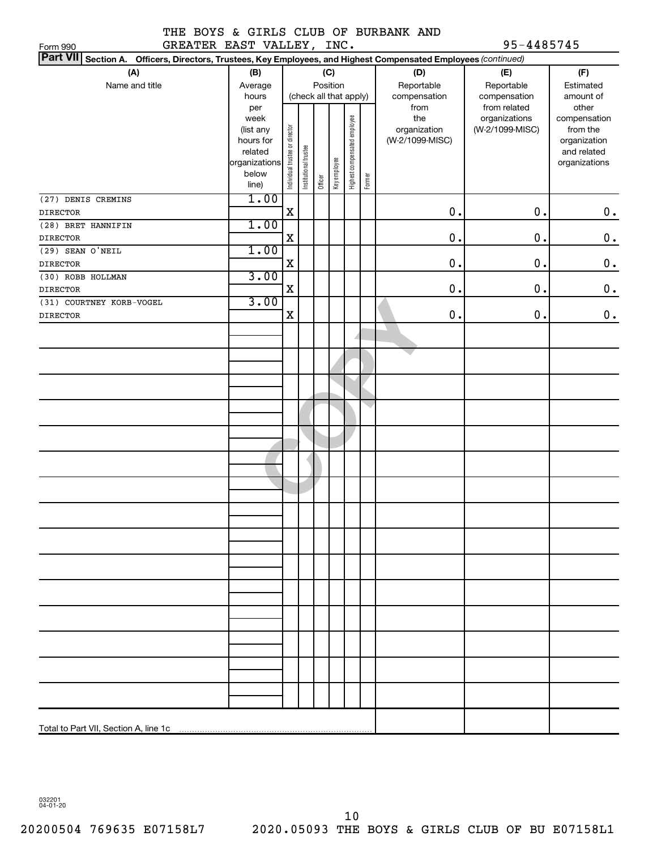#### THE BOYS & GIRLS CLUB OF BURBANK AND GREATER EAST VALLEY, INC. 95-4485745

| , <b>טווו</b> ט<br>Part VII Section A. Officers, Directors, Trustees, Key Employees, and Highest Compensated Employees (continued) |                      |                                |                       |         |              |                              |        |                 |                 |                             |
|------------------------------------------------------------------------------------------------------------------------------------|----------------------|--------------------------------|-----------------------|---------|--------------|------------------------------|--------|-----------------|-----------------|-----------------------------|
| (A)                                                                                                                                | (B)                  |                                |                       |         | (C)          |                              |        | (D)             | (E)             | (F)                         |
| Name and title                                                                                                                     | Average              |                                |                       |         | Position     |                              |        | Reportable      | Reportable      | Estimated                   |
|                                                                                                                                    | hours                |                                |                       |         |              | (check all that apply)       |        | compensation    | compensation    | amount of                   |
|                                                                                                                                    | per                  |                                |                       |         |              |                              |        | from            | from related    | other                       |
|                                                                                                                                    | week                 |                                |                       |         |              |                              |        | the             | organizations   | compensation                |
|                                                                                                                                    | (list any            |                                |                       |         |              |                              |        | organization    | (W-2/1099-MISC) | from the                    |
|                                                                                                                                    | hours for<br>related |                                |                       |         |              |                              |        | (W-2/1099-MISC) |                 | organization<br>and related |
|                                                                                                                                    | organizations        |                                |                       |         |              |                              |        |                 |                 | organizations               |
|                                                                                                                                    | below                | Individual trustee or director | Institutional trustee |         | Key employee | Highest compensated employee |        |                 |                 |                             |
|                                                                                                                                    | line)                |                                |                       | Officer |              |                              | Former |                 |                 |                             |
| (27) DENIS CREMINS                                                                                                                 | 1.00                 |                                |                       |         |              |                              |        |                 |                 |                             |
| <b>DIRECTOR</b>                                                                                                                    |                      | $\mathbf X$                    |                       |         |              |                              |        | 0.              | 0.              | $\boldsymbol{0}$ .          |
| (28) BRET HANNIFIN                                                                                                                 | 1.00                 |                                |                       |         |              |                              |        |                 |                 |                             |
| <b>DIRECTOR</b>                                                                                                                    |                      | X                              |                       |         |              |                              |        | 0.              | 0.              | $\boldsymbol{0}$ .          |
| $(29)$ SEAN O'NEIL                                                                                                                 | 1.00                 |                                |                       |         |              |                              |        |                 |                 |                             |
| <b>DIRECTOR</b>                                                                                                                    |                      | X                              |                       |         |              |                              |        | 0.              | 0.              | $\boldsymbol{0}$ .          |
| (30) ROBB HOLLMAN                                                                                                                  | 3.00                 |                                |                       |         |              |                              |        |                 |                 |                             |
| <b>DIRECTOR</b>                                                                                                                    |                      | X                              |                       |         |              |                              |        | 0.              | $\mathbf 0$ .   | $\mathbf 0$ .               |
| (31) COURTNEY KORB-VOGEL                                                                                                           | 3.00                 |                                |                       |         |              |                              |        |                 |                 |                             |
| <b>DIRECTOR</b>                                                                                                                    |                      | X                              |                       |         |              |                              |        | 0.              | 0.              | $\mathbf 0$ .               |
|                                                                                                                                    |                      |                                |                       |         |              |                              |        |                 |                 |                             |
|                                                                                                                                    |                      |                                |                       |         |              |                              |        |                 |                 |                             |
|                                                                                                                                    |                      |                                |                       |         |              |                              |        |                 |                 |                             |
|                                                                                                                                    |                      |                                |                       |         |              |                              |        |                 |                 |                             |
|                                                                                                                                    |                      |                                |                       |         |              |                              |        |                 |                 |                             |
|                                                                                                                                    |                      |                                |                       |         |              |                              |        |                 |                 |                             |
|                                                                                                                                    |                      |                                |                       |         |              |                              |        |                 |                 |                             |
|                                                                                                                                    |                      |                                |                       |         |              |                              |        |                 |                 |                             |
|                                                                                                                                    |                      |                                |                       |         |              |                              |        |                 |                 |                             |
|                                                                                                                                    |                      |                                |                       |         |              |                              |        |                 |                 |                             |
|                                                                                                                                    |                      |                                |                       |         |              |                              |        |                 |                 |                             |
|                                                                                                                                    |                      |                                |                       |         |              |                              |        |                 |                 |                             |
|                                                                                                                                    |                      |                                |                       |         |              |                              |        |                 |                 |                             |
|                                                                                                                                    |                      |                                |                       |         |              |                              |        |                 |                 |                             |
|                                                                                                                                    |                      |                                |                       |         |              |                              |        |                 |                 |                             |
|                                                                                                                                    |                      |                                |                       |         |              |                              |        |                 |                 |                             |
|                                                                                                                                    |                      |                                |                       |         |              |                              |        |                 |                 |                             |
|                                                                                                                                    |                      |                                |                       |         |              |                              |        |                 |                 |                             |
|                                                                                                                                    |                      |                                |                       |         |              |                              |        |                 |                 |                             |
|                                                                                                                                    |                      |                                |                       |         |              |                              |        |                 |                 |                             |
|                                                                                                                                    |                      |                                |                       |         |              |                              |        |                 |                 |                             |

032201 04-01-20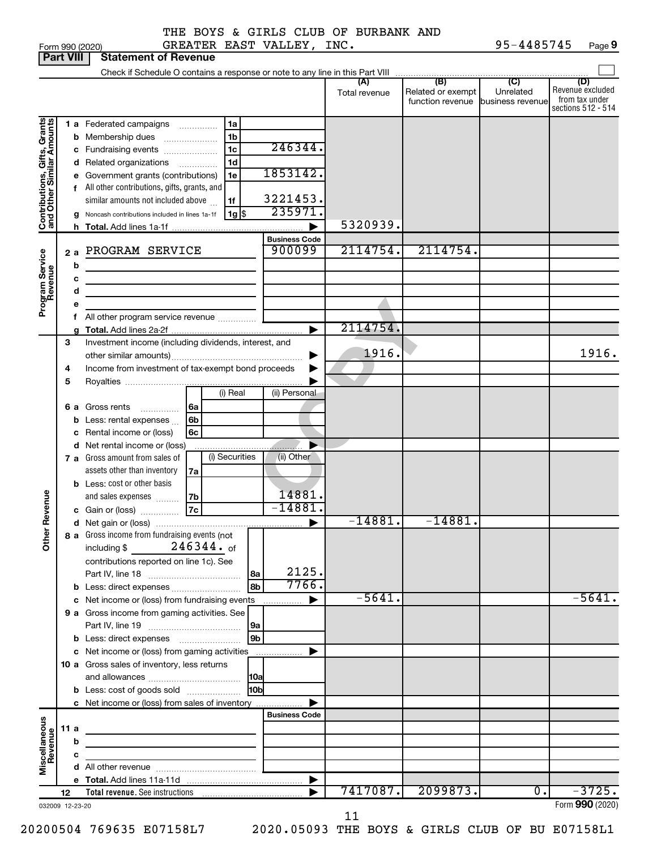| Form 990 (2020) |  |
|-----------------|--|
| -- 1700         |  |

| Part VIII                                                 |    |      | Statement of Revenue                                                                                                 |                            |               |                                   |           |                                    |
|-----------------------------------------------------------|----|------|----------------------------------------------------------------------------------------------------------------------|----------------------------|---------------|-----------------------------------|-----------|------------------------------------|
|                                                           |    |      |                                                                                                                      |                            | (A)           | (B)                               | (C)       | (D)                                |
|                                                           |    |      |                                                                                                                      |                            | Total revenue | Related or exempt                 | Unrelated | Revenue excluded<br>from tax under |
|                                                           |    |      |                                                                                                                      |                            |               | function revenue business revenue |           | sections 512 - 514                 |
|                                                           |    |      | 1 a Federated campaigns<br>1a                                                                                        |                            |               |                                   |           |                                    |
| Contributions, Gifts, Grants<br>and Other Similar Amounts |    |      | 1 <sub>b</sub><br><b>b</b> Membership dues                                                                           |                            |               |                                   |           |                                    |
|                                                           |    |      | 1 <sub>c</sub><br>c Fundraising events                                                                               | 246344.                    |               |                                   |           |                                    |
|                                                           |    |      | 1 <sub>d</sub><br>d Related organizations                                                                            |                            |               |                                   |           |                                    |
|                                                           |    |      | e Government grants (contributions)<br>1e                                                                            | 1853142.                   |               |                                   |           |                                    |
|                                                           |    |      | f All other contributions, gifts, grants, and                                                                        |                            |               |                                   |           |                                    |
|                                                           |    |      | similar amounts not included above<br>1f                                                                             | 3221453.                   |               |                                   |           |                                    |
|                                                           |    |      | $1g$ \$<br>g Noncash contributions included in lines 1a-1f                                                           | 235971.                    |               |                                   |           |                                    |
|                                                           |    |      |                                                                                                                      |                            | 5320939.      |                                   |           |                                    |
|                                                           |    |      |                                                                                                                      | <b>Business Code</b>       |               |                                   |           |                                    |
|                                                           |    | 2a   | PROGRAM SERVICE                                                                                                      | 900099                     | 2114754.      | 2114754.                          |           |                                    |
| Program Service<br>Revenue                                |    | b    |                                                                                                                      |                            |               |                                   |           |                                    |
|                                                           |    | c    | <u> 1980 - Johann Barbara, martxa alemaniar a</u>                                                                    |                            |               |                                   |           |                                    |
|                                                           |    | d    | <u> 1980 - Johann John Stein, markin fan it ferstjer fan de ferstjer fan it ferstjer fan it ferstjer fan it fers</u> |                            |               |                                   |           |                                    |
|                                                           |    | е    | <u> 1980 - Johann John Stein, markin fan it ferstjer fan de ferstjer fan it ferstjer fan it ferstjer fan it fers</u> |                            |               |                                   |           |                                    |
|                                                           |    |      | All other program service revenue                                                                                    |                            |               |                                   |           |                                    |
|                                                           |    |      |                                                                                                                      |                            | 2114754.      |                                   |           |                                    |
|                                                           | З  |      | Investment income (including dividends, interest, and                                                                |                            |               |                                   |           |                                    |
|                                                           |    |      |                                                                                                                      | ▶                          | 1916.         |                                   |           | 1916.                              |
|                                                           | 4  |      | Income from investment of tax-exempt bond proceeds                                                                   |                            |               |                                   |           |                                    |
|                                                           | 5  |      |                                                                                                                      |                            |               |                                   |           |                                    |
|                                                           |    |      | (i) Real                                                                                                             | (ii) Personal              |               |                                   |           |                                    |
|                                                           |    |      | l6a<br>6 a Gross rents<br>.                                                                                          |                            |               |                                   |           |                                    |
|                                                           |    |      | 6 <sub>b</sub><br><b>b</b> Less: rental expenses                                                                     |                            |               |                                   |           |                                    |
|                                                           |    |      | c Rental income or (loss)<br>6c                                                                                      |                            |               |                                   |           |                                    |
|                                                           |    |      | d Net rental income or (loss)                                                                                        |                            |               |                                   |           |                                    |
|                                                           |    |      | (i) Securities<br>7 a Gross amount from sales of                                                                     | (ii) Other                 |               |                                   |           |                                    |
|                                                           |    |      | assets other than inventory<br>7a                                                                                    |                            |               |                                   |           |                                    |
|                                                           |    |      | <b>b</b> Less: cost or other basis                                                                                   |                            |               |                                   |           |                                    |
|                                                           |    |      | and sales expenses<br> 7 <sub>b</sub>                                                                                | 14881.                     |               |                                   |           |                                    |
| Revenue                                                   |    |      | c Gain or (loss) 27c                                                                                                 | $-14881.$                  |               |                                   |           |                                    |
|                                                           |    |      |                                                                                                                      | $\blacktriangleright$      | $-14881.$     | $-14881.$                         |           |                                    |
| ৯                                                         |    |      | 8 a Gross income from fundraising events (not                                                                        |                            |               |                                   |           |                                    |
| ਨੋ                                                        |    |      | 246344. of<br>including \$                                                                                           |                            |               |                                   |           |                                    |
|                                                           |    |      | contributions reported on line 1c). See                                                                              |                            |               |                                   |           |                                    |
|                                                           |    |      | 8a                                                                                                                   | 2125.                      |               |                                   |           |                                    |
|                                                           |    |      | 8b<br>b Less: direct expenses                                                                                        | 7766.                      |               |                                   |           |                                    |
|                                                           |    |      | c Net income or (loss) from fundraising events                                                                       | $\blacktriangleright$<br>. | $-5641.$      |                                   |           | $-5641.$                           |
|                                                           |    |      | 9 a Gross income from gaming activities. See                                                                         |                            |               |                                   |           |                                    |
|                                                           |    |      | 9a                                                                                                                   |                            |               |                                   |           |                                    |
|                                                           |    |      | 9b                                                                                                                   |                            |               |                                   |           |                                    |
|                                                           |    |      | c Net income or (loss) from gaming activities                                                                        | ▶                          |               |                                   |           |                                    |
|                                                           |    |      | 10 a Gross sales of inventory, less returns                                                                          |                            |               |                                   |           |                                    |
|                                                           |    |      | 10a                                                                                                                  |                            |               |                                   |           |                                    |
|                                                           |    |      | 10b<br><b>b</b> Less: cost of goods sold                                                                             |                            |               |                                   |           |                                    |
|                                                           |    |      | c Net income or (loss) from sales of inventory                                                                       |                            |               |                                   |           |                                    |
|                                                           |    |      |                                                                                                                      | <b>Business Code</b>       |               |                                   |           |                                    |
|                                                           |    | 11 a | the control of the control of the control of the control of the control of                                           |                            |               |                                   |           |                                    |
|                                                           |    | b    | the control of the control of the control of the control of the control of                                           |                            |               |                                   |           |                                    |
|                                                           |    | с    |                                                                                                                      |                            |               |                                   |           |                                    |
| Miscellaneous<br>Revenue                                  |    |      |                                                                                                                      |                            |               |                                   |           |                                    |
|                                                           |    |      |                                                                                                                      | ▶                          |               |                                   |           |                                    |
|                                                           | 12 |      |                                                                                                                      |                            | 7417087.      | 2099873.                          | 0.        | $-3725.$                           |
| 032009 12-23-20                                           |    |      |                                                                                                                      |                            |               |                                   |           | Form 990 (2020)                    |

11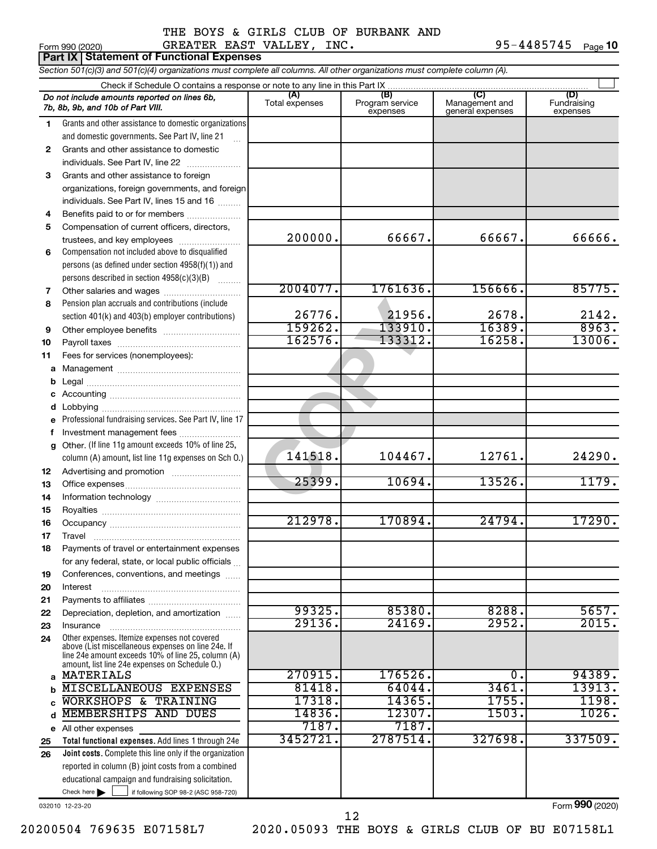#### Form 990 (2020) Page GREATER EAST VALLEY, INC. 95-4485745 THE BOYS & GIRLS CLUB OF BURBANK AND

 $95 - 4485745$  Page 10

|              | ∟olili aa∩ (≤∩≤∩)<br>UNDAIDR DADI VADDDI,<br><b>Part IX   Statement of Functional Expenses</b>                                                                                                             |                       |                                    |                                                      | $\pm$ $\pm$ $\rightarrow$ $\pm$ $\rightarrow$ $\pm$ $\rightarrow$ $\pm$ $\rightarrow$ $\pm$ $\rightarrow$ $\pm$ $\rightarrow$ $\pm$ $\rightarrow$ $\pm$ $\rightarrow$ $\pm$ $\rightarrow$ $\pm$ |
|--------------|------------------------------------------------------------------------------------------------------------------------------------------------------------------------------------------------------------|-----------------------|------------------------------------|------------------------------------------------------|-------------------------------------------------------------------------------------------------------------------------------------------------------------------------------------------------|
|              | Section 501(c)(3) and 501(c)(4) organizations must complete all columns. All other organizations must complete column (A).                                                                                 |                       |                                    |                                                      |                                                                                                                                                                                                 |
|              |                                                                                                                                                                                                            |                       |                                    |                                                      |                                                                                                                                                                                                 |
|              | Do not include amounts reported on lines 6b,<br>7b, 8b, 9b, and 10b of Part VIII.                                                                                                                          | (A)<br>Total expenses | (B)<br>Program service<br>expenses | $\overline{C}$<br>Management and<br>general expenses | (D)<br>Fundraising<br>expenses                                                                                                                                                                  |
| $\mathbf{1}$ | Grants and other assistance to domestic organizations                                                                                                                                                      |                       |                                    |                                                      |                                                                                                                                                                                                 |
|              | and domestic governments. See Part IV, line 21                                                                                                                                                             |                       |                                    |                                                      |                                                                                                                                                                                                 |
| 2            | Grants and other assistance to domestic                                                                                                                                                                    |                       |                                    |                                                      |                                                                                                                                                                                                 |
|              | individuals. See Part IV, line 22                                                                                                                                                                          |                       |                                    |                                                      |                                                                                                                                                                                                 |
| 3            | Grants and other assistance to foreign                                                                                                                                                                     |                       |                                    |                                                      |                                                                                                                                                                                                 |
|              | organizations, foreign governments, and foreign                                                                                                                                                            |                       |                                    |                                                      |                                                                                                                                                                                                 |
|              | individuals. See Part IV, lines 15 and 16                                                                                                                                                                  |                       |                                    |                                                      |                                                                                                                                                                                                 |
| 4            | Benefits paid to or for members                                                                                                                                                                            |                       |                                    |                                                      |                                                                                                                                                                                                 |
| 5            | Compensation of current officers, directors,                                                                                                                                                               | 200000.               | 66667.                             | 66667.                                               | 66666.                                                                                                                                                                                          |
|              | trustees, and key employees                                                                                                                                                                                |                       |                                    |                                                      |                                                                                                                                                                                                 |
| 6            | Compensation not included above to disqualified                                                                                                                                                            |                       |                                    |                                                      |                                                                                                                                                                                                 |
|              | persons (as defined under section 4958(f)(1)) and<br>persons described in section 4958(c)(3)(B)                                                                                                            |                       |                                    |                                                      |                                                                                                                                                                                                 |
| 7            | Other salaries and wages                                                                                                                                                                                   | 2004077.              | 1761636.                           | 156666.                                              | 85775.                                                                                                                                                                                          |
| 8            | Pension plan accruals and contributions (include                                                                                                                                                           |                       |                                    |                                                      |                                                                                                                                                                                                 |
|              | section 401(k) and 403(b) employer contributions)                                                                                                                                                          | 26776.                | 21956.                             | 2678.                                                | 2142.                                                                                                                                                                                           |
| 9            | Other employee benefits                                                                                                                                                                                    | 159262.               | 133910.                            | 16389.                                               | 8963.                                                                                                                                                                                           |
| 10           |                                                                                                                                                                                                            | 162576.               | 133312.                            | 16258.                                               | 13006.                                                                                                                                                                                          |
| 11           | Fees for services (nonemployees):                                                                                                                                                                          |                       |                                    |                                                      |                                                                                                                                                                                                 |
|              |                                                                                                                                                                                                            |                       |                                    |                                                      |                                                                                                                                                                                                 |
| b            |                                                                                                                                                                                                            |                       |                                    |                                                      |                                                                                                                                                                                                 |
| c            |                                                                                                                                                                                                            |                       |                                    |                                                      |                                                                                                                                                                                                 |
|              |                                                                                                                                                                                                            |                       |                                    |                                                      |                                                                                                                                                                                                 |
|              | Professional fundraising services. See Part IV, line 17                                                                                                                                                    |                       |                                    |                                                      |                                                                                                                                                                                                 |
| f            | Investment management fees                                                                                                                                                                                 |                       |                                    |                                                      |                                                                                                                                                                                                 |
| g            | Other. (If line 11g amount exceeds 10% of line 25,                                                                                                                                                         |                       |                                    |                                                      |                                                                                                                                                                                                 |
|              | column (A) amount, list line 11g expenses on Sch O.)                                                                                                                                                       | 141518.               | 104467.                            | 12761.                                               | 24290.                                                                                                                                                                                          |
| 12           |                                                                                                                                                                                                            | 25399.                |                                    | 13526.                                               |                                                                                                                                                                                                 |
| 13           |                                                                                                                                                                                                            |                       | 10694.                             |                                                      | 1179.                                                                                                                                                                                           |
| 14           |                                                                                                                                                                                                            |                       |                                    |                                                      |                                                                                                                                                                                                 |
| 15           |                                                                                                                                                                                                            | 212978.               | 170894.                            | 24794.                                               | 17290.                                                                                                                                                                                          |
| 16           |                                                                                                                                                                                                            |                       |                                    |                                                      |                                                                                                                                                                                                 |
| 17<br>18     | Travel<br>Payments of travel or entertainment expenses                                                                                                                                                     |                       |                                    |                                                      |                                                                                                                                                                                                 |
|              | for any federal, state, or local public officials                                                                                                                                                          |                       |                                    |                                                      |                                                                                                                                                                                                 |
| 19           | Conferences, conventions, and meetings                                                                                                                                                                     |                       |                                    |                                                      |                                                                                                                                                                                                 |
| 20           | Interest                                                                                                                                                                                                   |                       |                                    |                                                      |                                                                                                                                                                                                 |
| 21           |                                                                                                                                                                                                            |                       |                                    |                                                      |                                                                                                                                                                                                 |
| 22           | Depreciation, depletion, and amortization                                                                                                                                                                  | 99325.                | 85380.                             | 8288.                                                | 5657.                                                                                                                                                                                           |
| 23           | Insurance                                                                                                                                                                                                  | 29136.                | 24169.                             | 2952.                                                | 2015.                                                                                                                                                                                           |
| 24           | Other expenses. Itemize expenses not covered<br>above (List miscellaneous expenses on line 24e. If<br>line 24e amount exceeds 10% of line 25, column (A)<br>amount, list line 24e expenses on Schedule O.) |                       |                                    |                                                      |                                                                                                                                                                                                 |
| $\mathbf{a}$ | MATERIALS                                                                                                                                                                                                  | 270915.<br>81418.     | 176526.<br>64044.                  | σ.<br>3461.                                          | 94389.                                                                                                                                                                                          |
| b            | MISCELLANEOUS EXPENSES<br><b>WORKSHOPS &amp;</b><br><b>TRAINING</b>                                                                                                                                        | 17318.                | 14365.                             | 1755.                                                | 13913.<br>1198.                                                                                                                                                                                 |
| C            | MEMBERSHIPS AND DUES                                                                                                                                                                                       | 14836.                | 12307.                             | 1503.                                                | 1026.                                                                                                                                                                                           |
| d            |                                                                                                                                                                                                            | 7187.                 | 7187.                              |                                                      |                                                                                                                                                                                                 |
| е            | All other expenses<br>Total functional expenses. Add lines 1 through 24e                                                                                                                                   | 3452721               | 2787514.                           | 327698.                                              | 337509.                                                                                                                                                                                         |
| 25<br>26     | Joint costs. Complete this line only if the organization                                                                                                                                                   |                       |                                    |                                                      |                                                                                                                                                                                                 |
|              | reported in column (B) joint costs from a combined                                                                                                                                                         |                       |                                    |                                                      |                                                                                                                                                                                                 |
|              | educational campaign and fundraising solicitation.                                                                                                                                                         |                       |                                    |                                                      |                                                                                                                                                                                                 |
|              | Check here $\blacktriangleright$<br>if following SOP 98-2 (ASC 958-720)                                                                                                                                    |                       |                                    |                                                      |                                                                                                                                                                                                 |

032010 12-23-20

Form (2020) **990**

12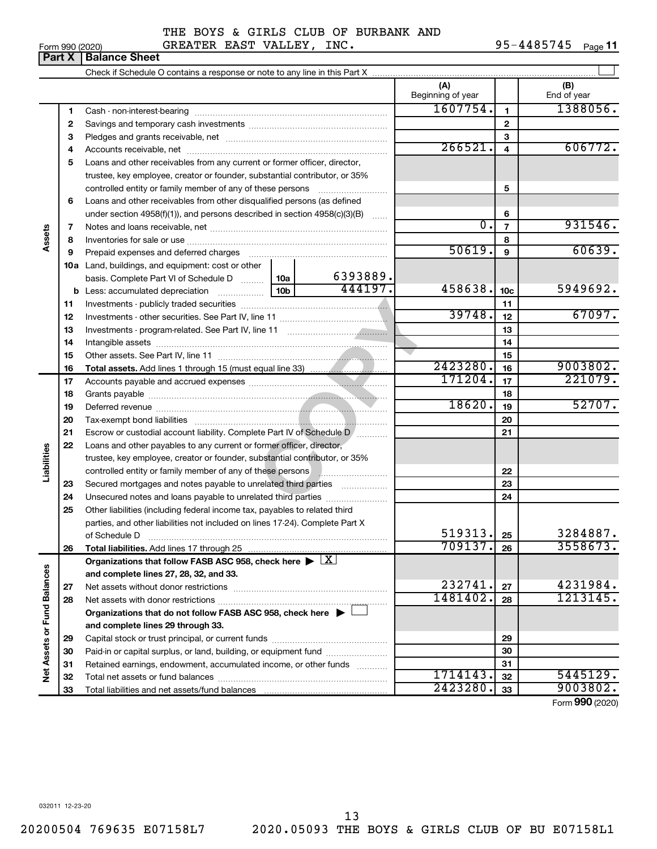#### Form 990 (2020) Page GREATER EAST VALLEY, INC. 95-4485745 THE BOYS & GIRLS CLUB OF BURBANK AND

95-4485745 Page 11

|                             | Part X   | <b>Balance Sheet</b>                                                                                                                                                                                                           |                 |          |                          |                         |                                         |
|-----------------------------|----------|--------------------------------------------------------------------------------------------------------------------------------------------------------------------------------------------------------------------------------|-----------------|----------|--------------------------|-------------------------|-----------------------------------------|
|                             |          |                                                                                                                                                                                                                                |                 |          |                          |                         |                                         |
|                             |          |                                                                                                                                                                                                                                |                 |          | (A)<br>Beginning of year |                         | (B)<br>End of year                      |
|                             | 1        |                                                                                                                                                                                                                                |                 |          | 1607754.                 | 1                       | 1388056.                                |
|                             | 2        |                                                                                                                                                                                                                                |                 |          |                          | $\mathbf{2}$            |                                         |
|                             | 3        |                                                                                                                                                                                                                                |                 |          |                          | 3                       |                                         |
|                             | 4        |                                                                                                                                                                                                                                |                 |          | 266521.                  | $\overline{\mathbf{4}}$ | 606772.                                 |
|                             | 5        | Loans and other receivables from any current or former officer, director,                                                                                                                                                      |                 |          |                          |                         |                                         |
|                             |          | trustee, key employee, creator or founder, substantial contributor, or 35%                                                                                                                                                     |                 |          |                          |                         |                                         |
|                             |          | controlled entity or family member of any of these persons                                                                                                                                                                     |                 |          |                          | 5                       |                                         |
|                             | 6        | Loans and other receivables from other disqualified persons (as defined                                                                                                                                                        |                 |          |                          |                         |                                         |
|                             |          | under section 4958(f)(1)), and persons described in section 4958(c)(3)(B)                                                                                                                                                      |                 |          |                          | 6                       |                                         |
|                             | 7        |                                                                                                                                                                                                                                |                 |          | $\overline{0}$ .         | $\overline{7}$          | 931546.                                 |
| Assets                      | 8        |                                                                                                                                                                                                                                |                 |          |                          | 8                       |                                         |
|                             | 9        | Prepaid expenses and deferred charges [11] matter continuum matter and referred charges [11] matter continuum matter continuum matter and continuum matter continuum matter continuum matter continuum matter continuum matter |                 |          | 50619.                   | 9                       | 60639.                                  |
|                             |          | <b>10a</b> Land, buildings, and equipment: cost or other                                                                                                                                                                       |                 |          |                          |                         |                                         |
|                             |          | basis. Complete Part VI of Schedule D                                                                                                                                                                                          | 10a             | 6393889. |                          |                         |                                         |
|                             |          |                                                                                                                                                                                                                                | 10 <sub>b</sub> | 444197.  | 458638.                  | 10 <sub>c</sub>         | 5949692.                                |
|                             | 11       |                                                                                                                                                                                                                                |                 |          |                          | 11                      |                                         |
|                             | 12       |                                                                                                                                                                                                                                | 39748.          | 12       | 67097.                   |                         |                                         |
|                             | 13       |                                                                                                                                                                                                                                |                 | 13       |                          |                         |                                         |
|                             | 14       |                                                                                                                                                                                                                                |                 |          |                          | 14                      |                                         |
|                             | 15       |                                                                                                                                                                                                                                |                 |          | 2423280.                 | 15                      | 9003802.                                |
|                             | 16       |                                                                                                                                                                                                                                |                 |          | 171204.                  | 16<br>17                | 221079.                                 |
|                             | 17<br>18 |                                                                                                                                                                                                                                |                 |          |                          | 18                      |                                         |
|                             | 19       |                                                                                                                                                                                                                                | 18620.          | 19       | 52707.                   |                         |                                         |
|                             | 20       |                                                                                                                                                                                                                                |                 | 20       |                          |                         |                                         |
|                             | 21       | Escrow or custodial account liability. Complete Part IV of Schedule D /                                                                                                                                                        |                 |          | 21                       |                         |                                         |
|                             | 22       | Loans and other payables to any current or former officer, director,                                                                                                                                                           |                 |          |                          |                         |                                         |
| Liabilities                 |          | trustee, key employee, creator or founder, substantial contributor, or 35%                                                                                                                                                     |                 |          |                          |                         |                                         |
|                             |          | controlled entity or family member of any of these persons <b>with all any controlled</b> entity or family member of any of these persons                                                                                      |                 |          |                          | 22                      |                                         |
|                             | 23       | Secured mortgages and notes payable to unrelated third parties                                                                                                                                                                 |                 |          |                          | 23                      |                                         |
|                             | 24       | Unsecured notes and loans payable to unrelated third parties                                                                                                                                                                   |                 |          |                          | 24                      |                                         |
|                             | 25       | Other liabilities (including federal income tax, payables to related third                                                                                                                                                     |                 |          |                          |                         |                                         |
|                             |          | parties, and other liabilities not included on lines 17-24). Complete Part X                                                                                                                                                   |                 |          |                          |                         |                                         |
|                             |          | of Schedule D                                                                                                                                                                                                                  |                 |          | 519313.                  | 25                      | 3284887.                                |
|                             | 26       |                                                                                                                                                                                                                                |                 |          | 709137.                  | 26                      | 3558673.                                |
|                             |          | Organizations that follow FASB ASC 958, check here $\blacktriangleright \lfloor \underline{X} \rfloor$                                                                                                                         |                 |          |                          |                         |                                         |
|                             |          | and complete lines 27, 28, 32, and 33.                                                                                                                                                                                         |                 |          |                          |                         |                                         |
|                             | 27       |                                                                                                                                                                                                                                |                 |          | 232741.                  | 27                      | 4231984.                                |
|                             | 28       |                                                                                                                                                                                                                                |                 |          | 1481402.                 | 28                      | 1213145.                                |
|                             |          | Organizations that do not follow FASB ASC 958, check here ▶ □                                                                                                                                                                  |                 |          |                          |                         |                                         |
|                             |          | and complete lines 29 through 33.                                                                                                                                                                                              |                 |          |                          |                         |                                         |
|                             | 29       |                                                                                                                                                                                                                                |                 |          |                          | 29                      |                                         |
|                             | 30       | Paid-in or capital surplus, or land, building, or equipment fund                                                                                                                                                               |                 |          |                          | 30                      |                                         |
| Net Assets or Fund Balances | 31       | Retained earnings, endowment, accumulated income, or other funds                                                                                                                                                               |                 |          |                          | 31                      |                                         |
|                             | 32       |                                                                                                                                                                                                                                |                 |          | 1714143.                 | 32                      | 5445129.                                |
|                             | 33       |                                                                                                                                                                                                                                |                 |          | 2423280                  | 33                      | 9003802.<br>$T_{\text{max}}$ 000 (0000) |

Form (2020) **990**

032011 12-23-20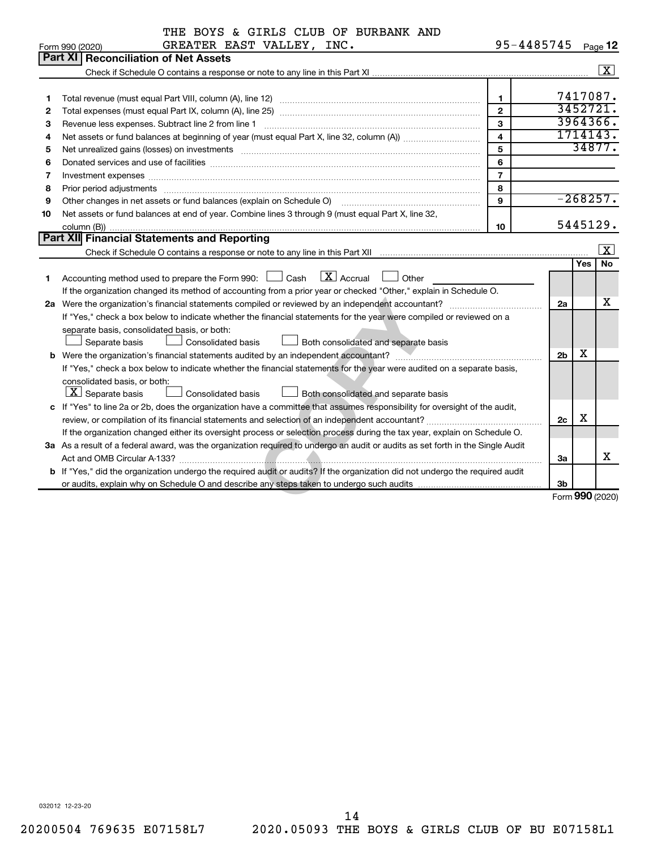| 95-4485745<br>GREATER EAST VALLEY, INC.<br>Page 12<br>Form 990 (2020)<br><b>Part XI   Reconciliation of Net Assets</b><br>$\boxed{\text{X}}$<br>7417087.<br>$\mathbf{1}$<br>1<br>3452721<br>$\overline{2}$<br>2<br>3964366.<br>3<br>З<br>Revenue less expenses. Subtract line 2 from line 1<br>1714143.<br>$\overline{4}$<br>4<br>34877.<br>5<br>5<br>Net unrealized gains (losses) on investments [11] matter continuum matter is a set of the set of the set of the<br>6<br>6<br>$\overline{7}$<br>$\overline{\phantom{a}}$<br>8<br>8<br>$-268257.$<br>9<br>Other changes in net assets or fund balances (explain on Schedule O) manufactured controller changes in net assets or fund balances (explain on Schedule O)<br>9<br>Net assets or fund balances at end of year. Combine lines 3 through 9 (must equal Part X, line 32,<br>10<br>5445129.<br>10<br>Part XII Financial Statements and Reporting<br>$\overline{\mathbf{x}}$<br><b>Yes</b><br>No<br>Accounting method used to prepare the Form 990: $\Box$ Cash $\Box$ Accrual $\Box$ Other<br>1<br>If the organization changed its method of accounting from a prior year or checked "Other," explain in Schedule O.<br>х<br>2a<br>If "Yes," check a box below to indicate whether the financial statements for the year were compiled or reviewed on a<br>separate basis, consolidated basis, or both:<br>Separate basis<br>Consolidated basis<br>Both consolidated and separate basis<br>х<br>2 <sub>b</sub><br>If "Yes," check a box below to indicate whether the financial statements for the year were audited on a separate basis,<br>consolidated basis, or both:<br>$ \mathbf{X} $ Separate basis<br>Consolidated basis<br>Both consolidated and separate basis<br>c If "Yes" to line 2a or 2b, does the organization have a committee that assumes responsibility for oversight of the audit,<br>X<br>2c<br>If the organization changed either its oversight process or selection process during the tax year, explain on Schedule O.<br>3a As a result of a federal award, was the organization required to undergo an audit or audits as set forth in the Single Audit<br>x<br>За<br>b If "Yes," did the organization undergo the required audit or audits? If the organization did not undergo the required audit<br>3 <sub>b</sub><br>Form 990 (2020) | THE BOYS & GIRLS CLUB OF BURBANK AND |  |  |
|--------------------------------------------------------------------------------------------------------------------------------------------------------------------------------------------------------------------------------------------------------------------------------------------------------------------------------------------------------------------------------------------------------------------------------------------------------------------------------------------------------------------------------------------------------------------------------------------------------------------------------------------------------------------------------------------------------------------------------------------------------------------------------------------------------------------------------------------------------------------------------------------------------------------------------------------------------------------------------------------------------------------------------------------------------------------------------------------------------------------------------------------------------------------------------------------------------------------------------------------------------------------------------------------------------------------------------------------------------------------------------------------------------------------------------------------------------------------------------------------------------------------------------------------------------------------------------------------------------------------------------------------------------------------------------------------------------------------------------------------------------------------------------------------------------------------------------------------------------------------------------------------------------------------------------------------------------------------------------------------------------------------------------------------------------------------------------------------------------------------------------------------------------------------------------------------------------------------------------------------------------------------------------------------------------------------------------|--------------------------------------|--|--|
|                                                                                                                                                                                                                                                                                                                                                                                                                                                                                                                                                                                                                                                                                                                                                                                                                                                                                                                                                                                                                                                                                                                                                                                                                                                                                                                                                                                                                                                                                                                                                                                                                                                                                                                                                                                                                                                                                                                                                                                                                                                                                                                                                                                                                                                                                                                                |                                      |  |  |
|                                                                                                                                                                                                                                                                                                                                                                                                                                                                                                                                                                                                                                                                                                                                                                                                                                                                                                                                                                                                                                                                                                                                                                                                                                                                                                                                                                                                                                                                                                                                                                                                                                                                                                                                                                                                                                                                                                                                                                                                                                                                                                                                                                                                                                                                                                                                |                                      |  |  |
|                                                                                                                                                                                                                                                                                                                                                                                                                                                                                                                                                                                                                                                                                                                                                                                                                                                                                                                                                                                                                                                                                                                                                                                                                                                                                                                                                                                                                                                                                                                                                                                                                                                                                                                                                                                                                                                                                                                                                                                                                                                                                                                                                                                                                                                                                                                                |                                      |  |  |
|                                                                                                                                                                                                                                                                                                                                                                                                                                                                                                                                                                                                                                                                                                                                                                                                                                                                                                                                                                                                                                                                                                                                                                                                                                                                                                                                                                                                                                                                                                                                                                                                                                                                                                                                                                                                                                                                                                                                                                                                                                                                                                                                                                                                                                                                                                                                |                                      |  |  |
|                                                                                                                                                                                                                                                                                                                                                                                                                                                                                                                                                                                                                                                                                                                                                                                                                                                                                                                                                                                                                                                                                                                                                                                                                                                                                                                                                                                                                                                                                                                                                                                                                                                                                                                                                                                                                                                                                                                                                                                                                                                                                                                                                                                                                                                                                                                                |                                      |  |  |
|                                                                                                                                                                                                                                                                                                                                                                                                                                                                                                                                                                                                                                                                                                                                                                                                                                                                                                                                                                                                                                                                                                                                                                                                                                                                                                                                                                                                                                                                                                                                                                                                                                                                                                                                                                                                                                                                                                                                                                                                                                                                                                                                                                                                                                                                                                                                |                                      |  |  |
|                                                                                                                                                                                                                                                                                                                                                                                                                                                                                                                                                                                                                                                                                                                                                                                                                                                                                                                                                                                                                                                                                                                                                                                                                                                                                                                                                                                                                                                                                                                                                                                                                                                                                                                                                                                                                                                                                                                                                                                                                                                                                                                                                                                                                                                                                                                                |                                      |  |  |
|                                                                                                                                                                                                                                                                                                                                                                                                                                                                                                                                                                                                                                                                                                                                                                                                                                                                                                                                                                                                                                                                                                                                                                                                                                                                                                                                                                                                                                                                                                                                                                                                                                                                                                                                                                                                                                                                                                                                                                                                                                                                                                                                                                                                                                                                                                                                |                                      |  |  |
|                                                                                                                                                                                                                                                                                                                                                                                                                                                                                                                                                                                                                                                                                                                                                                                                                                                                                                                                                                                                                                                                                                                                                                                                                                                                                                                                                                                                                                                                                                                                                                                                                                                                                                                                                                                                                                                                                                                                                                                                                                                                                                                                                                                                                                                                                                                                |                                      |  |  |
|                                                                                                                                                                                                                                                                                                                                                                                                                                                                                                                                                                                                                                                                                                                                                                                                                                                                                                                                                                                                                                                                                                                                                                                                                                                                                                                                                                                                                                                                                                                                                                                                                                                                                                                                                                                                                                                                                                                                                                                                                                                                                                                                                                                                                                                                                                                                |                                      |  |  |
|                                                                                                                                                                                                                                                                                                                                                                                                                                                                                                                                                                                                                                                                                                                                                                                                                                                                                                                                                                                                                                                                                                                                                                                                                                                                                                                                                                                                                                                                                                                                                                                                                                                                                                                                                                                                                                                                                                                                                                                                                                                                                                                                                                                                                                                                                                                                |                                      |  |  |
|                                                                                                                                                                                                                                                                                                                                                                                                                                                                                                                                                                                                                                                                                                                                                                                                                                                                                                                                                                                                                                                                                                                                                                                                                                                                                                                                                                                                                                                                                                                                                                                                                                                                                                                                                                                                                                                                                                                                                                                                                                                                                                                                                                                                                                                                                                                                |                                      |  |  |
|                                                                                                                                                                                                                                                                                                                                                                                                                                                                                                                                                                                                                                                                                                                                                                                                                                                                                                                                                                                                                                                                                                                                                                                                                                                                                                                                                                                                                                                                                                                                                                                                                                                                                                                                                                                                                                                                                                                                                                                                                                                                                                                                                                                                                                                                                                                                |                                      |  |  |
|                                                                                                                                                                                                                                                                                                                                                                                                                                                                                                                                                                                                                                                                                                                                                                                                                                                                                                                                                                                                                                                                                                                                                                                                                                                                                                                                                                                                                                                                                                                                                                                                                                                                                                                                                                                                                                                                                                                                                                                                                                                                                                                                                                                                                                                                                                                                |                                      |  |  |
|                                                                                                                                                                                                                                                                                                                                                                                                                                                                                                                                                                                                                                                                                                                                                                                                                                                                                                                                                                                                                                                                                                                                                                                                                                                                                                                                                                                                                                                                                                                                                                                                                                                                                                                                                                                                                                                                                                                                                                                                                                                                                                                                                                                                                                                                                                                                |                                      |  |  |
|                                                                                                                                                                                                                                                                                                                                                                                                                                                                                                                                                                                                                                                                                                                                                                                                                                                                                                                                                                                                                                                                                                                                                                                                                                                                                                                                                                                                                                                                                                                                                                                                                                                                                                                                                                                                                                                                                                                                                                                                                                                                                                                                                                                                                                                                                                                                |                                      |  |  |
|                                                                                                                                                                                                                                                                                                                                                                                                                                                                                                                                                                                                                                                                                                                                                                                                                                                                                                                                                                                                                                                                                                                                                                                                                                                                                                                                                                                                                                                                                                                                                                                                                                                                                                                                                                                                                                                                                                                                                                                                                                                                                                                                                                                                                                                                                                                                |                                      |  |  |
|                                                                                                                                                                                                                                                                                                                                                                                                                                                                                                                                                                                                                                                                                                                                                                                                                                                                                                                                                                                                                                                                                                                                                                                                                                                                                                                                                                                                                                                                                                                                                                                                                                                                                                                                                                                                                                                                                                                                                                                                                                                                                                                                                                                                                                                                                                                                |                                      |  |  |
|                                                                                                                                                                                                                                                                                                                                                                                                                                                                                                                                                                                                                                                                                                                                                                                                                                                                                                                                                                                                                                                                                                                                                                                                                                                                                                                                                                                                                                                                                                                                                                                                                                                                                                                                                                                                                                                                                                                                                                                                                                                                                                                                                                                                                                                                                                                                |                                      |  |  |
|                                                                                                                                                                                                                                                                                                                                                                                                                                                                                                                                                                                                                                                                                                                                                                                                                                                                                                                                                                                                                                                                                                                                                                                                                                                                                                                                                                                                                                                                                                                                                                                                                                                                                                                                                                                                                                                                                                                                                                                                                                                                                                                                                                                                                                                                                                                                |                                      |  |  |
|                                                                                                                                                                                                                                                                                                                                                                                                                                                                                                                                                                                                                                                                                                                                                                                                                                                                                                                                                                                                                                                                                                                                                                                                                                                                                                                                                                                                                                                                                                                                                                                                                                                                                                                                                                                                                                                                                                                                                                                                                                                                                                                                                                                                                                                                                                                                |                                      |  |  |
|                                                                                                                                                                                                                                                                                                                                                                                                                                                                                                                                                                                                                                                                                                                                                                                                                                                                                                                                                                                                                                                                                                                                                                                                                                                                                                                                                                                                                                                                                                                                                                                                                                                                                                                                                                                                                                                                                                                                                                                                                                                                                                                                                                                                                                                                                                                                |                                      |  |  |
|                                                                                                                                                                                                                                                                                                                                                                                                                                                                                                                                                                                                                                                                                                                                                                                                                                                                                                                                                                                                                                                                                                                                                                                                                                                                                                                                                                                                                                                                                                                                                                                                                                                                                                                                                                                                                                                                                                                                                                                                                                                                                                                                                                                                                                                                                                                                |                                      |  |  |
|                                                                                                                                                                                                                                                                                                                                                                                                                                                                                                                                                                                                                                                                                                                                                                                                                                                                                                                                                                                                                                                                                                                                                                                                                                                                                                                                                                                                                                                                                                                                                                                                                                                                                                                                                                                                                                                                                                                                                                                                                                                                                                                                                                                                                                                                                                                                |                                      |  |  |
|                                                                                                                                                                                                                                                                                                                                                                                                                                                                                                                                                                                                                                                                                                                                                                                                                                                                                                                                                                                                                                                                                                                                                                                                                                                                                                                                                                                                                                                                                                                                                                                                                                                                                                                                                                                                                                                                                                                                                                                                                                                                                                                                                                                                                                                                                                                                |                                      |  |  |
|                                                                                                                                                                                                                                                                                                                                                                                                                                                                                                                                                                                                                                                                                                                                                                                                                                                                                                                                                                                                                                                                                                                                                                                                                                                                                                                                                                                                                                                                                                                                                                                                                                                                                                                                                                                                                                                                                                                                                                                                                                                                                                                                                                                                                                                                                                                                |                                      |  |  |
|                                                                                                                                                                                                                                                                                                                                                                                                                                                                                                                                                                                                                                                                                                                                                                                                                                                                                                                                                                                                                                                                                                                                                                                                                                                                                                                                                                                                                                                                                                                                                                                                                                                                                                                                                                                                                                                                                                                                                                                                                                                                                                                                                                                                                                                                                                                                |                                      |  |  |
|                                                                                                                                                                                                                                                                                                                                                                                                                                                                                                                                                                                                                                                                                                                                                                                                                                                                                                                                                                                                                                                                                                                                                                                                                                                                                                                                                                                                                                                                                                                                                                                                                                                                                                                                                                                                                                                                                                                                                                                                                                                                                                                                                                                                                                                                                                                                |                                      |  |  |
|                                                                                                                                                                                                                                                                                                                                                                                                                                                                                                                                                                                                                                                                                                                                                                                                                                                                                                                                                                                                                                                                                                                                                                                                                                                                                                                                                                                                                                                                                                                                                                                                                                                                                                                                                                                                                                                                                                                                                                                                                                                                                                                                                                                                                                                                                                                                |                                      |  |  |
|                                                                                                                                                                                                                                                                                                                                                                                                                                                                                                                                                                                                                                                                                                                                                                                                                                                                                                                                                                                                                                                                                                                                                                                                                                                                                                                                                                                                                                                                                                                                                                                                                                                                                                                                                                                                                                                                                                                                                                                                                                                                                                                                                                                                                                                                                                                                |                                      |  |  |
|                                                                                                                                                                                                                                                                                                                                                                                                                                                                                                                                                                                                                                                                                                                                                                                                                                                                                                                                                                                                                                                                                                                                                                                                                                                                                                                                                                                                                                                                                                                                                                                                                                                                                                                                                                                                                                                                                                                                                                                                                                                                                                                                                                                                                                                                                                                                |                                      |  |  |
|                                                                                                                                                                                                                                                                                                                                                                                                                                                                                                                                                                                                                                                                                                                                                                                                                                                                                                                                                                                                                                                                                                                                                                                                                                                                                                                                                                                                                                                                                                                                                                                                                                                                                                                                                                                                                                                                                                                                                                                                                                                                                                                                                                                                                                                                                                                                |                                      |  |  |
|                                                                                                                                                                                                                                                                                                                                                                                                                                                                                                                                                                                                                                                                                                                                                                                                                                                                                                                                                                                                                                                                                                                                                                                                                                                                                                                                                                                                                                                                                                                                                                                                                                                                                                                                                                                                                                                                                                                                                                                                                                                                                                                                                                                                                                                                                                                                |                                      |  |  |
|                                                                                                                                                                                                                                                                                                                                                                                                                                                                                                                                                                                                                                                                                                                                                                                                                                                                                                                                                                                                                                                                                                                                                                                                                                                                                                                                                                                                                                                                                                                                                                                                                                                                                                                                                                                                                                                                                                                                                                                                                                                                                                                                                                                                                                                                                                                                |                                      |  |  |
|                                                                                                                                                                                                                                                                                                                                                                                                                                                                                                                                                                                                                                                                                                                                                                                                                                                                                                                                                                                                                                                                                                                                                                                                                                                                                                                                                                                                                                                                                                                                                                                                                                                                                                                                                                                                                                                                                                                                                                                                                                                                                                                                                                                                                                                                                                                                |                                      |  |  |
|                                                                                                                                                                                                                                                                                                                                                                                                                                                                                                                                                                                                                                                                                                                                                                                                                                                                                                                                                                                                                                                                                                                                                                                                                                                                                                                                                                                                                                                                                                                                                                                                                                                                                                                                                                                                                                                                                                                                                                                                                                                                                                                                                                                                                                                                                                                                |                                      |  |  |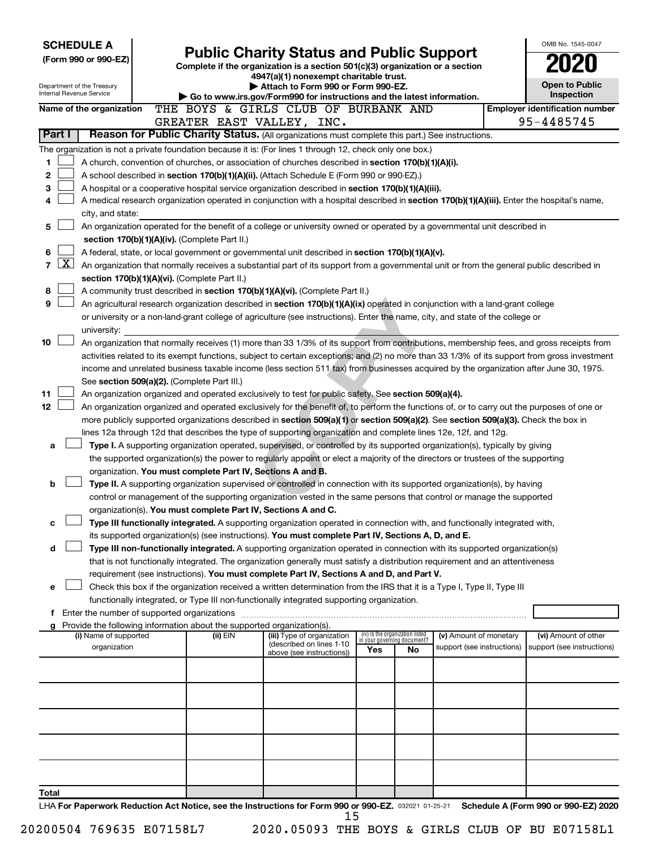| <b>SCHEDULE A</b>                                                                                         |                                                                                                                                                                                                                                                                                       |                                                               |                                                                                                                                                                                                                      |     |                                                                |                            |  | OMB No. 1545-0047                     |  |  |  |  |
|-----------------------------------------------------------------------------------------------------------|---------------------------------------------------------------------------------------------------------------------------------------------------------------------------------------------------------------------------------------------------------------------------------------|---------------------------------------------------------------|----------------------------------------------------------------------------------------------------------------------------------------------------------------------------------------------------------------------|-----|----------------------------------------------------------------|----------------------------|--|---------------------------------------|--|--|--|--|
| (Form 990 or 990-EZ)                                                                                      |                                                                                                                                                                                                                                                                                       |                                                               | <b>Public Charity Status and Public Support</b><br>Complete if the organization is a section 501(c)(3) organization or a section                                                                                     |     |                                                                |                            |  |                                       |  |  |  |  |
|                                                                                                           |                                                                                                                                                                                                                                                                                       |                                                               | 4947(a)(1) nonexempt charitable trust.                                                                                                                                                                               |     |                                                                |                            |  |                                       |  |  |  |  |
| Department of the Treasury<br>Internal Revenue Service                                                    |                                                                                                                                                                                                                                                                                       |                                                               | Attach to Form 990 or Form 990-EZ.                                                                                                                                                                                   |     |                                                                |                            |  | <b>Open to Public</b><br>Inspection   |  |  |  |  |
| Name of the organization                                                                                  |                                                                                                                                                                                                                                                                                       |                                                               | Go to www.irs.gov/Form990 for instructions and the latest information.<br>THE BOYS & GIRLS CLUB OF BURBANK AND                                                                                                       |     |                                                                |                            |  | <b>Employer identification number</b> |  |  |  |  |
|                                                                                                           |                                                                                                                                                                                                                                                                                       |                                                               | GREATER EAST VALLEY, INC.                                                                                                                                                                                            |     |                                                                |                            |  | 95-4485745                            |  |  |  |  |
| Part I                                                                                                    |                                                                                                                                                                                                                                                                                       |                                                               | Reason for Public Charity Status. (All organizations must complete this part.) See instructions.                                                                                                                     |     |                                                                |                            |  |                                       |  |  |  |  |
| The organization is not a private foundation because it is: (For lines 1 through 12, check only one box.) |                                                                                                                                                                                                                                                                                       |                                                               |                                                                                                                                                                                                                      |     |                                                                |                            |  |                                       |  |  |  |  |
| 1                                                                                                         |                                                                                                                                                                                                                                                                                       |                                                               | A church, convention of churches, or association of churches described in section 170(b)(1)(A)(i).                                                                                                                   |     |                                                                |                            |  |                                       |  |  |  |  |
| $\mathbf{2}$                                                                                              |                                                                                                                                                                                                                                                                                       |                                                               | A school described in section 170(b)(1)(A)(ii). (Attach Schedule E (Form 990 or 990-EZ).)                                                                                                                            |     |                                                                |                            |  |                                       |  |  |  |  |
| 3                                                                                                         |                                                                                                                                                                                                                                                                                       |                                                               | A hospital or a cooperative hospital service organization described in section 170(b)(1)(A)(iii).                                                                                                                    |     |                                                                |                            |  |                                       |  |  |  |  |
| 4                                                                                                         |                                                                                                                                                                                                                                                                                       |                                                               | A medical research organization operated in conjunction with a hospital described in section 170(b)(1)(A)(iii). Enter the hospital's name,                                                                           |     |                                                                |                            |  |                                       |  |  |  |  |
| city, and state:                                                                                          |                                                                                                                                                                                                                                                                                       |                                                               |                                                                                                                                                                                                                      |     |                                                                |                            |  |                                       |  |  |  |  |
| 5                                                                                                         |                                                                                                                                                                                                                                                                                       |                                                               | An organization operated for the benefit of a college or university owned or operated by a governmental unit described in                                                                                            |     |                                                                |                            |  |                                       |  |  |  |  |
| 6                                                                                                         |                                                                                                                                                                                                                                                                                       | section 170(b)(1)(A)(iv). (Complete Part II.)                 |                                                                                                                                                                                                                      |     |                                                                |                            |  |                                       |  |  |  |  |
| 7                                                                                                         | A federal, state, or local government or governmental unit described in section $170(b)(1)(A)(v)$ .<br>$\lfloor x \rfloor$<br>An organization that normally receives a substantial part of its support from a governmental unit or from the general public described in               |                                                               |                                                                                                                                                                                                                      |     |                                                                |                            |  |                                       |  |  |  |  |
|                                                                                                           | section 170(b)(1)(A)(vi). (Complete Part II.)                                                                                                                                                                                                                                         |                                                               |                                                                                                                                                                                                                      |     |                                                                |                            |  |                                       |  |  |  |  |
| 8                                                                                                         |                                                                                                                                                                                                                                                                                       |                                                               | A community trust described in section 170(b)(1)(A)(vi). (Complete Part II.)                                                                                                                                         |     |                                                                |                            |  |                                       |  |  |  |  |
| 9                                                                                                         |                                                                                                                                                                                                                                                                                       |                                                               | An agricultural research organization described in section 170(b)(1)(A)(ix) operated in conjunction with a land-grant college                                                                                        |     |                                                                |                            |  |                                       |  |  |  |  |
|                                                                                                           |                                                                                                                                                                                                                                                                                       |                                                               | or university or a non-land-grant college of agriculture (see instructions). Enter the name, city, and state of the college or                                                                                       |     |                                                                |                            |  |                                       |  |  |  |  |
| university:                                                                                               |                                                                                                                                                                                                                                                                                       |                                                               |                                                                                                                                                                                                                      |     |                                                                |                            |  |                                       |  |  |  |  |
| 10                                                                                                        |                                                                                                                                                                                                                                                                                       |                                                               | An organization that normally receives (1) more than 33 1/3% of its support from contributions, membership fees, and gross receipts from                                                                             |     |                                                                |                            |  |                                       |  |  |  |  |
|                                                                                                           | activities related to its exempt functions, subject to certain exceptions; and (2) no more than 33 1/3% of its support from gross investment<br>income and unrelated business taxable income (less section 511 tax) from businesses acquired by the organization after June 30, 1975. |                                                               |                                                                                                                                                                                                                      |     |                                                                |                            |  |                                       |  |  |  |  |
|                                                                                                           |                                                                                                                                                                                                                                                                                       | See section 509(a)(2). (Complete Part III.)                   |                                                                                                                                                                                                                      |     |                                                                |                            |  |                                       |  |  |  |  |
| 11                                                                                                        |                                                                                                                                                                                                                                                                                       |                                                               | An organization organized and operated exclusively to test for public safety. See section 509(a)(4).                                                                                                                 |     |                                                                |                            |  |                                       |  |  |  |  |
| 12                                                                                                        |                                                                                                                                                                                                                                                                                       |                                                               | An organization organized and operated exclusively for the benefit of, to perform the functions of, or to carry out the purposes of one or                                                                           |     |                                                                |                            |  |                                       |  |  |  |  |
|                                                                                                           |                                                                                                                                                                                                                                                                                       |                                                               | more publicly supported organizations described in section 509(a)(1) or section 509(a)(2). See section 509(a)(3). Check the box in                                                                                   |     |                                                                |                            |  |                                       |  |  |  |  |
|                                                                                                           |                                                                                                                                                                                                                                                                                       |                                                               | lines 12a through 12d that describes the type of supporting organization and complete lines 12e, 12f, and 12g.                                                                                                       |     |                                                                |                            |  |                                       |  |  |  |  |
| a                                                                                                         |                                                                                                                                                                                                                                                                                       |                                                               | Type I. A supporting organization operated, supervised, or controlled by its supported organization(s), typically by giving                                                                                          |     |                                                                |                            |  |                                       |  |  |  |  |
|                                                                                                           |                                                                                                                                                                                                                                                                                       |                                                               | the supported organization(s) the power to regularly appoint or elect a majority of the directors or trustees of the supporting                                                                                      |     |                                                                |                            |  |                                       |  |  |  |  |
| b                                                                                                         |                                                                                                                                                                                                                                                                                       | organization. You must complete Part IV, Sections A and B.    | Type II. A supporting organization supervised or controlled in connection with its supported organization(s), by having                                                                                              |     |                                                                |                            |  |                                       |  |  |  |  |
|                                                                                                           |                                                                                                                                                                                                                                                                                       |                                                               | control or management of the supporting organization vested in the same persons that control or manage the supported                                                                                                 |     |                                                                |                            |  |                                       |  |  |  |  |
|                                                                                                           |                                                                                                                                                                                                                                                                                       | organization(s). You must complete Part IV, Sections A and C. |                                                                                                                                                                                                                      |     |                                                                |                            |  |                                       |  |  |  |  |
| с                                                                                                         |                                                                                                                                                                                                                                                                                       |                                                               | Type III functionally integrated. A supporting organization operated in connection with, and functionally integrated with,                                                                                           |     |                                                                |                            |  |                                       |  |  |  |  |
|                                                                                                           |                                                                                                                                                                                                                                                                                       |                                                               | its supported organization(s) (see instructions). You must complete Part IV, Sections A, D, and E.                                                                                                                   |     |                                                                |                            |  |                                       |  |  |  |  |
| d                                                                                                         |                                                                                                                                                                                                                                                                                       |                                                               | Type III non-functionally integrated. A supporting organization operated in connection with its supported organization(s)                                                                                            |     |                                                                |                            |  |                                       |  |  |  |  |
|                                                                                                           |                                                                                                                                                                                                                                                                                       |                                                               | that is not functionally integrated. The organization generally must satisfy a distribution requirement and an attentiveness                                                                                         |     |                                                                |                            |  |                                       |  |  |  |  |
|                                                                                                           |                                                                                                                                                                                                                                                                                       |                                                               | requirement (see instructions). You must complete Part IV, Sections A and D, and Part V.                                                                                                                             |     |                                                                |                            |  |                                       |  |  |  |  |
| е                                                                                                         |                                                                                                                                                                                                                                                                                       |                                                               | Check this box if the organization received a written determination from the IRS that it is a Type I, Type II, Type III<br>functionally integrated, or Type III non-functionally integrated supporting organization. |     |                                                                |                            |  |                                       |  |  |  |  |
|                                                                                                           |                                                                                                                                                                                                                                                                                       |                                                               |                                                                                                                                                                                                                      |     |                                                                |                            |  |                                       |  |  |  |  |
| Provide the following information about the supported organization(s).<br>g                               |                                                                                                                                                                                                                                                                                       |                                                               |                                                                                                                                                                                                                      |     |                                                                |                            |  |                                       |  |  |  |  |
| (i) Name of supported                                                                                     |                                                                                                                                                                                                                                                                                       | (ii) EIN                                                      | (iii) Type of organization<br>(described on lines 1-10                                                                                                                                                               |     | (iv) Is the organization listed<br>in your governing document? | (v) Amount of monetary     |  | (vi) Amount of other                  |  |  |  |  |
| organization                                                                                              |                                                                                                                                                                                                                                                                                       |                                                               | above (see instructions))                                                                                                                                                                                            | Yes | No                                                             | support (see instructions) |  | support (see instructions)            |  |  |  |  |
|                                                                                                           |                                                                                                                                                                                                                                                                                       |                                                               |                                                                                                                                                                                                                      |     |                                                                |                            |  |                                       |  |  |  |  |
|                                                                                                           |                                                                                                                                                                                                                                                                                       |                                                               |                                                                                                                                                                                                                      |     |                                                                |                            |  |                                       |  |  |  |  |
|                                                                                                           |                                                                                                                                                                                                                                                                                       |                                                               |                                                                                                                                                                                                                      |     |                                                                |                            |  |                                       |  |  |  |  |
|                                                                                                           |                                                                                                                                                                                                                                                                                       |                                                               |                                                                                                                                                                                                                      |     |                                                                |                            |  |                                       |  |  |  |  |
|                                                                                                           |                                                                                                                                                                                                                                                                                       |                                                               |                                                                                                                                                                                                                      |     |                                                                |                            |  |                                       |  |  |  |  |
|                                                                                                           |                                                                                                                                                                                                                                                                                       |                                                               |                                                                                                                                                                                                                      |     |                                                                |                            |  |                                       |  |  |  |  |
|                                                                                                           |                                                                                                                                                                                                                                                                                       |                                                               |                                                                                                                                                                                                                      |     |                                                                |                            |  |                                       |  |  |  |  |
|                                                                                                           |                                                                                                                                                                                                                                                                                       |                                                               |                                                                                                                                                                                                                      |     |                                                                |                            |  |                                       |  |  |  |  |
|                                                                                                           |                                                                                                                                                                                                                                                                                       |                                                               |                                                                                                                                                                                                                      |     |                                                                |                            |  |                                       |  |  |  |  |
| Total                                                                                                     |                                                                                                                                                                                                                                                                                       |                                                               | LHA For Paperwork Reduction Act Notice, see the Instructions for Form 990 or 990-EZ. 032021 01-25-21                                                                                                                 |     |                                                                |                            |  | Schedule A (Form 990 or 990-EZ) 2020  |  |  |  |  |

|  | 20200504 769635 E07158L7 |  |  |
|--|--------------------------|--|--|
|--|--------------------------|--|--|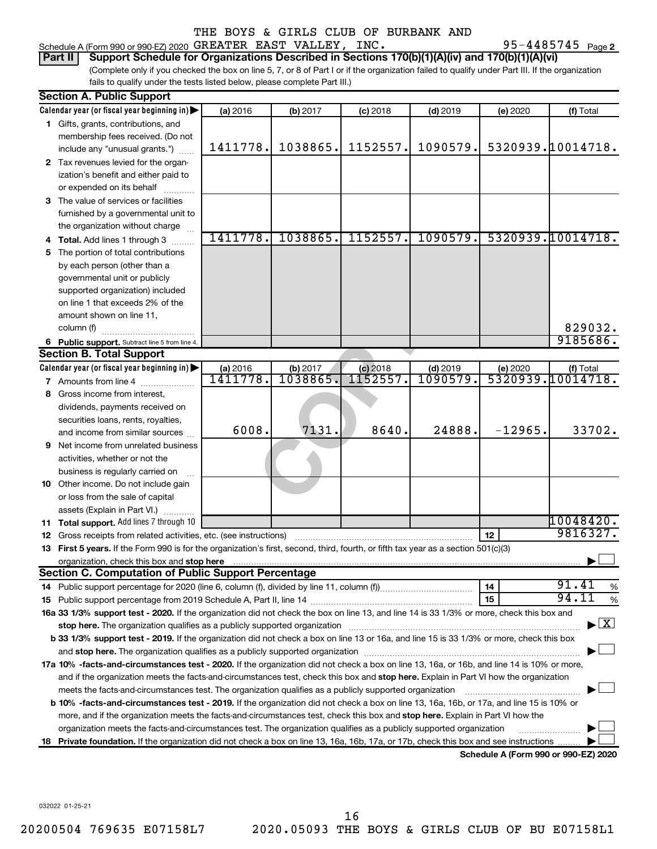Schedule A (Form 990 or 990-EZ) 2020  $\,$  GREATER EAST VALLEY, INC  $\,$   $\,$ 

95-4485745 Page 2

#### **Part II Support Schedule for Organizations Described in Sections 170(b)(1)(A)(iv) and 170(b)(1)(A)(vi)**

(Complete only if you checked the box on line 5, 7, or 8 of Part I or if the organization failed to qualify under Part III. If the organization fails to qualify under the tests listed below, please complete Part III.)

|     | <b>Section A. Public Support</b>                                                                                                               |          |                          |            |                 |           |                                          |
|-----|------------------------------------------------------------------------------------------------------------------------------------------------|----------|--------------------------|------------|-----------------|-----------|------------------------------------------|
|     | Calendar year (or fiscal year beginning in)                                                                                                    | (a) 2016 | (b) 2017                 | $(c)$ 2018 | $(d)$ 2019      | (e) 2020  | (f) Total                                |
|     | 1 Gifts, grants, contributions, and                                                                                                            |          |                          |            |                 |           |                                          |
|     | membership fees received. (Do not                                                                                                              |          |                          |            |                 |           |                                          |
|     | include any "unusual grants.")                                                                                                                 | 1411778. | 1038865.                 | 1152557.   | 1090579.        |           | 5320939.10014718.                        |
|     | 2 Tax revenues levied for the organ-                                                                                                           |          |                          |            |                 |           |                                          |
|     | ization's benefit and either paid to                                                                                                           |          |                          |            |                 |           |                                          |
|     | or expended on its behalf                                                                                                                      |          |                          |            |                 |           |                                          |
|     | 3 The value of services or facilities                                                                                                          |          |                          |            |                 |           |                                          |
|     | furnished by a governmental unit to                                                                                                            |          |                          |            |                 |           |                                          |
|     | the organization without charge                                                                                                                |          |                          |            |                 |           |                                          |
|     | <b>Total.</b> Add lines 1 through 3                                                                                                            | 1411778. | 1038865.                 | 1152557.   | 1090579.        |           | 5320939.10014718.                        |
| 5   | The portion of total contributions                                                                                                             |          |                          |            |                 |           |                                          |
|     | by each person (other than a                                                                                                                   |          |                          |            |                 |           |                                          |
|     | governmental unit or publicly                                                                                                                  |          |                          |            |                 |           |                                          |
|     | supported organization) included                                                                                                               |          |                          |            |                 |           |                                          |
|     | on line 1 that exceeds 2% of the                                                                                                               |          |                          |            |                 |           |                                          |
|     | amount shown on line 11,                                                                                                                       |          |                          |            |                 |           |                                          |
|     | column (f)                                                                                                                                     |          |                          |            |                 |           | 829032.                                  |
|     | 6 Public support. Subtract line 5 from line 4.                                                                                                 |          |                          |            |                 |           | 9185686.                                 |
|     | <b>Section B. Total Support</b>                                                                                                                |          |                          |            |                 |           |                                          |
|     | Calendar year (or fiscal year beginning in)                                                                                                    | (a) 2016 |                          | $(c)$ 2018 | $(d)$ 2019      |           |                                          |
|     | <b>7</b> Amounts from line 4                                                                                                                   | 1411778. | $\frac{102017}{1038865}$ | 1152557    | <u>1090579.</u> |           | (e) 2020 (f) Total<br>5320939.10014718.  |
| 8   | Gross income from interest,                                                                                                                    |          |                          |            |                 |           |                                          |
|     | dividends, payments received on                                                                                                                |          |                          |            |                 |           |                                          |
|     | securities loans, rents, royalties,                                                                                                            |          |                          |            |                 |           |                                          |
|     | and income from similar sources                                                                                                                | 6008.    | 7131.                    | 8640.      | 24888.          | $-12965.$ | 33702.                                   |
| 9   | Net income from unrelated business                                                                                                             |          |                          |            |                 |           |                                          |
|     | activities, whether or not the                                                                                                                 |          |                          |            |                 |           |                                          |
|     | business is regularly carried on                                                                                                               |          |                          |            |                 |           |                                          |
|     | 10 Other income. Do not include gain                                                                                                           |          |                          |            |                 |           |                                          |
|     | or loss from the sale of capital                                                                                                               |          |                          |            |                 |           |                                          |
|     | assets (Explain in Part VI.)                                                                                                                   |          |                          |            |                 |           |                                          |
|     | 11 Total support. Add lines 7 through 10                                                                                                       |          |                          |            |                 |           | $10048420$ .                             |
|     | <b>12</b> Gross receipts from related activities, etc. (see instructions)                                                                      |          |                          |            |                 | 12        | 9816327.                                 |
|     | 13 First 5 years. If the Form 990 is for the organization's first, second, third, fourth, or fifth tax year as a section 501(c)(3)             |          |                          |            |                 |           |                                          |
|     | organization, check this box and stop here                                                                                                     |          |                          |            |                 |           |                                          |
|     | <b>Section C. Computation of Public Support Percentage</b>                                                                                     |          |                          |            |                 |           |                                          |
|     |                                                                                                                                                |          |                          |            |                 | 14        | 91.41<br>%                               |
|     |                                                                                                                                                |          |                          |            |                 | 15        | 94.11<br>%                               |
|     | 16a 33 1/3% support test - 2020. If the organization did not check the box on line 13, and line 14 is 33 1/3% or more, check this box and      |          |                          |            |                 |           |                                          |
|     | stop here. The organization qualifies as a publicly supported organization manufaction manufacture or the organization                         |          |                          |            |                 |           | $\blacktriangleright$ $\boxed{\text{X}}$ |
|     | b 33 1/3% support test - 2019. If the organization did not check a box on line 13 or 16a, and line 15 is 33 1/3% or more, check this box       |          |                          |            |                 |           |                                          |
|     |                                                                                                                                                |          |                          |            |                 |           |                                          |
|     | 17a 10% -facts-and-circumstances test - 2020. If the organization did not check a box on line 13, 16a, or 16b, and line 14 is 10% or more,     |          |                          |            |                 |           |                                          |
|     | and if the organization meets the facts-and-circumstances test, check this box and stop here. Explain in Part VI how the organization          |          |                          |            |                 |           |                                          |
|     | meets the facts-and-circumstances test. The organization qualifies as a publicly supported organization                                        |          |                          |            |                 |           |                                          |
|     | <b>b 10%</b> -facts-and-circumstances test - 2019. If the organization did not check a box on line 13, 16a, 16b, or 17a, and line 15 is 10% or |          |                          |            |                 |           |                                          |
|     | more, and if the organization meets the facts-and-circumstances test, check this box and <b>stop here.</b> Explain in Part VI how the          |          |                          |            |                 |           |                                          |
|     | organization meets the facts-and-circumstances test. The organization qualifies as a publicly supported organization                           |          |                          |            |                 |           |                                          |
| 18. | <b>Private foundation.</b> If the organization did not check a box on line 13, 16a, 16b, 17a, or 17b, check this box and see instructions      |          |                          |            |                 |           |                                          |
|     |                                                                                                                                                |          |                          |            |                 |           | Schedule A (Form 990 or 990-F7) 2020     |

**Schedule A (Form 990 or 990-EZ) 2020**

032022 01-25-21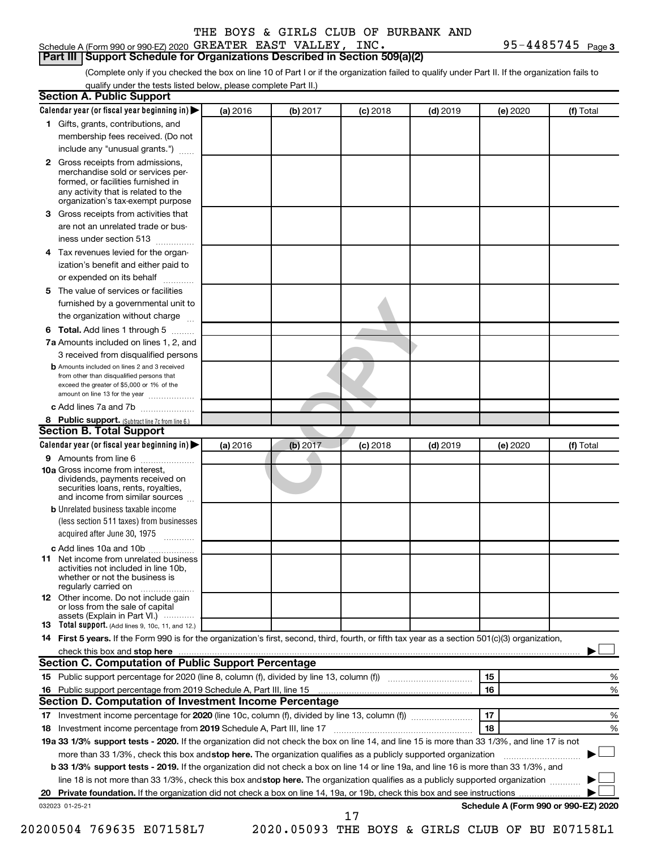#### Schedule A (Form 990 or 990-EZ) 2020  $\,$  GREATER EAST VALLEY, INC  $\,$   $\,$ **Part III Support Schedule for Organizations Described in Section 509(a)(2)**

 $95 - 4485745$  Page 3

(Complete only if you checked the box on line 10 of Part I or if the organization failed to qualify under Part II. If the organization fails to qualify under the tests listed below, please complete Part II.)

|     | <b>Section A. Public Support</b>                                                                                                                                                         |          |          |            |            |          |                                      |
|-----|------------------------------------------------------------------------------------------------------------------------------------------------------------------------------------------|----------|----------|------------|------------|----------|--------------------------------------|
|     | Calendar year (or fiscal year beginning in)                                                                                                                                              | (a) 2016 | (b) 2017 | $(c)$ 2018 | $(d)$ 2019 | (e) 2020 | (f) Total                            |
|     | 1 Gifts, grants, contributions, and                                                                                                                                                      |          |          |            |            |          |                                      |
|     | membership fees received. (Do not                                                                                                                                                        |          |          |            |            |          |                                      |
|     | include any "unusual grants.")                                                                                                                                                           |          |          |            |            |          |                                      |
|     | 2 Gross receipts from admissions,<br>merchandise sold or services per-<br>formed, or facilities furnished in<br>any activity that is related to the<br>organization's tax-exempt purpose |          |          |            |            |          |                                      |
|     | 3 Gross receipts from activities that<br>are not an unrelated trade or bus-                                                                                                              |          |          |            |            |          |                                      |
|     | iness under section 513                                                                                                                                                                  |          |          |            |            |          |                                      |
| 4   | Tax revenues levied for the organ-<br>ization's benefit and either paid to                                                                                                               |          |          |            |            |          |                                      |
|     | or expended on its behalf                                                                                                                                                                |          |          |            |            |          |                                      |
| 5.  | The value of services or facilities                                                                                                                                                      |          |          |            |            |          |                                      |
|     | furnished by a governmental unit to                                                                                                                                                      |          |          |            |            |          |                                      |
|     | the organization without charge                                                                                                                                                          |          |          |            |            |          |                                      |
|     | 6 Total. Add lines 1 through 5                                                                                                                                                           |          |          |            |            |          |                                      |
|     | 7a Amounts included on lines 1, 2, and                                                                                                                                                   |          |          |            |            |          |                                      |
|     | 3 received from disqualified persons                                                                                                                                                     |          |          |            |            |          |                                      |
|     | <b>b</b> Amounts included on lines 2 and 3 received<br>from other than disqualified persons that<br>exceed the greater of \$5,000 or 1% of the<br>amount on line 13 for the year         |          |          |            |            |          |                                      |
|     | c Add lines 7a and 7b                                                                                                                                                                    |          |          |            |            |          |                                      |
|     | 8 Public support. (Subtract line 7c from line 6.)                                                                                                                                        |          |          |            |            |          |                                      |
|     | <b>Section B. Total Support</b>                                                                                                                                                          |          |          |            |            |          |                                      |
|     | Calendar year (or fiscal year beginning in) $\blacktriangleright$                                                                                                                        | (a) 2016 | (b) 2017 | $(c)$ 2018 | $(d)$ 2019 | (e) 2020 | (f) Total                            |
|     | 9 Amounts from line 6                                                                                                                                                                    |          |          |            |            |          |                                      |
|     | <b>10a</b> Gross income from interest,<br>dividends, payments received on<br>securities loans, rents, royalties,<br>and income from similar sources                                      |          |          |            |            |          |                                      |
|     | <b>b</b> Unrelated business taxable income<br>(less section 511 taxes) from businesses                                                                                                   |          |          |            |            |          |                                      |
|     | acquired after June 30, 1975                                                                                                                                                             |          |          |            |            |          |                                      |
|     | c Add lines 10a and 10b                                                                                                                                                                  |          |          |            |            |          |                                      |
| 11. | Net income from unrelated business<br>activities not included in line 10b.<br>whether or not the business is<br>regularly carried on                                                     |          |          |            |            |          |                                      |
|     | <b>12</b> Other income. Do not include gain<br>or loss from the sale of capital<br>assets (Explain in Part VI.)                                                                          |          |          |            |            |          |                                      |
|     | <b>13</b> Total support. (Add lines 9, 10c, 11, and 12.)                                                                                                                                 |          |          |            |            |          |                                      |
|     | 14 First 5 years. If the Form 990 is for the organization's first, second, third, fourth, or fifth tax year as a section 501(c)(3) organization,                                         |          |          |            |            |          |                                      |
|     | check this box and stop here                                                                                                                                                             |          |          |            |            |          |                                      |
|     | Section C. Computation of Public Support Percentage                                                                                                                                      |          |          |            |            |          |                                      |
|     |                                                                                                                                                                                          |          |          |            |            | 15       | %                                    |
|     | 16 Public support percentage from 2019 Schedule A, Part III, line 15                                                                                                                     |          |          |            |            | 16       | %                                    |
|     | Section D. Computation of Investment Income Percentage                                                                                                                                   |          |          |            |            |          |                                      |
|     |                                                                                                                                                                                          |          |          |            |            | 17       | ℅                                    |
|     |                                                                                                                                                                                          |          |          |            |            | 18       | %                                    |
|     | 19a 33 1/3% support tests - 2020. If the organization did not check the box on line 14, and line 15 is more than 33 1/3%, and line 17 is not                                             |          |          |            |            |          |                                      |
|     | more than 33 1/3%, check this box and stop here. The organization qualifies as a publicly supported organization                                                                         |          |          |            |            |          |                                      |
|     | b 33 1/3% support tests - 2019. If the organization did not check a box on line 14 or line 19a, and line 16 is more than 33 1/3%, and                                                    |          |          |            |            |          |                                      |
|     | line 18 is not more than 33 1/3%, check this box and stop here. The organization qualifies as a publicly supported organization                                                          |          |          |            |            |          |                                      |
|     |                                                                                                                                                                                          |          |          |            |            |          | Schedule A (Form 990 or 990-EZ) 2020 |
|     | 032023 01-25-21                                                                                                                                                                          |          |          | 17         |            |          |                                      |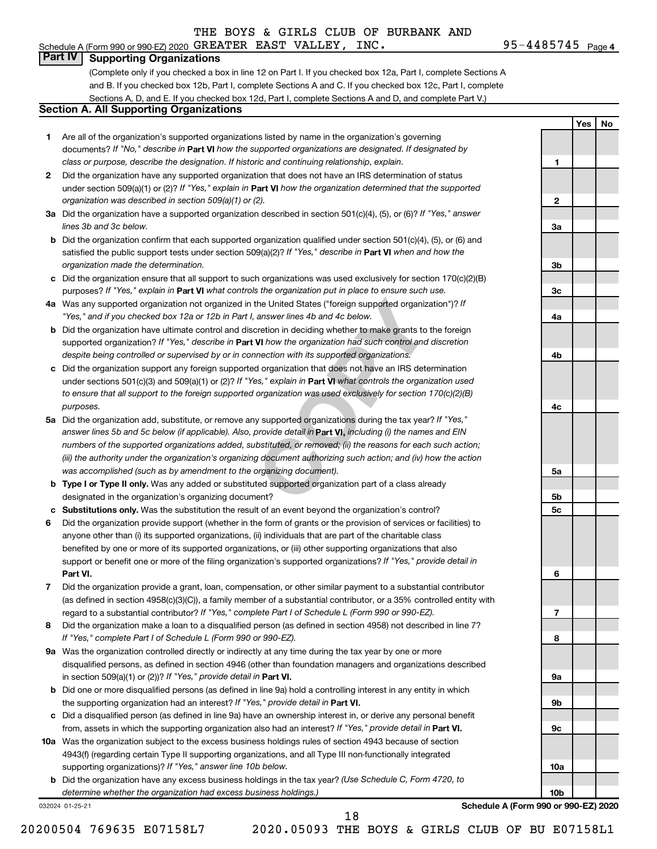## **Part IV Supporting Organizations**

(Complete only if you checked a box in line 12 on Part I. If you checked box 12a, Part I, complete Sections A and B. If you checked box 12b, Part I, complete Sections A and C. If you checked box 12c, Part I, complete Sections A, D, and E. If you checked box 12d, Part I, complete Sections A and D, and complete Part V.)

#### **Section A. All Supporting Organizations**

- **1** Are all of the organization's supported organizations listed by name in the organization's governing documents? If "No," describe in Part VI how the supported organizations are designated. If designated by *class or purpose, describe the designation. If historic and continuing relationship, explain.*
- **2** Did the organization have any supported organization that does not have an IRS determination of status under section 509(a)(1) or (2)? If "Yes," explain in Part **VI** how the organization determined that the supported *organization was described in section 509(a)(1) or (2).*
- **3a** Did the organization have a supported organization described in section 501(c)(4), (5), or (6)? If "Yes," answer *lines 3b and 3c below.*
- **b** Did the organization confirm that each supported organization qualified under section 501(c)(4), (5), or (6) and satisfied the public support tests under section 509(a)(2)? If "Yes," describe in Part VI when and how the *organization made the determination.*
- **c** Did the organization ensure that all support to such organizations was used exclusively for section 170(c)(2)(B) purposes? If "Yes," explain in Part VI what controls the organization put in place to ensure such use.
- **4 a** *If* Was any supported organization not organized in the United States ("foreign supported organization")? *"Yes," and if you checked box 12a or 12b in Part I, answer lines 4b and 4c below.*
- **b** Did the organization have ultimate control and discretion in deciding whether to make grants to the foreign supported organization? If "Yes," describe in Part VI how the organization had such control and discretion *despite being controlled or supervised by or in connection with its supported organizations.*
- **c** Did the organization support any foreign supported organization that does not have an IRS determination under sections 501(c)(3) and 509(a)(1) or (2)? If "Yes," explain in Part VI what controls the organization used *to ensure that all support to the foreign supported organization was used exclusively for section 170(c)(2)(B) purposes.*
- the United States ("foreign supported organization")? *l*<br>answer lines 4b and 4c below.<br>Consider the foreign supported organization")? *l*<br>answer lines 4b and 4c below.<br>**VI** how the organization had such control and discre **5a** Did the organization add, substitute, or remove any supported organizations during the tax year? If "Yes," answer lines 5b and 5c below (if applicable). Also, provide detail in **Part VI,** including (i) the names and EIN *numbers of the supported organizations added, substituted, or removed; (ii) the reasons for each such action; (iii) the authority under the organization's organizing document authorizing such action; and (iv) how the action was accomplished (such as by amendment to the organizing document).*
- **b** Type I or Type II only. Was any added or substituted supported organization part of a class already designated in the organization's organizing document?
- **c Substitutions only.**  Was the substitution the result of an event beyond the organization's control?
- **6** Did the organization provide support (whether in the form of grants or the provision of services or facilities) to **Part VI.** support or benefit one or more of the filing organization's supported organizations? If "Yes," provide detail in anyone other than (i) its supported organizations, (ii) individuals that are part of the charitable class benefited by one or more of its supported organizations, or (iii) other supporting organizations that also
- **7** Did the organization provide a grant, loan, compensation, or other similar payment to a substantial contributor regard to a substantial contributor? If "Yes," complete Part I of Schedule L (Form 990 or 990-EZ). (as defined in section 4958(c)(3)(C)), a family member of a substantial contributor, or a 35% controlled entity with
- **8** Did the organization make a loan to a disqualified person (as defined in section 4958) not described in line 7? *If "Yes," complete Part I of Schedule L (Form 990 or 990-EZ).*
- **9 a** Was the organization controlled directly or indirectly at any time during the tax year by one or more in section 509(a)(1) or (2))? If "Yes," provide detail in **Part VI.** disqualified persons, as defined in section 4946 (other than foundation managers and organizations described
- **b** Did one or more disqualified persons (as defined in line 9a) hold a controlling interest in any entity in which the supporting organization had an interest? If "Yes," provide detail in Part VI.
- **c** Did a disqualified person (as defined in line 9a) have an ownership interest in, or derive any personal benefit from, assets in which the supporting organization also had an interest? If "Yes," provide detail in Part VI.
- **10 a** Was the organization subject to the excess business holdings rules of section 4943 because of section supporting organizations)? If "Yes," answer line 10b below. 4943(f) (regarding certain Type II supporting organizations, and all Type III non-functionally integrated
	- **b** Did the organization have any excess business holdings in the tax year? (Use Schedule C, Form 4720, to *determine whether the organization had excess business holdings.)*

032024 01-25-21

**Schedule A (Form 990 or 990-EZ) 2020**

20200504 769635 E07158L7 2020.05093 THE BOYS & GIRLS CLUB OF BU E07158L1 18

95-4485745 Page 4 Schedule A (Form 990 or 990-EZ) 2020  $\,$  GREATER EAST VALLEY, INC  $\,$   $\,$ 

**1**

**2**

**3a**

**3b**

**3c**

**4a**

**4b**

**4c**

**5a**

**5b 5c**

**6**

**7**

**8**

**9a**

**9b**

**9c**

**10a**

**10b**

**Yes No**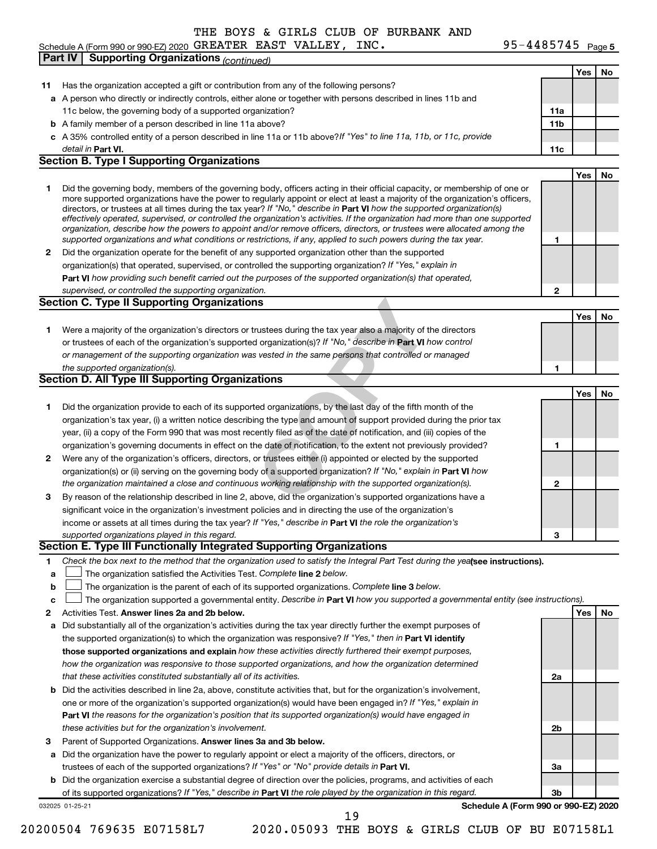#### Schedule A (Form 990 or 990-EZ) 2020 GREATER EAST VALLEY, INC  $\cdot$  Page  $\cdot$  95-4485 / 45  $\cdot$  Page GREATER EAST VALLEY, INC. 95-4485745

95-4485745 Page 5

|    | <b>Supporting Organizations (continued)</b><br>Part IV                                                                                                                                                                                                      |                 |     |    |
|----|-------------------------------------------------------------------------------------------------------------------------------------------------------------------------------------------------------------------------------------------------------------|-----------------|-----|----|
|    |                                                                                                                                                                                                                                                             |                 | Yes | No |
| 11 | Has the organization accepted a gift or contribution from any of the following persons?                                                                                                                                                                     |                 |     |    |
|    | a A person who directly or indirectly controls, either alone or together with persons described in lines 11b and                                                                                                                                            |                 |     |    |
|    | 11c below, the governing body of a supported organization?                                                                                                                                                                                                  | 11a             |     |    |
|    | <b>b</b> A family member of a person described in line 11a above?                                                                                                                                                                                           | 11 <sub>b</sub> |     |    |
|    | c A 35% controlled entity of a person described in line 11a or 11b above?If "Yes" to line 11a, 11b, or 11c, provide                                                                                                                                         |                 |     |    |
|    | detail in Part VI.                                                                                                                                                                                                                                          | 11c             |     |    |
|    | <b>Section B. Type I Supporting Organizations</b>                                                                                                                                                                                                           |                 |     |    |
|    |                                                                                                                                                                                                                                                             |                 | Yes | No |
|    |                                                                                                                                                                                                                                                             |                 |     |    |
| 1  | Did the governing body, members of the governing body, officers acting in their official capacity, or membership of one or<br>more supported organizations have the power to regularly appoint or elect at least a majority of the organization's officers, |                 |     |    |
|    | directors, or trustees at all times during the tax year? If "No," describe in Part VI how the supported organization(s)                                                                                                                                     |                 |     |    |
|    | effectively operated, supervised, or controlled the organization's activities. If the organization had more than one supported                                                                                                                              |                 |     |    |
|    | organization, describe how the powers to appoint and/or remove officers, directors, or trustees were allocated among the                                                                                                                                    |                 |     |    |
|    | supported organizations and what conditions or restrictions, if any, applied to such powers during the tax year.                                                                                                                                            | 1               |     |    |
| 2  | Did the organization operate for the benefit of any supported organization other than the supported                                                                                                                                                         |                 |     |    |
|    | organization(s) that operated, supervised, or controlled the supporting organization? If "Yes," explain in                                                                                                                                                  |                 |     |    |
|    | Part VI how providing such benefit carried out the purposes of the supported organization(s) that operated,                                                                                                                                                 |                 |     |    |
|    | supervised, or controlled the supporting organization.                                                                                                                                                                                                      | 2               |     |    |
|    | <b>Section C. Type II Supporting Organizations</b>                                                                                                                                                                                                          |                 |     |    |
|    |                                                                                                                                                                                                                                                             |                 | Yes | No |
| 1  | Were a majority of the organization's directors or trustees during the tax year also a majority of the directors                                                                                                                                            |                 |     |    |
|    | or trustees of each of the organization's supported organization(s)? If "No," describe in Part VI how control                                                                                                                                               |                 |     |    |
|    | or management of the supporting organization was vested in the same persons that controlled or managed                                                                                                                                                      |                 |     |    |
|    | the supported organization(s).                                                                                                                                                                                                                              | 1               |     |    |
|    | <b>Section D. All Type III Supporting Organizations</b>                                                                                                                                                                                                     |                 |     |    |
|    |                                                                                                                                                                                                                                                             |                 | Yes | No |
| 1  | Did the organization provide to each of its supported organizations, by the last day of the fifth month of the                                                                                                                                              |                 |     |    |
|    | organization's tax year, (i) a written notice describing the type and amount of support provided during the prior tax                                                                                                                                       |                 |     |    |
|    | year, (ii) a copy of the Form 990 that was most recently filed as of the date of notification, and (iii) copies of the                                                                                                                                      |                 |     |    |
|    | organization's governing documents in effect on the date of notification, to the extent not previously provided?                                                                                                                                            | 1               |     |    |
| 2  | Were any of the organization's officers, directors, or trustees either (i) appointed or elected by the supported                                                                                                                                            |                 |     |    |
|    | organization(s) or (ii) serving on the governing body of a supported organization? If "No," explain in Part VI how                                                                                                                                          |                 |     |    |
|    | the organization maintained a close and continuous working relationship with the supported organization(s).                                                                                                                                                 | 2               |     |    |
| 3  | By reason of the relationship described in line 2, above, did the organization's supported organizations have a                                                                                                                                             |                 |     |    |
|    | significant voice in the organization's investment policies and in directing the use of the organization's                                                                                                                                                  |                 |     |    |
|    | income or assets at all times during the tax year? If "Yes," describe in Part VI the role the organization's                                                                                                                                                |                 |     |    |
|    |                                                                                                                                                                                                                                                             |                 |     |    |
|    | supported organizations played in this regard.<br>Section E. Type III Functionally Integrated Supporting Organizations                                                                                                                                      | з               |     |    |
|    |                                                                                                                                                                                                                                                             |                 |     |    |
| 1  | Check the box next to the method that the organization used to satisfy the Integral Part Test during the yealsee instructions).                                                                                                                             |                 |     |    |
| a  | The organization satisfied the Activities Test. Complete line 2 below.                                                                                                                                                                                      |                 |     |    |
| b  | The organization is the parent of each of its supported organizations. Complete line 3 below.                                                                                                                                                               |                 |     |    |
| C  | The organization supported a governmental entity. Describe in Part VI how you supported a governmental entity (see instructions).                                                                                                                           |                 |     |    |
| 2  | Activities Test. Answer lines 2a and 2b below.                                                                                                                                                                                                              |                 | Yes | No |
| а  | Did substantially all of the organization's activities during the tax year directly further the exempt purposes of                                                                                                                                          |                 |     |    |
|    | the supported organization(s) to which the organization was responsive? If "Yes," then in Part VI identify                                                                                                                                                  |                 |     |    |
|    | those supported organizations and explain how these activities directly furthered their exempt purposes,                                                                                                                                                    |                 |     |    |
|    | how the organization was responsive to those supported organizations, and how the organization determined                                                                                                                                                   |                 |     |    |
|    | that these activities constituted substantially all of its activities.                                                                                                                                                                                      | 2a              |     |    |
|    | <b>b</b> Did the activities described in line 2a, above, constitute activities that, but for the organization's involvement,                                                                                                                                |                 |     |    |
|    | one or more of the organization's supported organization(s) would have been engaged in? If "Yes," explain in                                                                                                                                                |                 |     |    |
|    | Part VI the reasons for the organization's position that its supported organization(s) would have engaged in                                                                                                                                                |                 |     |    |
|    | these activities but for the organization's involvement.                                                                                                                                                                                                    | 2b              |     |    |
| 3  | Parent of Supported Organizations. Answer lines 3a and 3b below.                                                                                                                                                                                            |                 |     |    |
| а  | Did the organization have the power to regularly appoint or elect a majority of the officers, directors, or                                                                                                                                                 |                 |     |    |
|    | trustees of each of the supported organizations? If "Yes" or "No" provide details in Part VI.                                                                                                                                                               | За              |     |    |
|    | <b>b</b> Did the organization exercise a substantial degree of direction over the policies, programs, and activities of each                                                                                                                                |                 |     |    |
|    | of its supported organizations? If "Yes," describe in Part VI the role played by the organization in this regard.                                                                                                                                           | 3b              |     |    |
|    | Schedule A (Form 990 or 990-EZ) 2020<br>032025 01-25-21                                                                                                                                                                                                     |                 |     |    |
|    | 19                                                                                                                                                                                                                                                          |                 |     |    |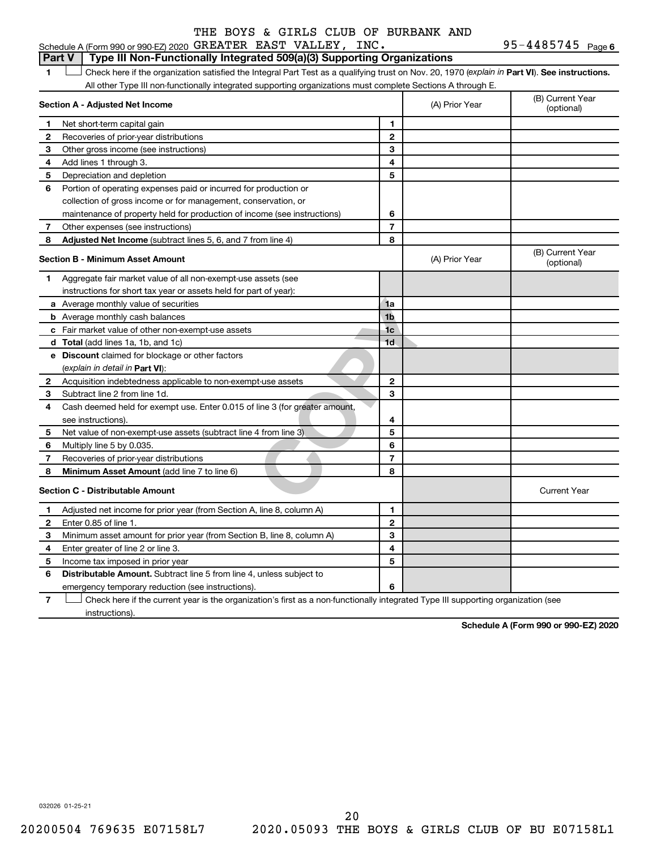95-4485745 Page 6 Schedule A (Form 990 or 990-EZ) 2020  $\,$  GREATER EAST VALLEY, INC  $\,$   $\,$ 

#### **Part V Type III Non-Functionally Integrated 509(a)(3) Supporting Organizations**

1 **Letter See instructions.** Check here if the organization satisfied the Integral Part Test as a qualifying trust on Nov. 20, 1970 (*explain in* Part **VI**). See instructions. All other Type III non-functionally integrated supporting organizations must complete Sections A through E.

|   | Section A - Adjusted Net Income                                             |                | (A) Prior Year | (B) Current Year<br>(optional) |
|---|-----------------------------------------------------------------------------|----------------|----------------|--------------------------------|
| 1 | Net short-term capital gain                                                 | 1              |                |                                |
| 2 | Recoveries of prior-year distributions                                      | $\mathbf{2}$   |                |                                |
| 3 | Other gross income (see instructions)                                       | 3              |                |                                |
| 4 | Add lines 1 through 3.                                                      | 4              |                |                                |
| 5 | Depreciation and depletion                                                  | 5              |                |                                |
| 6 | Portion of operating expenses paid or incurred for production or            |                |                |                                |
|   | collection of gross income or for management, conservation, or              |                |                |                                |
|   | maintenance of property held for production of income (see instructions)    | 6              |                |                                |
| 7 | Other expenses (see instructions)                                           | $\overline{7}$ |                |                                |
| 8 | Adjusted Net Income (subtract lines 5, 6, and 7 from line 4)                | 8              |                |                                |
|   | <b>Section B - Minimum Asset Amount</b>                                     |                | (A) Prior Year | (B) Current Year<br>(optional) |
| 1 | Aggregate fair market value of all non-exempt-use assets (see               |                |                |                                |
|   | instructions for short tax year or assets held for part of year):           |                |                |                                |
|   | a Average monthly value of securities                                       | 1a             |                |                                |
|   | <b>b</b> Average monthly cash balances                                      | 1 <sub>b</sub> |                |                                |
|   | c Fair market value of other non-exempt-use assets                          | 1 <sub>c</sub> |                |                                |
|   | d Total (add lines 1a, 1b, and 1c)                                          | 1 <sub>d</sub> |                |                                |
|   | <b>e</b> Discount claimed for blockage or other factors                     |                |                |                                |
|   | (explain in detail in Part VI):                                             |                |                |                                |
| 2 | Acquisition indebtedness applicable to non-exempt-use assets                | $\mathbf{2}$   |                |                                |
| 3 | Subtract line 2 from line 1d.                                               | 3              |                |                                |
| 4 | Cash deemed held for exempt use. Enter 0.015 of line 3 (for greater amount, |                |                |                                |
|   | see instructions).                                                          | 4              |                |                                |
| 5 | Net value of non-exempt-use assets (subtract line 4 from line 3)            | 5              |                |                                |
| 6 | Multiply line 5 by 0.035.                                                   | 6              |                |                                |
| 7 | Recoveries of prior-year distributions                                      | $\overline{7}$ |                |                                |
| 8 | Minimum Asset Amount (add line 7 to line 6)                                 | 8              |                |                                |
|   | <b>Section C - Distributable Amount</b>                                     |                |                | <b>Current Year</b>            |
| 1 | Adjusted net income for prior year (from Section A, line 8, column A)       | 1              |                |                                |
| 2 | Enter 0.85 of line 1.                                                       | $\overline{2}$ |                |                                |
| 3 | Minimum asset amount for prior year (from Section B, line 8, column A)      | 3              |                |                                |
| 4 | Enter greater of line 2 or line 3.                                          | 4              |                |                                |
| 5 | Income tax imposed in prior year                                            | 5              |                |                                |
| 6 | Distributable Amount. Subtract line 5 from line 4, unless subject to        |                |                |                                |
|   | emergency temporary reduction (see instructions).                           | 6              |                |                                |
|   |                                                                             |                |                |                                |

**7** Check here if the current year is the organization's first as a non-functionally integrated Type III supporting organization (see † instructions).

**Schedule A (Form 990 or 990-EZ) 2020**

032026 01-25-21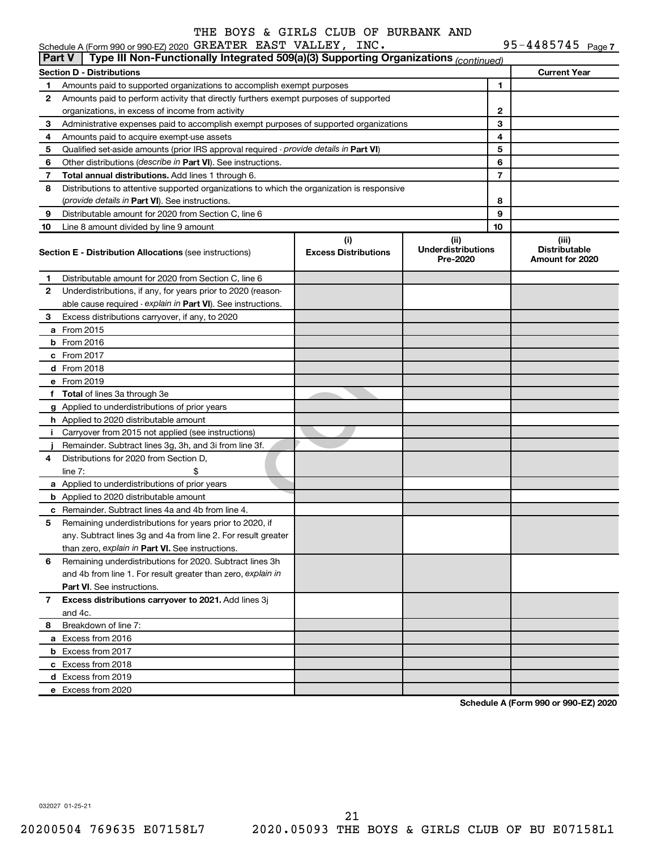| 95-4485745 $_{Paqe}$ 7 |  |
|------------------------|--|
|------------------------|--|

|               | Schedule A (Form 990 or 990-EZ) 2020 GREATER EAST VALLEY, INC.                             |                                    |                                               |              | 95-4485745 Page 7                                |
|---------------|--------------------------------------------------------------------------------------------|------------------------------------|-----------------------------------------------|--------------|--------------------------------------------------|
| <b>Part V</b> | Type III Non-Functionally Integrated 509(a)(3) Supporting Organizations (continued)        |                                    |                                               |              |                                                  |
|               | <b>Section D - Distributions</b>                                                           |                                    |                                               |              | <b>Current Year</b>                              |
| 1             | Amounts paid to supported organizations to accomplish exempt purposes                      |                                    |                                               | 1            |                                                  |
| 2             | Amounts paid to perform activity that directly furthers exempt purposes of supported       |                                    |                                               |              |                                                  |
|               | organizations, in excess of income from activity                                           |                                    |                                               | $\mathbf{2}$ |                                                  |
| 3             | Administrative expenses paid to accomplish exempt purposes of supported organizations      |                                    |                                               | 3            |                                                  |
| 4             | Amounts paid to acquire exempt-use assets                                                  |                                    |                                               | 4            |                                                  |
| 5             | Qualified set-aside amounts (prior IRS approval required - provide details in Part VI)     |                                    | 5                                             |              |                                                  |
| 6             | Other distributions (describe in Part VI). See instructions.                               |                                    | 6                                             |              |                                                  |
| 7             | Total annual distributions. Add lines 1 through 6.                                         |                                    |                                               | 7            |                                                  |
| 8             | Distributions to attentive supported organizations to which the organization is responsive |                                    |                                               |              |                                                  |
|               | (provide details in Part VI). See instructions.                                            |                                    |                                               | 8            |                                                  |
| 9             | Distributable amount for 2020 from Section C, line 6                                       |                                    |                                               | 9            |                                                  |
| 10            | Line 8 amount divided by line 9 amount                                                     |                                    |                                               | 10           |                                                  |
|               | <b>Section E - Distribution Allocations (see instructions)</b>                             | (i)<br><b>Excess Distributions</b> | (ii)<br><b>Underdistributions</b><br>Pre-2020 |              | (iii)<br><b>Distributable</b><br>Amount for 2020 |
| 1             | Distributable amount for 2020 from Section C, line 6                                       |                                    |                                               |              |                                                  |
| 2             | Underdistributions, if any, for years prior to 2020 (reason-                               |                                    |                                               |              |                                                  |
|               | able cause required - explain in Part VI). See instructions.                               |                                    |                                               |              |                                                  |
| 3             | Excess distributions carryover, if any, to 2020                                            |                                    |                                               |              |                                                  |
|               | a From 2015                                                                                |                                    |                                               |              |                                                  |
|               | <b>b</b> From 2016                                                                         |                                    |                                               |              |                                                  |
|               | c From 2017                                                                                |                                    |                                               |              |                                                  |
|               | d From 2018                                                                                |                                    |                                               |              |                                                  |
|               | e From 2019                                                                                |                                    |                                               |              |                                                  |
|               | f Total of lines 3a through 3e                                                             |                                    |                                               |              |                                                  |
|               | g Applied to underdistributions of prior years                                             |                                    |                                               |              |                                                  |
|               | <b>h</b> Applied to 2020 distributable amount                                              |                                    |                                               |              |                                                  |
| Ť.            | Carryover from 2015 not applied (see instructions)                                         |                                    |                                               |              |                                                  |
|               | Remainder. Subtract lines 3g, 3h, and 3i from line 3f.                                     |                                    |                                               |              |                                                  |
| 4             | Distributions for 2020 from Section D,                                                     |                                    |                                               |              |                                                  |
|               | line $7:$                                                                                  |                                    |                                               |              |                                                  |
|               | a Applied to underdistributions of prior years                                             |                                    |                                               |              |                                                  |
|               | <b>b</b> Applied to 2020 distributable amount                                              |                                    |                                               |              |                                                  |
|               | c Remainder. Subtract lines 4a and 4b from line 4.                                         |                                    |                                               |              |                                                  |
|               | 5 Remaining underdistributions for years prior to 2020, if                                 |                                    |                                               |              |                                                  |
|               | any. Subtract lines 3q and 4a from line 2. For result greater                              |                                    |                                               |              |                                                  |
|               | than zero, explain in Part VI. See instructions.                                           |                                    |                                               |              |                                                  |
| 6             | Remaining underdistributions for 2020. Subtract lines 3h                                   |                                    |                                               |              |                                                  |
|               | and 4b from line 1. For result greater than zero, explain in                               |                                    |                                               |              |                                                  |
|               | <b>Part VI.</b> See instructions.                                                          |                                    |                                               |              |                                                  |
| 7             | Excess distributions carryover to 2021. Add lines 3j                                       |                                    |                                               |              |                                                  |
|               | and 4c.                                                                                    |                                    |                                               |              |                                                  |
| 8             | Breakdown of line 7:                                                                       |                                    |                                               |              |                                                  |
|               | a Excess from 2016                                                                         |                                    |                                               |              |                                                  |
|               | <b>b</b> Excess from 2017                                                                  |                                    |                                               |              |                                                  |
|               | c Excess from 2018                                                                         |                                    |                                               |              |                                                  |
|               | d Excess from 2019                                                                         |                                    |                                               |              |                                                  |
|               | e Excess from 2020                                                                         |                                    |                                               |              |                                                  |
|               |                                                                                            |                                    |                                               |              |                                                  |

**Schedule A (Form 990 or 990-EZ) 2020**

032027 01-25-21

21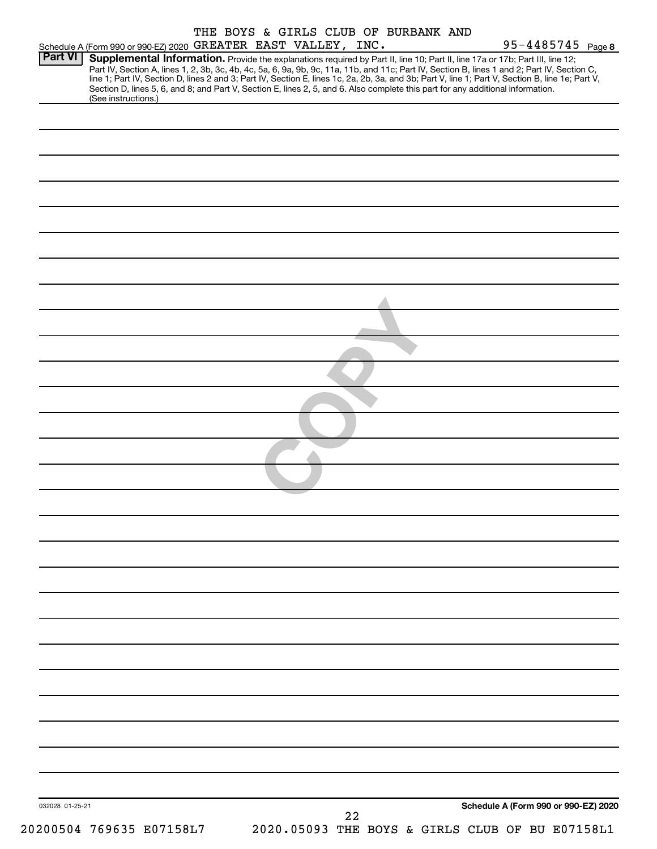|                 |                                                                                                                                                                                                                                                                                                                                                                                                                                                                                                                                                                                             |  |    | THE BOYS & GIRLS CLUB OF BURBANK AND |                                                 |
|-----------------|---------------------------------------------------------------------------------------------------------------------------------------------------------------------------------------------------------------------------------------------------------------------------------------------------------------------------------------------------------------------------------------------------------------------------------------------------------------------------------------------------------------------------------------------------------------------------------------------|--|----|--------------------------------------|-------------------------------------------------|
| Part VI         | Schedule A (Form 990 or 990-EZ) 2020 GREATER EAST VALLEY, INC.                                                                                                                                                                                                                                                                                                                                                                                                                                                                                                                              |  |    |                                      | $95 - 4485745$ Page 8                           |
|                 | Supplemental Information. Provide the explanations required by Part II, line 10; Part II, line 17a or 17b; Part III, line 12;<br>Part IV, Section A, lines 1, 2, 3b, 3c, 4b, 4c, 5a, 6, 9a, 9b, 9c, 11a, 11b, and 11c; Part IV, Section B, lines 1 and 2; Part IV, Section C,<br>line 1; Part IV, Section D, lines 2 and 3; Part IV, Section E, lines 1c, 2a, 2b, 3a, and 3b; Part V, line 1; Part V, Section B, line 1e; Part V,<br>Section D, lines 5, 6, and 8; and Part V, Section E, lines 2, 5, and 6. Also complete this part for any additional information.<br>(See instructions.) |  |    |                                      |                                                 |
|                 |                                                                                                                                                                                                                                                                                                                                                                                                                                                                                                                                                                                             |  |    |                                      |                                                 |
|                 |                                                                                                                                                                                                                                                                                                                                                                                                                                                                                                                                                                                             |  |    |                                      |                                                 |
|                 |                                                                                                                                                                                                                                                                                                                                                                                                                                                                                                                                                                                             |  |    |                                      |                                                 |
|                 |                                                                                                                                                                                                                                                                                                                                                                                                                                                                                                                                                                                             |  |    |                                      |                                                 |
|                 |                                                                                                                                                                                                                                                                                                                                                                                                                                                                                                                                                                                             |  |    |                                      |                                                 |
|                 |                                                                                                                                                                                                                                                                                                                                                                                                                                                                                                                                                                                             |  |    |                                      |                                                 |
|                 |                                                                                                                                                                                                                                                                                                                                                                                                                                                                                                                                                                                             |  |    |                                      |                                                 |
|                 |                                                                                                                                                                                                                                                                                                                                                                                                                                                                                                                                                                                             |  |    |                                      |                                                 |
|                 |                                                                                                                                                                                                                                                                                                                                                                                                                                                                                                                                                                                             |  |    |                                      |                                                 |
|                 |                                                                                                                                                                                                                                                                                                                                                                                                                                                                                                                                                                                             |  |    |                                      |                                                 |
|                 |                                                                                                                                                                                                                                                                                                                                                                                                                                                                                                                                                                                             |  |    |                                      |                                                 |
|                 |                                                                                                                                                                                                                                                                                                                                                                                                                                                                                                                                                                                             |  |    |                                      |                                                 |
|                 |                                                                                                                                                                                                                                                                                                                                                                                                                                                                                                                                                                                             |  |    |                                      |                                                 |
|                 |                                                                                                                                                                                                                                                                                                                                                                                                                                                                                                                                                                                             |  |    |                                      |                                                 |
|                 |                                                                                                                                                                                                                                                                                                                                                                                                                                                                                                                                                                                             |  |    |                                      |                                                 |
|                 |                                                                                                                                                                                                                                                                                                                                                                                                                                                                                                                                                                                             |  |    |                                      |                                                 |
|                 |                                                                                                                                                                                                                                                                                                                                                                                                                                                                                                                                                                                             |  |    |                                      |                                                 |
|                 |                                                                                                                                                                                                                                                                                                                                                                                                                                                                                                                                                                                             |  |    |                                      |                                                 |
|                 |                                                                                                                                                                                                                                                                                                                                                                                                                                                                                                                                                                                             |  |    |                                      |                                                 |
|                 |                                                                                                                                                                                                                                                                                                                                                                                                                                                                                                                                                                                             |  |    |                                      |                                                 |
|                 |                                                                                                                                                                                                                                                                                                                                                                                                                                                                                                                                                                                             |  |    |                                      |                                                 |
|                 |                                                                                                                                                                                                                                                                                                                                                                                                                                                                                                                                                                                             |  |    |                                      |                                                 |
|                 |                                                                                                                                                                                                                                                                                                                                                                                                                                                                                                                                                                                             |  |    |                                      |                                                 |
|                 |                                                                                                                                                                                                                                                                                                                                                                                                                                                                                                                                                                                             |  |    |                                      |                                                 |
|                 |                                                                                                                                                                                                                                                                                                                                                                                                                                                                                                                                                                                             |  |    |                                      |                                                 |
|                 |                                                                                                                                                                                                                                                                                                                                                                                                                                                                                                                                                                                             |  |    |                                      |                                                 |
|                 |                                                                                                                                                                                                                                                                                                                                                                                                                                                                                                                                                                                             |  |    |                                      |                                                 |
|                 |                                                                                                                                                                                                                                                                                                                                                                                                                                                                                                                                                                                             |  |    |                                      |                                                 |
| 032028 01-25-21 |                                                                                                                                                                                                                                                                                                                                                                                                                                                                                                                                                                                             |  |    |                                      | Schedule A (Form 990 or 990-EZ) 2020            |
|                 | 20200504 769635 E07158L7                                                                                                                                                                                                                                                                                                                                                                                                                                                                                                                                                                    |  | 22 |                                      | 2020.05093 THE BOYS & GIRLS CLUB OF BU E07158L1 |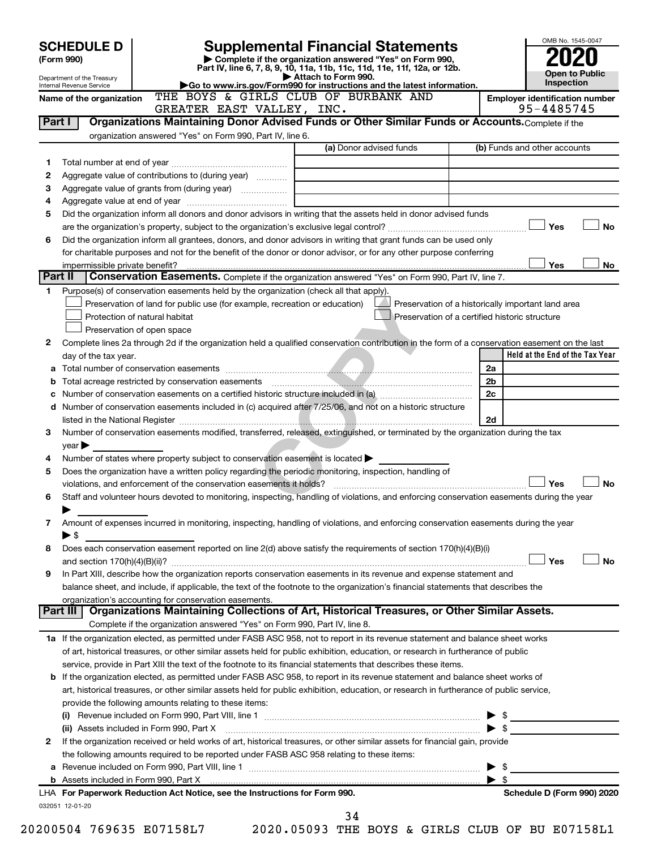|         | <b>SCHEDULE D</b><br>(Form 990)<br>Department of the Treasury |                                                           | <b>Supplemental Financial Statements</b><br>Complete if the organization answered "Yes" on Form 990,<br>Part IV, line 6, 7, 8, 9, 10, 11a, 11b, 11c, 11d, 11e, 11f, 12a, or 12b.<br>Attach to Form 990.                        |                                                 |                         | OMB No. 1545-0047<br>Open to Public                 |
|---------|---------------------------------------------------------------|-----------------------------------------------------------|--------------------------------------------------------------------------------------------------------------------------------------------------------------------------------------------------------------------------------|-------------------------------------------------|-------------------------|-----------------------------------------------------|
|         | Internal Revenue Service                                      |                                                           | Go to www.irs.gov/Form990 for instructions and the latest information.                                                                                                                                                         |                                                 |                         | Inspection                                          |
|         | Name of the organization                                      |                                                           | THE BOYS & GIRLS CLUB OF BURBANK AND<br>GREATER EAST VALLEY, INC.                                                                                                                                                              |                                                 |                         | <b>Employer identification number</b><br>95-4485745 |
| Part I  |                                                               |                                                           | Organizations Maintaining Donor Advised Funds or Other Similar Funds or Accounts. Complete if the                                                                                                                              |                                                 |                         |                                                     |
|         |                                                               | organization answered "Yes" on Form 990, Part IV, line 6. |                                                                                                                                                                                                                                | (a) Donor advised funds                         |                         | (b) Funds and other accounts                        |
|         |                                                               |                                                           |                                                                                                                                                                                                                                |                                                 |                         |                                                     |
| 1<br>2  |                                                               | Aggregate value of contributions to (during year)         |                                                                                                                                                                                                                                |                                                 |                         |                                                     |
| 3       |                                                               |                                                           |                                                                                                                                                                                                                                |                                                 |                         |                                                     |
| 4       |                                                               |                                                           |                                                                                                                                                                                                                                |                                                 |                         |                                                     |
| 5       |                                                               |                                                           | Did the organization inform all donors and donor advisors in writing that the assets held in donor advised funds                                                                                                               |                                                 |                         |                                                     |
|         |                                                               |                                                           |                                                                                                                                                                                                                                |                                                 |                         | Yes<br><b>No</b>                                    |
| 6       |                                                               |                                                           | Did the organization inform all grantees, donors, and donor advisors in writing that grant funds can be used only                                                                                                              |                                                 |                         |                                                     |
|         |                                                               |                                                           | for charitable purposes and not for the benefit of the donor or donor advisor, or for any other purpose conferring                                                                                                             |                                                 |                         |                                                     |
|         |                                                               |                                                           |                                                                                                                                                                                                                                |                                                 |                         | Yes<br><b>No</b>                                    |
| Part II |                                                               |                                                           | Conservation Easements. Complete if the organization answered "Yes" on Form 990, Part IV, line 7.                                                                                                                              |                                                 |                         |                                                     |
| 1.      |                                                               |                                                           | Purpose(s) of conservation easements held by the organization (check all that apply).                                                                                                                                          |                                                 |                         |                                                     |
|         |                                                               |                                                           | Preservation of land for public use (for example, recreation or education)                                                                                                                                                     |                                                 |                         | Preservation of a historically important land area  |
|         |                                                               | Protection of natural habitat                             |                                                                                                                                                                                                                                | Preservation of a certified historic structure  |                         |                                                     |
|         |                                                               |                                                           |                                                                                                                                                                                                                                |                                                 |                         |                                                     |
|         |                                                               | Preservation of open space                                |                                                                                                                                                                                                                                |                                                 |                         |                                                     |
| 2       |                                                               |                                                           | Complete lines 2a through 2d if the organization held a qualified conservation contribution in the form of a conservation easement on the last                                                                                 |                                                 |                         |                                                     |
|         | day of the tax year.                                          |                                                           |                                                                                                                                                                                                                                |                                                 |                         | Held at the End of the Tax Year                     |
|         |                                                               |                                                           |                                                                                                                                                                                                                                |                                                 | 2a                      |                                                     |
|         |                                                               |                                                           |                                                                                                                                                                                                                                |                                                 | 2 <sub>b</sub>          |                                                     |
|         |                                                               |                                                           | Number of conservation easements on a certified historic structure included in (a) manufacture of conservation                                                                                                                 |                                                 | 2c                      |                                                     |
|         |                                                               |                                                           | d Number of conservation easements included in (c) acquired after 7/25/06, and not on a historic structure                                                                                                                     |                                                 |                         |                                                     |
|         |                                                               |                                                           |                                                                                                                                                                                                                                |                                                 | 2d                      |                                                     |
| 3       |                                                               |                                                           | Number of conservation easements modified, transferred, released, extinguished, or terminated by the organization during the tax                                                                                               |                                                 |                         |                                                     |
|         | year                                                          |                                                           |                                                                                                                                                                                                                                |                                                 |                         |                                                     |
| 4       |                                                               |                                                           | Number of states where property subject to conservation easement is located $\blacktriangleright$                                                                                                                              |                                                 |                         |                                                     |
| 5       |                                                               |                                                           | Does the organization have a written policy regarding the periodic monitoring, inspection, handling of                                                                                                                         |                                                 |                         |                                                     |
|         |                                                               |                                                           | violations, and enforcement of the conservation easements it holds?                                                                                                                                                            |                                                 |                         | Yes<br><b>No</b>                                    |
| 6       |                                                               |                                                           | Staff and volunteer hours devoted to monitoring, inspecting, handling of violations, and enforcing conservation easements during the year                                                                                      |                                                 |                         |                                                     |
|         |                                                               |                                                           |                                                                                                                                                                                                                                |                                                 |                         |                                                     |
| 7       |                                                               |                                                           | Amount of expenses incurred in monitoring, inspecting, handling of violations, and enforcing conservation easements during the year                                                                                            |                                                 |                         |                                                     |
|         | $\blacktriangleright$ \$                                      |                                                           |                                                                                                                                                                                                                                |                                                 |                         |                                                     |
| 8       |                                                               |                                                           | Does each conservation easement reported on line 2(d) above satisfy the requirements of section 170(h)(4)(B)(i)                                                                                                                |                                                 |                         |                                                     |
|         |                                                               |                                                           |                                                                                                                                                                                                                                |                                                 |                         | Yes<br><b>No</b>                                    |
| 9       |                                                               |                                                           | In Part XIII, describe how the organization reports conservation easements in its revenue and expense statement and                                                                                                            |                                                 |                         |                                                     |
|         |                                                               |                                                           | balance sheet, and include, if applicable, the text of the footnote to the organization's financial statements that describes the                                                                                              |                                                 |                         |                                                     |
|         | Part III I                                                    | organization's accounting for conservation easements.     | Organizations Maintaining Collections of Art, Historical Treasures, or Other Similar Assets.                                                                                                                                   |                                                 |                         |                                                     |
|         |                                                               |                                                           | Complete if the organization answered "Yes" on Form 990, Part IV, line 8.                                                                                                                                                      |                                                 |                         |                                                     |
|         |                                                               |                                                           |                                                                                                                                                                                                                                |                                                 |                         |                                                     |
|         |                                                               |                                                           | 1a If the organization elected, as permitted under FASB ASC 958, not to report in its revenue statement and balance sheet works                                                                                                |                                                 |                         |                                                     |
|         |                                                               |                                                           | of art, historical treasures, or other similar assets held for public exhibition, education, or research in furtherance of public                                                                                              |                                                 |                         |                                                     |
|         |                                                               |                                                           | service, provide in Part XIII the text of the footnote to its financial statements that describes these items.                                                                                                                 |                                                 |                         |                                                     |
|         |                                                               |                                                           | <b>b</b> If the organization elected, as permitted under FASB ASC 958, to report in its revenue statement and balance sheet works of                                                                                           |                                                 |                         |                                                     |
|         |                                                               |                                                           | art, historical treasures, or other similar assets held for public exhibition, education, or research in furtherance of public service,                                                                                        |                                                 |                         |                                                     |
|         |                                                               | provide the following amounts relating to these items:    |                                                                                                                                                                                                                                |                                                 |                         |                                                     |
|         |                                                               |                                                           |                                                                                                                                                                                                                                |                                                 |                         |                                                     |
|         |                                                               | (ii) Assets included in Form 990, Part X                  | $\sum$                                                                                                                                                                                                                         |                                                 |                         |                                                     |
| 2       |                                                               |                                                           | If the organization received or held works of art, historical treasures, or other similar assets for financial gain, provide                                                                                                   |                                                 |                         |                                                     |
|         |                                                               |                                                           | the following amounts required to be reported under FASB ASC 958 relating to these items:                                                                                                                                      |                                                 |                         |                                                     |
|         |                                                               |                                                           |                                                                                                                                                                                                                                |                                                 | $\triangleright$ \$     |                                                     |
|         |                                                               |                                                           | b Assets included in Form 990, Part X [111] [12] Assets included in Form 990, Part X [12] Assets included in Form 990, Part X [12] [12] Assets included in Form 990, Part X [12] [12] Assets included in Form 1990, Part X [12 |                                                 | $\blacktriangleright$ s |                                                     |
|         |                                                               |                                                           | LHA For Paperwork Reduction Act Notice, see the Instructions for Form 990.                                                                                                                                                     |                                                 |                         | Schedule D (Form 990) 2020                          |
|         | 032051 12-01-20                                               |                                                           |                                                                                                                                                                                                                                |                                                 |                         |                                                     |
|         |                                                               |                                                           | 34                                                                                                                                                                                                                             |                                                 |                         |                                                     |
|         |                                                               | 20200504 769635 E07158L7                                  |                                                                                                                                                                                                                                | 2020.05093 THE BOYS & GIRLS CLUB OF BU E07158L1 |                         |                                                     |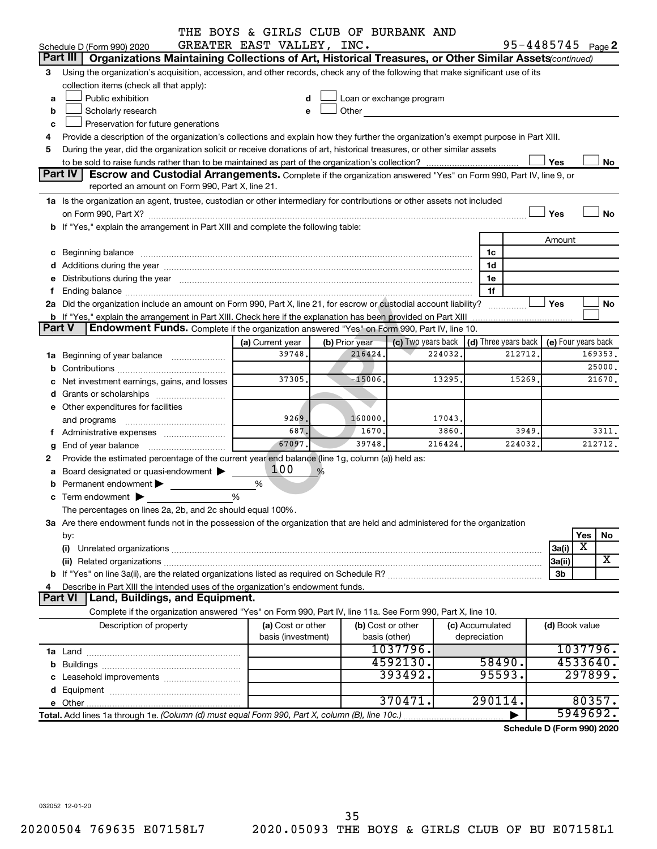|        |                                                                                                                                                                                                                                | THE BOYS & GIRLS CLUB OF BURBANK AND |                |         |                                                                                                                                                                                                                               |         |                      |         |                |                            |
|--------|--------------------------------------------------------------------------------------------------------------------------------------------------------------------------------------------------------------------------------|--------------------------------------|----------------|---------|-------------------------------------------------------------------------------------------------------------------------------------------------------------------------------------------------------------------------------|---------|----------------------|---------|----------------|----------------------------|
|        | Schedule D (Form 990) 2020                                                                                                                                                                                                     | GREATER EAST VALLEY, INC.            |                |         |                                                                                                                                                                                                                               |         |                      |         |                | $95 - 4485745$ Page 2      |
|        | Part III   Organizations Maintaining Collections of Art, Historical Treasures, or Other Similar Assets (continued)                                                                                                             |                                      |                |         |                                                                                                                                                                                                                               |         |                      |         |                |                            |
| 3      | Using the organization's acquisition, accession, and other records, check any of the following that make significant use of its                                                                                                |                                      |                |         |                                                                                                                                                                                                                               |         |                      |         |                |                            |
|        | collection items (check all that apply):                                                                                                                                                                                       |                                      |                |         |                                                                                                                                                                                                                               |         |                      |         |                |                            |
| a      | Public exhibition                                                                                                                                                                                                              | d                                    |                |         | Loan or exchange program                                                                                                                                                                                                      |         |                      |         |                |                            |
| b      | Scholarly research                                                                                                                                                                                                             | e                                    |                |         | Other and the contract of the contract of the contract of the contract of the contract of the contract of the contract of the contract of the contract of the contract of the contract of the contract of the contract of the |         |                      |         |                |                            |
| c      | Preservation for future generations                                                                                                                                                                                            |                                      |                |         |                                                                                                                                                                                                                               |         |                      |         |                |                            |
|        | Provide a description of the organization's collections and explain how they further the organization's exempt purpose in Part XIII.                                                                                           |                                      |                |         |                                                                                                                                                                                                                               |         |                      |         |                |                            |
| 5      | During the year, did the organization solicit or receive donations of art, historical treasures, or other similar assets                                                                                                       |                                      |                |         |                                                                                                                                                                                                                               |         |                      |         |                |                            |
|        |                                                                                                                                                                                                                                |                                      |                |         |                                                                                                                                                                                                                               |         |                      |         | Yes            | No                         |
|        | <b>Part IV</b><br>Escrow and Custodial Arrangements. Complete if the organization answered "Yes" on Form 990, Part IV, line 9, or<br>reported an amount on Form 990, Part X, line 21.                                          |                                      |                |         |                                                                                                                                                                                                                               |         |                      |         |                |                            |
|        |                                                                                                                                                                                                                                |                                      |                |         |                                                                                                                                                                                                                               |         |                      |         |                |                            |
|        | 1a Is the organization an agent, trustee, custodian or other intermediary for contributions or other assets not included                                                                                                       |                                      |                |         |                                                                                                                                                                                                                               |         |                      |         |                |                            |
|        |                                                                                                                                                                                                                                |                                      |                |         |                                                                                                                                                                                                                               |         |                      |         | Yes            | No                         |
|        | b If "Yes," explain the arrangement in Part XIII and complete the following table:                                                                                                                                             |                                      |                |         |                                                                                                                                                                                                                               |         |                      |         |                |                            |
|        |                                                                                                                                                                                                                                |                                      |                |         |                                                                                                                                                                                                                               |         |                      |         | Amount         |                            |
|        |                                                                                                                                                                                                                                |                                      |                |         |                                                                                                                                                                                                                               |         | 1c                   |         |                |                            |
|        |                                                                                                                                                                                                                                |                                      |                |         |                                                                                                                                                                                                                               |         | 1d                   |         |                |                            |
|        | e Distributions during the year manufactured and contain an account of the year manufactured and the year manufactured and the year manufactured and the year manufactured and the year manufactured and the year manufactured |                                      |                |         |                                                                                                                                                                                                                               |         | 1е                   |         |                |                            |
|        |                                                                                                                                                                                                                                |                                      |                |         |                                                                                                                                                                                                                               |         | 1f                   |         |                |                            |
|        | 2a Did the organization include an amount on Form 990, Part X, line 21, for escrow or custodial account liability?                                                                                                             |                                      |                |         |                                                                                                                                                                                                                               |         |                      | .       | Yes            | No                         |
|        | <b>b</b> If "Yes," explain the arrangement in Part XIII. Check here if the explanation has been provided on Part XIII                                                                                                          |                                      |                |         |                                                                                                                                                                                                                               |         |                      |         |                |                            |
| Part V | Endowment Funds. Complete if the organization answered "Yes" on Form 990, Part IV, line 10.                                                                                                                                    |                                      |                |         |                                                                                                                                                                                                                               |         |                      |         |                |                            |
|        |                                                                                                                                                                                                                                | (a) Current year                     | (b) Prior year |         | (c) Two years back                                                                                                                                                                                                            |         | (d) Three years back |         |                | (e) Four years back        |
|        | 1a Beginning of year balance                                                                                                                                                                                                   | 39748.                               |                | 216424  |                                                                                                                                                                                                                               | 224032  |                      | 212712  |                | 169353.                    |
|        |                                                                                                                                                                                                                                |                                      |                |         |                                                                                                                                                                                                                               |         |                      |         |                | 25000.                     |
|        | Net investment earnings, gains, and losses                                                                                                                                                                                     | 37305.                               |                | -15006. |                                                                                                                                                                                                                               | 13295   |                      | 15269.  |                | 21670.                     |
|        |                                                                                                                                                                                                                                |                                      |                |         |                                                                                                                                                                                                                               |         |                      |         |                |                            |
|        | e Other expenditures for facilities                                                                                                                                                                                            |                                      |                |         |                                                                                                                                                                                                                               |         |                      |         |                |                            |
|        |                                                                                                                                                                                                                                | 9269.                                |                | 160000. |                                                                                                                                                                                                                               | 17043   |                      |         |                |                            |
|        |                                                                                                                                                                                                                                | 687.                                 |                | 1670.   |                                                                                                                                                                                                                               | 3860    |                      | 3949.   |                | 3311.                      |
| g      | End of year balance                                                                                                                                                                                                            | 67097                                |                | 39748   |                                                                                                                                                                                                                               | 216424. |                      | 224032. |                | 212712.                    |
| 2.     | Provide the estimated percentage of the current year end balance (line 1g, column (a)) held as:                                                                                                                                |                                      |                |         |                                                                                                                                                                                                                               |         |                      |         |                |                            |
|        | a Board designated or quasi-endowment >                                                                                                                                                                                        | 100                                  | %              |         |                                                                                                                                                                                                                               |         |                      |         |                |                            |
|        | Permanent endowment >                                                                                                                                                                                                          | %                                    |                |         |                                                                                                                                                                                                                               |         |                      |         |                |                            |
|        | $\mathbf c$ Term endowment $\blacktriangleright$                                                                                                                                                                               | %                                    |                |         |                                                                                                                                                                                                                               |         |                      |         |                |                            |
|        | The percentages on lines 2a, 2b, and 2c should equal 100%.                                                                                                                                                                     |                                      |                |         |                                                                                                                                                                                                                               |         |                      |         |                |                            |
|        | 3a Are there endowment funds not in the possession of the organization that are held and administered for the organization                                                                                                     |                                      |                |         |                                                                                                                                                                                                                               |         |                      |         |                |                            |
|        | by:                                                                                                                                                                                                                            |                                      |                |         |                                                                                                                                                                                                                               |         |                      |         |                | Yes<br>No                  |
|        | (i)                                                                                                                                                                                                                            |                                      |                |         |                                                                                                                                                                                                                               |         |                      |         | 3a(i)          | $\overline{\textbf{x}}$    |
|        |                                                                                                                                                                                                                                |                                      |                |         |                                                                                                                                                                                                                               |         |                      |         | 3a(ii)         | X                          |
|        |                                                                                                                                                                                                                                |                                      |                |         |                                                                                                                                                                                                                               |         |                      |         | 3b             |                            |
| 4      | Describe in Part XIII the intended uses of the organization's endowment funds.                                                                                                                                                 |                                      |                |         |                                                                                                                                                                                                                               |         |                      |         |                |                            |
|        | Land, Buildings, and Equipment.<br><b>Part VI</b>                                                                                                                                                                              |                                      |                |         |                                                                                                                                                                                                                               |         |                      |         |                |                            |
|        | Complete if the organization answered "Yes" on Form 990, Part IV, line 11a. See Form 990, Part X, line 10.                                                                                                                     |                                      |                |         |                                                                                                                                                                                                                               |         |                      |         |                |                            |
|        | Description of property                                                                                                                                                                                                        | (a) Cost or other                    |                |         | (b) Cost or other                                                                                                                                                                                                             |         | (c) Accumulated      |         | (d) Book value |                            |
|        |                                                                                                                                                                                                                                | basis (investment)                   |                |         | basis (other)                                                                                                                                                                                                                 |         | depreciation         |         |                |                            |
|        |                                                                                                                                                                                                                                |                                      |                |         | 1037796.                                                                                                                                                                                                                      |         |                      |         |                | 1037796.                   |
|        |                                                                                                                                                                                                                                |                                      |                |         | 4592130.                                                                                                                                                                                                                      |         | 58490.               |         |                | 4533640.                   |
|        |                                                                                                                                                                                                                                |                                      |                |         | 393492.                                                                                                                                                                                                                       |         | 95593.               |         |                | 297899.                    |
|        |                                                                                                                                                                                                                                |                                      |                |         |                                                                                                                                                                                                                               |         |                      |         |                |                            |
|        |                                                                                                                                                                                                                                |                                      |                |         | 370471.                                                                                                                                                                                                                       |         | 290114.              |         |                | 80357.                     |
|        | Total. Add lines 1a through 1e. (Column (d) must equal Form 990, Part X, column (B), line 10c.)                                                                                                                                |                                      |                |         |                                                                                                                                                                                                                               |         |                      |         |                | 5949692.                   |
|        |                                                                                                                                                                                                                                |                                      |                |         |                                                                                                                                                                                                                               |         |                      |         |                | Schedule D (Form 990) 2020 |

032052 12-01-20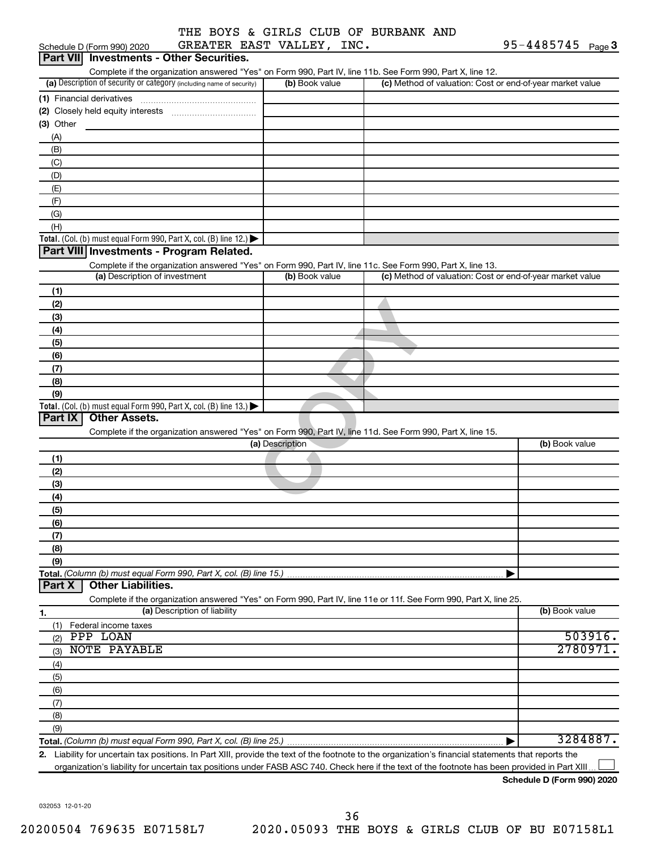|  |                           |  | THE BOYS & GIRLS CLUB OF BURBANK AND |  |
|--|---------------------------|--|--------------------------------------|--|
|  | GREATER EAST VALLEY, INC. |  |                                      |  |

|                  | Schedule D (Form 990) 2020       | GREATER EAST VALLEY, INC.                                                              |                 |                                                                                                                                                      | $95 - 4485745$ Page 3 |          |
|------------------|----------------------------------|----------------------------------------------------------------------------------------|-----------------|------------------------------------------------------------------------------------------------------------------------------------------------------|-----------------------|----------|
| <b>Part VIII</b> |                                  | <b>Investments - Other Securities.</b>                                                 |                 |                                                                                                                                                      |                       |          |
|                  |                                  |                                                                                        |                 | Complete if the organization answered "Yes" on Form 990, Part IV, line 11b. See Form 990, Part X, line 12.                                           |                       |          |
|                  |                                  | (a) Description of security or category (including name of security)                   | (b) Book value  | (c) Method of valuation: Cost or end-of-year market value                                                                                            |                       |          |
|                  | (1) Financial derivatives        |                                                                                        |                 |                                                                                                                                                      |                       |          |
|                  |                                  |                                                                                        |                 |                                                                                                                                                      |                       |          |
| $(3)$ Other      |                                  |                                                                                        |                 |                                                                                                                                                      |                       |          |
| (A)              |                                  |                                                                                        |                 |                                                                                                                                                      |                       |          |
| (B)              |                                  |                                                                                        |                 |                                                                                                                                                      |                       |          |
| (C)              |                                  |                                                                                        |                 |                                                                                                                                                      |                       |          |
| (D)              |                                  |                                                                                        |                 |                                                                                                                                                      |                       |          |
| (E)              |                                  |                                                                                        |                 |                                                                                                                                                      |                       |          |
| (F)              |                                  |                                                                                        |                 |                                                                                                                                                      |                       |          |
| (G)              |                                  |                                                                                        |                 |                                                                                                                                                      |                       |          |
| (H)              |                                  |                                                                                        |                 |                                                                                                                                                      |                       |          |
|                  |                                  | Total. (Col. (b) must equal Form 990, Part X, col. (B) line 12.) $\blacktriangleright$ |                 |                                                                                                                                                      |                       |          |
|                  |                                  | Part VIII Investments - Program Related.                                               |                 |                                                                                                                                                      |                       |          |
|                  |                                  |                                                                                        |                 | Complete if the organization answered "Yes" on Form 990, Part IV, line 11c. See Form 990, Part X, line 13.                                           |                       |          |
|                  | (a) Description of investment    |                                                                                        | (b) Book value  | (c) Method of valuation: Cost or end-of-year market value                                                                                            |                       |          |
| (1)              |                                  |                                                                                        |                 |                                                                                                                                                      |                       |          |
| (2)              |                                  |                                                                                        |                 |                                                                                                                                                      |                       |          |
| (3)              |                                  |                                                                                        |                 |                                                                                                                                                      |                       |          |
| (4)              |                                  |                                                                                        |                 |                                                                                                                                                      |                       |          |
| (5)              |                                  |                                                                                        |                 |                                                                                                                                                      |                       |          |
| (6)              |                                  |                                                                                        |                 |                                                                                                                                                      |                       |          |
| (7)              |                                  |                                                                                        |                 |                                                                                                                                                      |                       |          |
| (8)              |                                  |                                                                                        |                 |                                                                                                                                                      |                       |          |
| (9)              |                                  |                                                                                        |                 |                                                                                                                                                      |                       |          |
|                  |                                  | Total. (Col. (b) must equal Form 990, Part X, col. (B) line 13.)                       |                 |                                                                                                                                                      |                       |          |
| Part IX          | <b>Other Assets.</b>             |                                                                                        |                 |                                                                                                                                                      |                       |          |
|                  |                                  |                                                                                        |                 | Complete if the organization answered "Yes" on Form 990, Part IV, line 11d. See Form 990, Part X, line 15.                                           |                       |          |
|                  |                                  |                                                                                        | (a) Description |                                                                                                                                                      | (b) Book value        |          |
|                  |                                  |                                                                                        |                 |                                                                                                                                                      |                       |          |
| (1)<br>(2)       |                                  |                                                                                        |                 |                                                                                                                                                      |                       |          |
|                  |                                  |                                                                                        |                 |                                                                                                                                                      |                       |          |
| (3)              |                                  |                                                                                        |                 |                                                                                                                                                      |                       |          |
| (4)              |                                  |                                                                                        |                 |                                                                                                                                                      |                       |          |
| (5)              |                                  |                                                                                        |                 |                                                                                                                                                      |                       |          |
| (6)              |                                  |                                                                                        |                 |                                                                                                                                                      |                       |          |
| (7)              |                                  |                                                                                        |                 |                                                                                                                                                      |                       |          |
| (8)              |                                  |                                                                                        |                 |                                                                                                                                                      |                       |          |
| (9)              |                                  |                                                                                        |                 |                                                                                                                                                      |                       |          |
| Part X           | <b>Other Liabilities.</b>        | Total. (Column (b) must equal Form 990, Part X, col. (B) line 15.)                     |                 |                                                                                                                                                      |                       |          |
|                  |                                  |                                                                                        |                 |                                                                                                                                                      |                       |          |
|                  |                                  | (a) Description of liability                                                           |                 | Complete if the organization answered "Yes" on Form 990, Part IV, line 11e or 11f. See Form 990, Part X, line 25.                                    | (b) Book value        |          |
| 1.               |                                  |                                                                                        |                 |                                                                                                                                                      |                       |          |
| (1)              | Federal income taxes<br>PPP LOAN |                                                                                        |                 |                                                                                                                                                      |                       | 503916.  |
| (2)              | <b>NOTE PAYABLE</b>              |                                                                                        |                 |                                                                                                                                                      |                       | 2780971. |
| (3)              |                                  |                                                                                        |                 |                                                                                                                                                      |                       |          |
| (4)              |                                  |                                                                                        |                 |                                                                                                                                                      |                       |          |
| (5)              |                                  |                                                                                        |                 |                                                                                                                                                      |                       |          |
| (6)              |                                  |                                                                                        |                 |                                                                                                                                                      |                       |          |
| (7)              |                                  |                                                                                        |                 |                                                                                                                                                      |                       |          |
| (8)              |                                  |                                                                                        |                 |                                                                                                                                                      |                       |          |
| (9)              |                                  |                                                                                        |                 |                                                                                                                                                      |                       |          |
|                  |                                  |                                                                                        |                 |                                                                                                                                                      |                       | 3284887. |
|                  |                                  |                                                                                        |                 | 2. Liability for uncertain tax positions. In Part XIII, provide the text of the footnote to the organization's financial statements that reports the |                       |          |

organization's liability for uncertain tax positions under FASB ASC 740. Check here if the text of the footnote has been provided in Part XIII...

**Schedule D (Form 990) 2020**

032053 12-01-20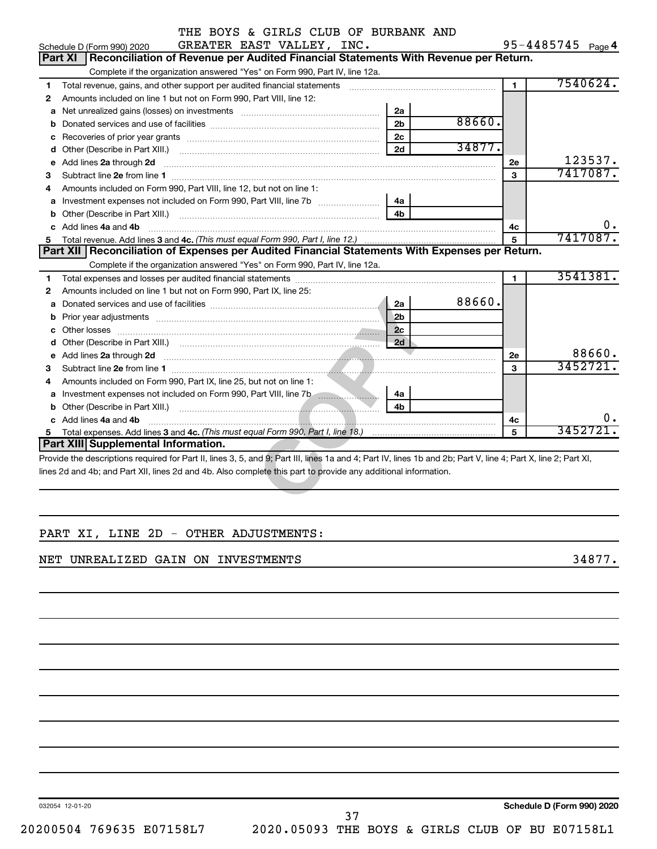| Complete if the organization answered "Yes" on Form 990, Part IV, line 12a.                                                                                                                                                               |                |        |                |                      |
|-------------------------------------------------------------------------------------------------------------------------------------------------------------------------------------------------------------------------------------------|----------------|--------|----------------|----------------------|
| Total revenue, gains, and other support per audited financial statements [[[[[[[[[[[[[[[[[[[[[[[[]]]]]]]]]]]]                                                                                                                             |                |        | $\blacksquare$ | 7540624.             |
| Amounts included on line 1 but not on Form 990, Part VIII, line 12:                                                                                                                                                                       |                |        |                |                      |
| а                                                                                                                                                                                                                                         | 2a             |        |                |                      |
| b                                                                                                                                                                                                                                         | 2 <sub>b</sub> | 88660. |                |                      |
| с                                                                                                                                                                                                                                         | 2c             |        |                |                      |
| d                                                                                                                                                                                                                                         | 2d             | 34877. |                |                      |
| Add lines 2a through 2d<br>е                                                                                                                                                                                                              |                |        | 2e             | 123537.              |
|                                                                                                                                                                                                                                           |                |        | $\mathbf{a}$   | 7417087.             |
| Amounts included on Form 990, Part VIII, line 12, but not on line 1:                                                                                                                                                                      |                |        |                |                      |
| а                                                                                                                                                                                                                                         | 4a             |        |                |                      |
| b                                                                                                                                                                                                                                         | 4 <sub>b</sub> |        |                |                      |
|                                                                                                                                                                                                                                           |                |        | 4c             | 0.                   |
| Add lines 4a and 4b<br>c                                                                                                                                                                                                                  |                |        |                |                      |
|                                                                                                                                                                                                                                           |                |        | 5              |                      |
| Part XII Reconciliation of Expenses per Audited Financial Statements With Expenses per Return.                                                                                                                                            |                |        |                |                      |
| Complete if the organization answered "Yes" on Form 990, Part IV, line 12a.                                                                                                                                                               |                |        |                |                      |
|                                                                                                                                                                                                                                           |                |        | $\blacksquare$ |                      |
| Amounts included on line 1 but not on Form 990, Part IX, line 25:                                                                                                                                                                         |                |        |                |                      |
| Donated services and use of facilities [111] [12] matter services and use of facilities [11] matter services and use of facilities [11] matter services and use of facilities [11] matter services and use of facilities in th<br>а       | 2a             | 88660. |                |                      |
|                                                                                                                                                                                                                                           | 2 <sub>b</sub> |        |                |                      |
| Other losses <b>with a contract of the contract of the contract of the contract of the contract of the contract of the contract of the contract of the contract of the contract of the contract of the contract of the contract </b><br>c | 2 <sub>c</sub> |        |                | 7417087.<br>3541381. |
| d                                                                                                                                                                                                                                         | 2d             |        |                |                      |
| Add lines 2a through 2d <b>contained a contained a contained a contained a contained a contained a contained a contained a contact a contact a contact a contact a contact a contact a contact a contact a contact a contact a c</b><br>е |                |        | <b>2e</b>      |                      |
|                                                                                                                                                                                                                                           |                |        | 3              | 88660.<br>3452721.   |
| Amounts included on Form 990, Part IX, line 25, but not on line 1:                                                                                                                                                                        |                |        |                |                      |
| a Investment expenses not included on Form 990, Part VIII, line 7b [100]                                                                                                                                                                  | 4a             |        |                |                      |
|                                                                                                                                                                                                                                           | 4 <sub>b</sub> |        |                |                      |
| c Add lines 4a and 4b                                                                                                                                                                                                                     |                |        | 4c             | 0.<br>3452721.       |

### PART XI, LINE 2D - OTHER ADJUSTMENTS:

#### NET UNREALIZED GAIN ON INVESTMENTS **SECURITS** 34877.

032054 12-01-20

**Schedule D (Form 990) 2020**

37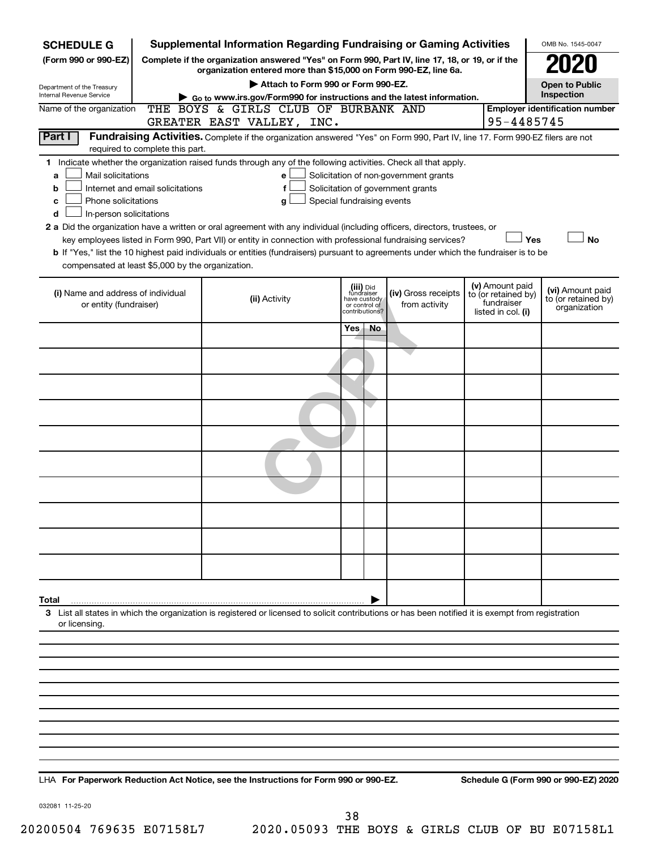| <b>SCHEDULE G</b>                                                                                                                                        |                                 | <b>Supplemental Information Regarding Fundraising or Gaming Activities</b>                                                                                                                                                                           |              |                                 |                     |  |                                   | OMB No. 1545-0047                       |  |
|----------------------------------------------------------------------------------------------------------------------------------------------------------|---------------------------------|------------------------------------------------------------------------------------------------------------------------------------------------------------------------------------------------------------------------------------------------------|--------------|---------------------------------|---------------------|--|-----------------------------------|-----------------------------------------|--|
| (Form 990 or 990-EZ)                                                                                                                                     |                                 | Complete if the organization answered "Yes" on Form 990, Part IV, line 17, 18, or 19, or if the                                                                                                                                                      |              |                                 |                     |  |                                   |                                         |  |
|                                                                                                                                                          |                                 | organization entered more than \$15,000 on Form 990-EZ, line 6a.<br>Attach to Form 990 or Form 990-EZ.                                                                                                                                               |              |                                 |                     |  |                                   | <b>Open to Public</b>                   |  |
| Department of the Treasury<br>Internal Revenue Service                                                                                                   |                                 | Go to www.irs.gov/Form990 for instructions and the latest information.                                                                                                                                                                               |              |                                 |                     |  |                                   | Inspection                              |  |
| Name of the organization                                                                                                                                 |                                 | THE BOYS & GIRLS CLUB OF BURBANK AND                                                                                                                                                                                                                 |              |                                 |                     |  |                                   | <b>Employer identification number</b>   |  |
| Part I                                                                                                                                                   |                                 | GREATER EAST VALLEY, INC.<br>Fundraising Activities. Complete if the organization answered "Yes" on Form 990, Part IV, line 17. Form 990-EZ filers are not                                                                                           |              |                                 |                     |  | 95-4485745                        |                                         |  |
|                                                                                                                                                          | required to complete this part. |                                                                                                                                                                                                                                                      |              |                                 |                     |  |                                   |                                         |  |
|                                                                                                                                                          |                                 | 1 Indicate whether the organization raised funds through any of the following activities. Check all that apply.                                                                                                                                      |              |                                 |                     |  |                                   |                                         |  |
| Mail solicitations<br>Solicitation of non-government grants<br>a<br>e<br>Internet and email solicitations<br>Solicitation of government grants<br>f<br>b |                                 |                                                                                                                                                                                                                                                      |              |                                 |                     |  |                                   |                                         |  |
| Phone solicitations<br>c                                                                                                                                 |                                 | Special fundraising events<br>g                                                                                                                                                                                                                      |              |                                 |                     |  |                                   |                                         |  |
| In-person solicitations<br>d                                                                                                                             |                                 |                                                                                                                                                                                                                                                      |              |                                 |                     |  |                                   |                                         |  |
|                                                                                                                                                          |                                 | 2 a Did the organization have a written or oral agreement with any individual (including officers, directors, trustees, or                                                                                                                           |              |                                 |                     |  |                                   |                                         |  |
|                                                                                                                                                          |                                 | key employees listed in Form 990, Part VII) or entity in connection with professional fundraising services?<br>b If "Yes," list the 10 highest paid individuals or entities (fundraisers) pursuant to agreements under which the fundraiser is to be |              |                                 |                     |  | Yes                               | <b>No</b>                               |  |
| compensated at least \$5,000 by the organization.                                                                                                        |                                 |                                                                                                                                                                                                                                                      |              |                                 |                     |  |                                   |                                         |  |
|                                                                                                                                                          |                                 |                                                                                                                                                                                                                                                      |              |                                 |                     |  | (v) Amount paid                   |                                         |  |
| (i) Name and address of individual                                                                                                                       |                                 | (ii) Activity                                                                                                                                                                                                                                        | have custody | (iii) Did<br>fundraiser         | (iv) Gross receipts |  | to (or retained by)<br>fundraiser | (vi) Amount paid<br>to (or retained by) |  |
| or entity (fundraiser)                                                                                                                                   |                                 |                                                                                                                                                                                                                                                      |              | or control of<br>contributions? | from activity       |  | listed in col. (i)                | organization                            |  |
|                                                                                                                                                          |                                 |                                                                                                                                                                                                                                                      | Yes.         | No.                             |                     |  |                                   |                                         |  |
|                                                                                                                                                          |                                 |                                                                                                                                                                                                                                                      |              |                                 |                     |  |                                   |                                         |  |
|                                                                                                                                                          |                                 |                                                                                                                                                                                                                                                      |              |                                 |                     |  |                                   |                                         |  |
|                                                                                                                                                          |                                 |                                                                                                                                                                                                                                                      |              |                                 |                     |  |                                   |                                         |  |
|                                                                                                                                                          |                                 |                                                                                                                                                                                                                                                      |              |                                 |                     |  |                                   |                                         |  |
|                                                                                                                                                          |                                 |                                                                                                                                                                                                                                                      |              |                                 |                     |  |                                   |                                         |  |
|                                                                                                                                                          |                                 |                                                                                                                                                                                                                                                      |              |                                 |                     |  |                                   |                                         |  |
|                                                                                                                                                          |                                 |                                                                                                                                                                                                                                                      |              |                                 |                     |  |                                   |                                         |  |
|                                                                                                                                                          |                                 |                                                                                                                                                                                                                                                      |              |                                 |                     |  |                                   |                                         |  |
|                                                                                                                                                          |                                 |                                                                                                                                                                                                                                                      |              |                                 |                     |  |                                   |                                         |  |
|                                                                                                                                                          |                                 |                                                                                                                                                                                                                                                      |              |                                 |                     |  |                                   |                                         |  |
|                                                                                                                                                          |                                 |                                                                                                                                                                                                                                                      |              |                                 |                     |  |                                   |                                         |  |
|                                                                                                                                                          |                                 |                                                                                                                                                                                                                                                      |              |                                 |                     |  |                                   |                                         |  |
| Total                                                                                                                                                    |                                 |                                                                                                                                                                                                                                                      |              |                                 |                     |  |                                   |                                         |  |
|                                                                                                                                                          |                                 | 3 List all states in which the organization is registered or licensed to solicit contributions or has been notified it is exempt from registration                                                                                                   |              |                                 |                     |  |                                   |                                         |  |
| or licensing.                                                                                                                                            |                                 |                                                                                                                                                                                                                                                      |              |                                 |                     |  |                                   |                                         |  |
|                                                                                                                                                          |                                 |                                                                                                                                                                                                                                                      |              |                                 |                     |  |                                   |                                         |  |
|                                                                                                                                                          |                                 |                                                                                                                                                                                                                                                      |              |                                 |                     |  |                                   |                                         |  |
|                                                                                                                                                          |                                 |                                                                                                                                                                                                                                                      |              |                                 |                     |  |                                   |                                         |  |
|                                                                                                                                                          |                                 |                                                                                                                                                                                                                                                      |              |                                 |                     |  |                                   |                                         |  |
|                                                                                                                                                          |                                 |                                                                                                                                                                                                                                                      |              |                                 |                     |  |                                   |                                         |  |
|                                                                                                                                                          |                                 |                                                                                                                                                                                                                                                      |              |                                 |                     |  |                                   |                                         |  |
|                                                                                                                                                          |                                 |                                                                                                                                                                                                                                                      |              |                                 |                     |  |                                   |                                         |  |
|                                                                                                                                                          |                                 |                                                                                                                                                                                                                                                      |              |                                 |                     |  |                                   |                                         |  |
|                                                                                                                                                          |                                 |                                                                                                                                                                                                                                                      |              |                                 |                     |  |                                   |                                         |  |

**For Paperwork Reduction Act Notice, see the Instructions for Form 990 or 990-EZ. Schedule G (Form 990 or 990-EZ) 2020** LHA

032081 11-25-20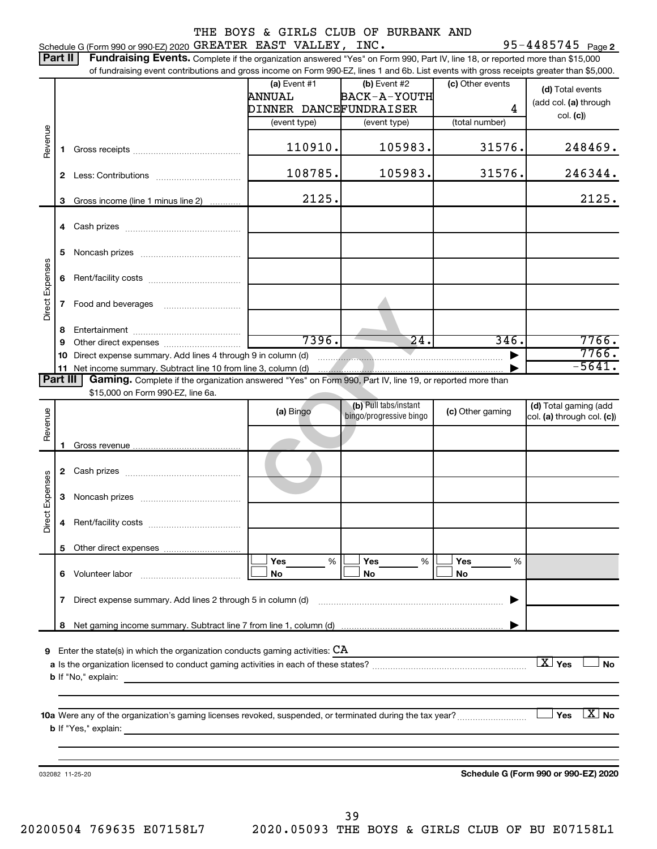|                 |              | Schedule G (Form 990 or 990-EZ) 2020 GREATER EAST VALLEY, INC.                                                                                      |                        | THE BOYS & GIRLS CLUB OF BURBANK AND                                                                                                                                                                                                                                                                                                                                        |                  | $95 - 4485745$ Page 2                               |
|-----------------|--------------|-----------------------------------------------------------------------------------------------------------------------------------------------------|------------------------|-----------------------------------------------------------------------------------------------------------------------------------------------------------------------------------------------------------------------------------------------------------------------------------------------------------------------------------------------------------------------------|------------------|-----------------------------------------------------|
| Part II         |              | Fundraising Events. Complete if the organization answered "Yes" on Form 990, Part IV, line 18, or reported more than \$15,000                       |                        |                                                                                                                                                                                                                                                                                                                                                                             |                  |                                                     |
|                 |              | of fundraising event contributions and gross income on Form 990-EZ, lines 1 and 6b. List events with gross receipts greater than \$5,000.           |                        |                                                                                                                                                                                                                                                                                                                                                                             |                  |                                                     |
|                 |              |                                                                                                                                                     | (a) Event $#1$         | $(b)$ Event #2                                                                                                                                                                                                                                                                                                                                                              | (c) Other events | (d) Total events                                    |
|                 |              |                                                                                                                                                     | ANNUAL                 | BACK-A-YOUTH                                                                                                                                                                                                                                                                                                                                                                |                  | (add col. (a) through                               |
|                 |              |                                                                                                                                                     | DINNER DANCEFUNDRAISER |                                                                                                                                                                                                                                                                                                                                                                             | 4                | col. (c)                                            |
|                 |              |                                                                                                                                                     | (event type)           | (event type)                                                                                                                                                                                                                                                                                                                                                                | (total number)   |                                                     |
| Revenue         | 1            |                                                                                                                                                     | 110910.                | 105983.                                                                                                                                                                                                                                                                                                                                                                     | 31576.           | 248469.                                             |
|                 | $\mathbf{2}$ |                                                                                                                                                     | 108785.                | 105983.                                                                                                                                                                                                                                                                                                                                                                     | 31576.           | 246344.                                             |
|                 | 3            | Gross income (line 1 minus line 2)                                                                                                                  | 2125.                  |                                                                                                                                                                                                                                                                                                                                                                             |                  | 2125.                                               |
|                 |              |                                                                                                                                                     |                        |                                                                                                                                                                                                                                                                                                                                                                             |                  |                                                     |
|                 | 5            |                                                                                                                                                     |                        |                                                                                                                                                                                                                                                                                                                                                                             |                  |                                                     |
| Direct Expenses | 6            |                                                                                                                                                     |                        |                                                                                                                                                                                                                                                                                                                                                                             |                  |                                                     |
|                 | 7            |                                                                                                                                                     |                        |                                                                                                                                                                                                                                                                                                                                                                             |                  |                                                     |
|                 |              |                                                                                                                                                     |                        |                                                                                                                                                                                                                                                                                                                                                                             |                  |                                                     |
|                 | 8<br>9       |                                                                                                                                                     | 7396.                  | $\overline{24}$ .                                                                                                                                                                                                                                                                                                                                                           | 346.             | 7766.                                               |
|                 | 10           | Direct expense summary. Add lines 4 through 9 in column (d)                                                                                         |                        | $\begin{picture}(20,10) \put(0,0){\vector(1,0){10}} \put(15,0){\vector(1,0){10}} \put(15,0){\vector(1,0){10}} \put(15,0){\vector(1,0){10}} \put(15,0){\vector(1,0){10}} \put(15,0){\vector(1,0){10}} \put(15,0){\vector(1,0){10}} \put(15,0){\vector(1,0){10}} \put(15,0){\vector(1,0){10}} \put(15,0){\vector(1,0){10}} \put(15,0){\vector(1,0){10}} \put(15,0){\vector(1$ |                  | 7766.                                               |
|                 |              |                                                                                                                                                     |                        |                                                                                                                                                                                                                                                                                                                                                                             |                  | $-5641.$                                            |
| Part III        |              | Gaming. Complete if the organization answered "Yes" on Form 990, Part IV, line 19, or reported more than                                            |                        |                                                                                                                                                                                                                                                                                                                                                                             |                  |                                                     |
|                 |              | \$15,000 on Form 990-EZ, line 6a.                                                                                                                   |                        |                                                                                                                                                                                                                                                                                                                                                                             |                  |                                                     |
| Revenue         |              |                                                                                                                                                     | (a) Bingo              | (b) Pull tabs/instant<br>bingo/progressive bingo                                                                                                                                                                                                                                                                                                                            | (c) Other gaming | (d) Total gaming (add<br>col. (a) through col. (c)) |
|                 | 1            |                                                                                                                                                     |                        |                                                                                                                                                                                                                                                                                                                                                                             |                  |                                                     |
|                 | $\mathbf{2}$ |                                                                                                                                                     |                        |                                                                                                                                                                                                                                                                                                                                                                             |                  |                                                     |
| Expenses        |              |                                                                                                                                                     |                        |                                                                                                                                                                                                                                                                                                                                                                             |                  |                                                     |
| Direct          | 4            |                                                                                                                                                     |                        |                                                                                                                                                                                                                                                                                                                                                                             |                  |                                                     |
|                 | 5            |                                                                                                                                                     |                        |                                                                                                                                                                                                                                                                                                                                                                             |                  |                                                     |
|                 | 6            | Volunteer labor                                                                                                                                     | Yes<br>%<br>No         | Yes<br>%<br>No                                                                                                                                                                                                                                                                                                                                                              | Yes<br>%<br>No   |                                                     |
|                 |              | 7 Direct expense summary. Add lines 2 through 5 in column (d)                                                                                       |                        |                                                                                                                                                                                                                                                                                                                                                                             |                  |                                                     |
|                 | 8            |                                                                                                                                                     |                        |                                                                                                                                                                                                                                                                                                                                                                             |                  |                                                     |
|                 |              |                                                                                                                                                     |                        |                                                                                                                                                                                                                                                                                                                                                                             |                  |                                                     |
|                 |              | <b>9</b> Enter the state(s) in which the organization conducts gaming activities: $CA$                                                              |                        |                                                                                                                                                                                                                                                                                                                                                                             |                  |                                                     |
|                 |              | <b>b</b> If "No," explain:                                                                                                                          |                        |                                                                                                                                                                                                                                                                                                                                                                             |                  | $\boxed{\text{X}}$ Yes<br><b>No</b>                 |
|                 |              |                                                                                                                                                     |                        |                                                                                                                                                                                                                                                                                                                                                                             |                  |                                                     |
|                 |              | <b>b</b> If "Yes," explain:<br><u> 1989 - Johann Barbara, martxa alemaniar argamento de la contrada de la contrada de la contrada de la contrad</u> |                        |                                                                                                                                                                                                                                                                                                                                                                             |                  | $X_{0}$<br>Yes                                      |
|                 |              |                                                                                                                                                     |                        |                                                                                                                                                                                                                                                                                                                                                                             |                  |                                                     |
|                 |              | 032082 11-25-20                                                                                                                                     |                        |                                                                                                                                                                                                                                                                                                                                                                             |                  | Schedule G (Form 990 or 990-EZ) 2020                |
|                 |              |                                                                                                                                                     |                        |                                                                                                                                                                                                                                                                                                                                                                             |                  |                                                     |
|                 |              |                                                                                                                                                     |                        |                                                                                                                                                                                                                                                                                                                                                                             |                  |                                                     |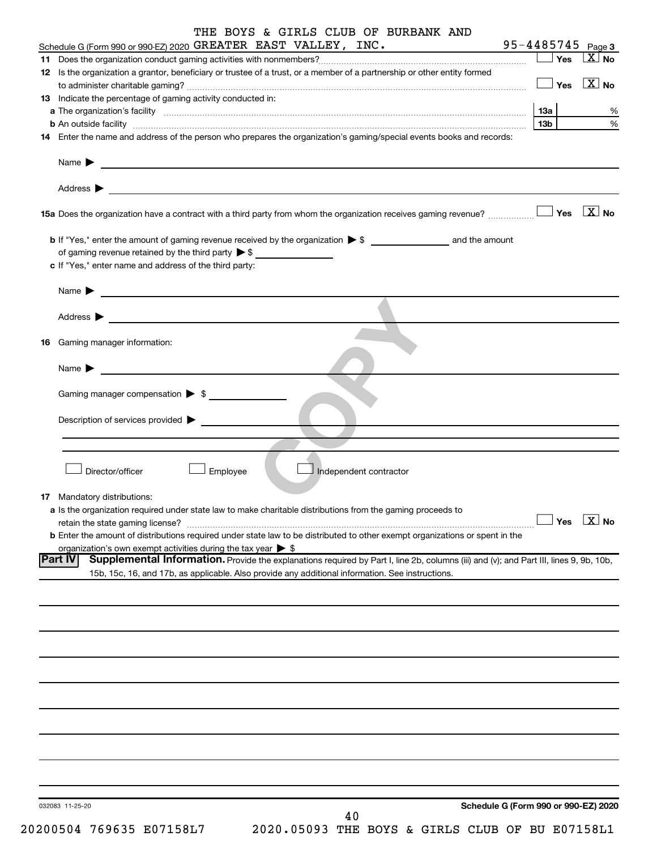| THE BOYS & GIRLS CLUB OF BURBANK AND                                                                                                                                                                                                      |                                          |                  |
|-------------------------------------------------------------------------------------------------------------------------------------------------------------------------------------------------------------------------------------------|------------------------------------------|------------------|
| Schedule G (Form 990 or 990-EZ) 2020 GREATER EAST VALLEY, INC.                                                                                                                                                                            | $95 - 4485745$ Page 3<br>$\Box$ Yes      | X  <br><b>No</b> |
| 12 Is the organization a grantor, beneficiary or trustee of a trust, or a member of a partnership or other entity formed                                                                                                                  |                                          |                  |
|                                                                                                                                                                                                                                           | $\blacksquare$ Yes $\boxed{\text{X}}$ No |                  |
| 13 Indicate the percentage of gaming activity conducted in:                                                                                                                                                                               |                                          |                  |
| a The organization's facility www.communication.communications are consistent and the organization's facility                                                                                                                             | 13a                                      | %                |
| <b>b</b> An outside facility <b>contained and the contract of the contract of the contract of the contract of the contract of the contract of the contract of the contract of the contract of the contract of the contract of the con</b> | 13b I                                    | $\%$             |
| 14 Enter the name and address of the person who prepares the organization's gaming/special events books and records:                                                                                                                      |                                          |                  |
| Name $\blacktriangleright$<br><u> 1989 - Johann Stoff, amerikansk politiker (* 1908)</u>                                                                                                                                                  |                                          |                  |
|                                                                                                                                                                                                                                           |                                          |                  |
| Address $\blacktriangleright$                                                                                                                                                                                                             |                                          |                  |
|                                                                                                                                                                                                                                           |                                          |                  |
|                                                                                                                                                                                                                                           |                                          |                  |
| of gaming revenue retained by the third party $\triangleright$ \$                                                                                                                                                                         |                                          |                  |
| c If "Yes," enter name and address of the third party:                                                                                                                                                                                    |                                          |                  |
| Name $\blacktriangleright$                                                                                                                                                                                                                |                                          |                  |
| <u> 1989 - John Harry Harry Harry Harry Harry Harry Harry Harry Harry Harry Harry Harry Harry Harry Harry Harry</u>                                                                                                                       |                                          |                  |
| Address $\blacktriangleright$                                                                                                                                                                                                             |                                          |                  |
|                                                                                                                                                                                                                                           |                                          |                  |
| <b>16</b> Gaming manager information:                                                                                                                                                                                                     |                                          |                  |
| Name $\blacktriangleright$                                                                                                                                                                                                                |                                          |                  |
|                                                                                                                                                                                                                                           |                                          |                  |
| Gaming manager compensation > \$                                                                                                                                                                                                          |                                          |                  |
| Description of services provided >                                                                                                                                                                                                        |                                          |                  |
|                                                                                                                                                                                                                                           |                                          |                  |
|                                                                                                                                                                                                                                           |                                          |                  |
|                                                                                                                                                                                                                                           |                                          |                  |
| Director/officer<br>Employee<br>Independent contractor                                                                                                                                                                                    |                                          |                  |
| 17 Mandatory distributions:                                                                                                                                                                                                               |                                          |                  |
| a Is the organization required under state law to make charitable distributions from the gaming proceeds to                                                                                                                               |                                          |                  |
| retain the state gaming license?                                                                                                                                                                                                          |                                          | Yes $X$ No       |
| <b>b</b> Enter the amount of distributions required under state law to be distributed to other exempt organizations or spent in the<br>organization's own exempt activities during the tax year $\triangleright$ \$                       |                                          |                  |
| Part IV<br>Supplemental Information. Provide the explanations required by Part I, line 2b, columns (iii) and (v); and Part III, lines 9, 9b, 10b,                                                                                         |                                          |                  |
| 15b, 15c, 16, and 17b, as applicable. Also provide any additional information. See instructions.                                                                                                                                          |                                          |                  |
|                                                                                                                                                                                                                                           |                                          |                  |
|                                                                                                                                                                                                                                           |                                          |                  |
|                                                                                                                                                                                                                                           |                                          |                  |
|                                                                                                                                                                                                                                           |                                          |                  |
|                                                                                                                                                                                                                                           |                                          |                  |
|                                                                                                                                                                                                                                           |                                          |                  |
|                                                                                                                                                                                                                                           |                                          |                  |
|                                                                                                                                                                                                                                           |                                          |                  |
|                                                                                                                                                                                                                                           |                                          |                  |
|                                                                                                                                                                                                                                           |                                          |                  |
|                                                                                                                                                                                                                                           |                                          |                  |
|                                                                                                                                                                                                                                           |                                          |                  |
|                                                                                                                                                                                                                                           |                                          |                  |
|                                                                                                                                                                                                                                           |                                          |                  |
| Schedule G (Form 990 or 990-EZ) 2020<br>032083 11-25-20<br>40                                                                                                                                                                             |                                          |                  |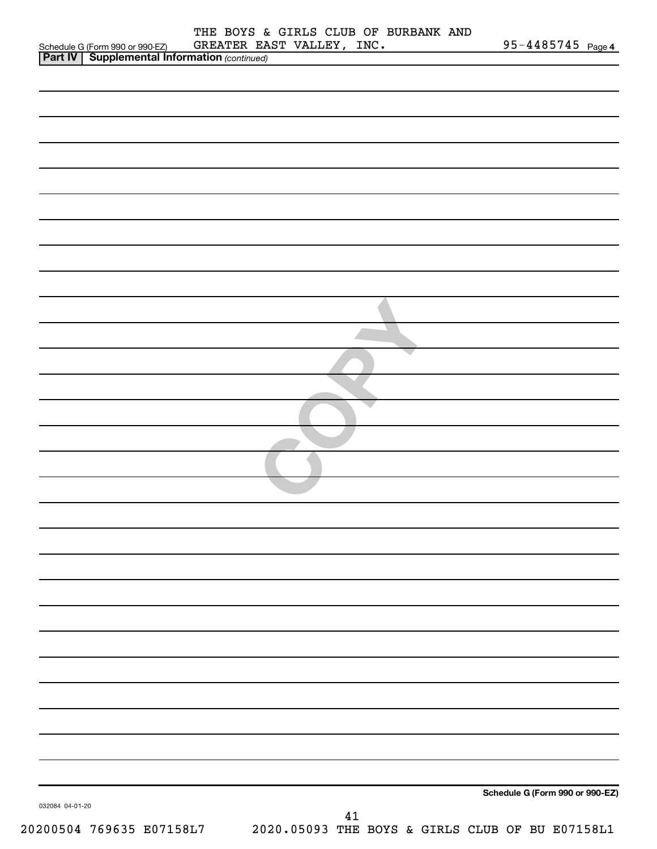|                                                                                                   | THE BOYS & GIRLS CLUB OF BURBANK AND<br>GREATER EAST VALLEY, INC.              | $95 - 4485745$ Page 4           |
|---------------------------------------------------------------------------------------------------|--------------------------------------------------------------------------------|---------------------------------|
| Schedule G (Form 990 or 990-EZ) GREATER EA<br><b>Part IV</b> Supplemental Information (continued) |                                                                                |                                 |
|                                                                                                   |                                                                                |                                 |
|                                                                                                   |                                                                                |                                 |
|                                                                                                   |                                                                                |                                 |
|                                                                                                   |                                                                                |                                 |
|                                                                                                   |                                                                                |                                 |
|                                                                                                   |                                                                                |                                 |
|                                                                                                   |                                                                                |                                 |
|                                                                                                   |                                                                                |                                 |
|                                                                                                   |                                                                                |                                 |
|                                                                                                   |                                                                                |                                 |
|                                                                                                   |                                                                                |                                 |
|                                                                                                   |                                                                                |                                 |
|                                                                                                   |                                                                                |                                 |
|                                                                                                   |                                                                                |                                 |
|                                                                                                   |                                                                                |                                 |
|                                                                                                   |                                                                                |                                 |
|                                                                                                   |                                                                                |                                 |
|                                                                                                   |                                                                                |                                 |
|                                                                                                   |                                                                                |                                 |
|                                                                                                   |                                                                                |                                 |
|                                                                                                   |                                                                                |                                 |
|                                                                                                   |                                                                                |                                 |
|                                                                                                   |                                                                                |                                 |
|                                                                                                   |                                                                                |                                 |
|                                                                                                   |                                                                                |                                 |
|                                                                                                   |                                                                                |                                 |
|                                                                                                   |                                                                                |                                 |
|                                                                                                   |                                                                                |                                 |
|                                                                                                   |                                                                                |                                 |
|                                                                                                   |                                                                                |                                 |
|                                                                                                   |                                                                                |                                 |
|                                                                                                   |                                                                                |                                 |
|                                                                                                   |                                                                                |                                 |
|                                                                                                   |                                                                                |                                 |
|                                                                                                   |                                                                                |                                 |
|                                                                                                   |                                                                                |                                 |
|                                                                                                   |                                                                                |                                 |
|                                                                                                   |                                                                                |                                 |
|                                                                                                   |                                                                                |                                 |
|                                                                                                   |                                                                                |                                 |
| 032084 04-01-20                                                                                   |                                                                                | Schedule G (Form 990 or 990-EZ) |
|                                                                                                   | 41<br>20200504 769635 E07158L7 2020.05093 THE BOYS & GIRLS CLUB OF BU E07158L1 |                                 |
|                                                                                                   |                                                                                |                                 |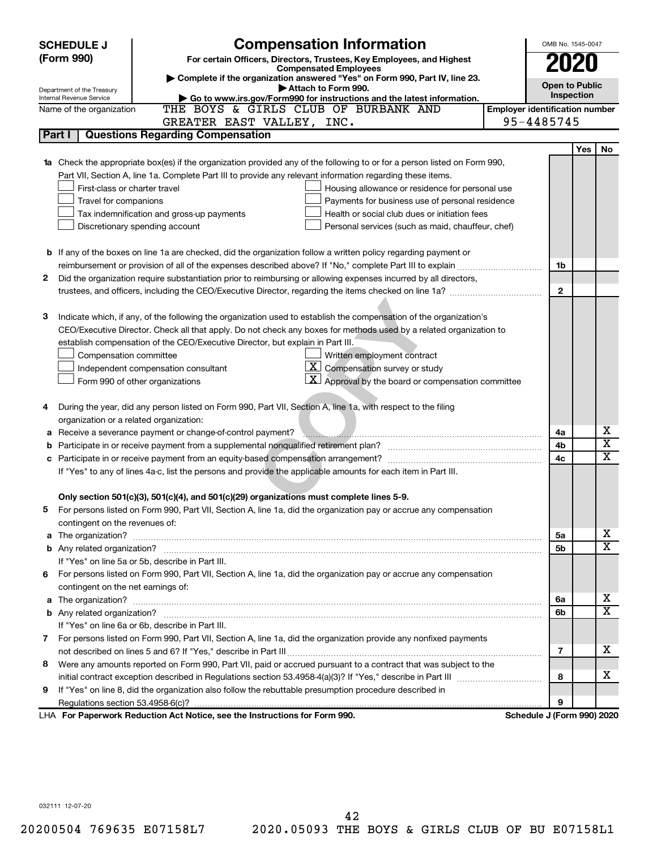| <b>SCHEDULE J</b> | OMB No. 1545-0047                       |                                                                                                                        |                                       |            |                         |  |  |  |
|-------------------|-----------------------------------------|------------------------------------------------------------------------------------------------------------------------|---------------------------------------|------------|-------------------------|--|--|--|
|                   | (Form 990)                              | <b>Compensation Information</b><br>For certain Officers, Directors, Trustees, Key Employees, and Highest               | 2020                                  |            |                         |  |  |  |
|                   |                                         | <b>Compensated Employees</b>                                                                                           |                                       |            |                         |  |  |  |
|                   | Department of the Treasury              | Complete if the organization answered "Yes" on Form 990, Part IV, line 23.<br>Attach to Form 990.                      | <b>Open to Public</b>                 |            |                         |  |  |  |
|                   | Internal Revenue Service                | Go to www.irs.gov/Form990 for instructions and the latest information.                                                 | Inspection                            |            |                         |  |  |  |
|                   | Name of the organization                | THE BOYS & GIRLS CLUB OF BURBANK AND                                                                                   | <b>Employer identification number</b> |            |                         |  |  |  |
|                   |                                         | GREATER EAST VALLEY, INC.                                                                                              | 95-4485745                            |            |                         |  |  |  |
|                   | Part I                                  | <b>Questions Regarding Compensation</b>                                                                                |                                       |            |                         |  |  |  |
|                   |                                         |                                                                                                                        |                                       | <b>Yes</b> | No                      |  |  |  |
| 1a                |                                         | Check the appropriate box(es) if the organization provided any of the following to or for a person listed on Form 990, |                                       |            |                         |  |  |  |
|                   |                                         | Part VII, Section A, line 1a. Complete Part III to provide any relevant information regarding these items.             |                                       |            |                         |  |  |  |
|                   | First-class or charter travel           | Housing allowance or residence for personal use                                                                        |                                       |            |                         |  |  |  |
|                   | Travel for companions                   | Payments for business use of personal residence                                                                        |                                       |            |                         |  |  |  |
|                   |                                         | Health or social club dues or initiation fees<br>Tax indemnification and gross-up payments                             |                                       |            |                         |  |  |  |
|                   |                                         | Discretionary spending account<br>Personal services (such as maid, chauffeur, chef)                                    |                                       |            |                         |  |  |  |
|                   |                                         |                                                                                                                        |                                       |            |                         |  |  |  |
|                   |                                         | <b>b</b> If any of the boxes on line 1a are checked, did the organization follow a written policy regarding payment or |                                       |            |                         |  |  |  |
|                   |                                         |                                                                                                                        | 1b                                    |            |                         |  |  |  |
| 2                 |                                         | Did the organization require substantiation prior to reimbursing or allowing expenses incurred by all directors,       |                                       |            |                         |  |  |  |
|                   |                                         |                                                                                                                        | $\mathbf{2}$                          |            |                         |  |  |  |
|                   |                                         |                                                                                                                        |                                       |            |                         |  |  |  |
| з                 |                                         | Indicate which, if any, of the following the organization used to establish the compensation of the organization's     |                                       |            |                         |  |  |  |
|                   |                                         | CEO/Executive Director. Check all that apply. Do not check any boxes for methods used by a related organization to     |                                       |            |                         |  |  |  |
|                   |                                         | establish compensation of the CEO/Executive Director, but explain in Part III.                                         |                                       |            |                         |  |  |  |
|                   | Compensation committee                  | Written employment contract                                                                                            |                                       |            |                         |  |  |  |
|                   |                                         | <u>x  </u><br>Compensation survey or study<br>Independent compensation consultant                                      |                                       |            |                         |  |  |  |
|                   |                                         | $\mathbf{X}$ Approval by the board or compensation committee<br>Form 990 of other organizations                        |                                       |            |                         |  |  |  |
|                   |                                         |                                                                                                                        |                                       |            |                         |  |  |  |
| 4                 |                                         | During the year, did any person listed on Form 990, Part VII, Section A, line 1a, with respect to the filing           |                                       |            |                         |  |  |  |
|                   | organization or a related organization: |                                                                                                                        |                                       |            | х                       |  |  |  |
| а                 |                                         | Receive a severance payment or change-of-control payment?                                                              | 4a                                    |            | $\overline{\textbf{x}}$ |  |  |  |
| b                 |                                         |                                                                                                                        | 4b<br>4c                              |            | X                       |  |  |  |
| c                 |                                         |                                                                                                                        |                                       |            |                         |  |  |  |
|                   |                                         | If "Yes" to any of lines 4a-c, list the persons and provide the applicable amounts for each item in Part III.          |                                       |            |                         |  |  |  |
|                   |                                         | Only section 501(c)(3), 501(c)(4), and 501(c)(29) organizations must complete lines 5-9.                               |                                       |            |                         |  |  |  |
|                   |                                         | For persons listed on Form 990, Part VII, Section A, line 1a, did the organization pay or accrue any compensation      |                                       |            |                         |  |  |  |
|                   | contingent on the revenues of:          |                                                                                                                        |                                       |            |                         |  |  |  |
|                   |                                         |                                                                                                                        | 5a                                    |            | х                       |  |  |  |
|                   |                                         |                                                                                                                        | 5b                                    |            | X                       |  |  |  |
|                   |                                         | If "Yes" on line 5a or 5b, describe in Part III.                                                                       |                                       |            |                         |  |  |  |
|                   |                                         | 6 For persons listed on Form 990, Part VII, Section A, line 1a, did the organization pay or accrue any compensation    |                                       |            |                         |  |  |  |
|                   | contingent on the net earnings of:      |                                                                                                                        |                                       |            |                         |  |  |  |
|                   |                                         |                                                                                                                        | 6a                                    |            | х                       |  |  |  |
|                   |                                         |                                                                                                                        | 6b                                    |            | X                       |  |  |  |
|                   |                                         | If "Yes" on line 6a or 6b, describe in Part III.                                                                       |                                       |            |                         |  |  |  |
|                   |                                         | 7 For persons listed on Form 990, Part VII, Section A, line 1a, did the organization provide any nonfixed payments     |                                       |            |                         |  |  |  |
|                   |                                         |                                                                                                                        | 7                                     |            | x                       |  |  |  |
| 8                 |                                         | Were any amounts reported on Form 990, Part VII, paid or accrued pursuant to a contract that was subject to the        |                                       |            |                         |  |  |  |
|                   |                                         |                                                                                                                        | 8                                     |            | x                       |  |  |  |
| 9                 |                                         | If "Yes" on line 8, did the organization also follow the rebuttable presumption procedure described in                 |                                       |            |                         |  |  |  |
|                   |                                         |                                                                                                                        | 9                                     |            |                         |  |  |  |
|                   |                                         | LHA For Paperwork Reduction Act Notice, see the Instructions for Form 990.                                             | Schedule J (Form 990) 2020            |            |                         |  |  |  |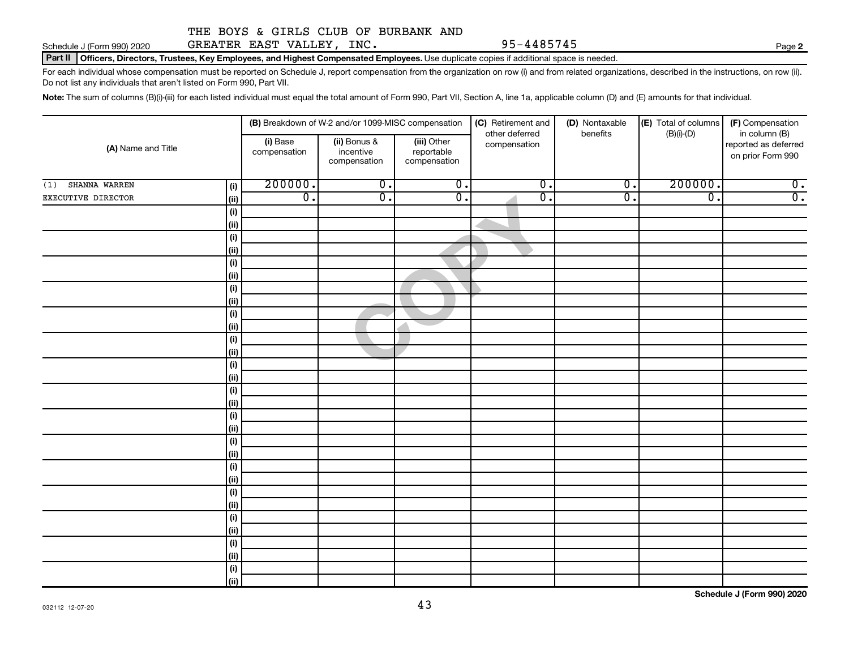| (1) SHANNA WARREN  | (i)          | 200000.          | $0$ .            | $0 \cdot$                   | $0$ .            | 0.               | 200000.          |                            |
|--------------------|--------------|------------------|------------------|-----------------------------|------------------|------------------|------------------|----------------------------|
| EXECUTIVE DIRECTOR | (ii)         | $\overline{0}$ . | $\overline{0}$ . | $\overline{\mathfrak{o}}$ . | $\overline{0}$ . | $\overline{0}$ . | $\overline{0}$ . | $\frac{0}{0}$ .            |
|                    | (i)          |                  |                  |                             |                  |                  |                  |                            |
|                    | (ii)         |                  |                  |                             |                  |                  |                  |                            |
|                    | (i)          |                  |                  |                             |                  |                  |                  |                            |
|                    | (ii)         |                  |                  |                             |                  |                  |                  |                            |
|                    | (i)          |                  |                  |                             |                  |                  |                  |                            |
|                    | (ii)         |                  |                  |                             |                  |                  |                  |                            |
|                    | (i)          |                  |                  |                             |                  |                  |                  |                            |
|                    | (i)          |                  |                  |                             |                  |                  |                  |                            |
|                    | (i)          |                  |                  |                             |                  |                  |                  |                            |
|                    | (ii)         |                  |                  |                             |                  |                  |                  |                            |
|                    | (i)          |                  |                  |                             |                  |                  |                  |                            |
|                    | (ii)         |                  |                  |                             |                  |                  |                  |                            |
|                    | (i)          |                  |                  |                             |                  |                  |                  |                            |
|                    | (ii)         |                  |                  |                             |                  |                  |                  |                            |
|                    | (i)          |                  |                  |                             |                  |                  |                  |                            |
|                    | (ii)         |                  |                  |                             |                  |                  |                  |                            |
|                    | (i)          |                  |                  |                             |                  |                  |                  |                            |
|                    | $\vert$ (ii) |                  |                  |                             |                  |                  |                  |                            |
|                    | (i)          |                  |                  |                             |                  |                  |                  |                            |
|                    | (ii)         |                  |                  |                             |                  |                  |                  |                            |
|                    | (i)          |                  |                  |                             |                  |                  |                  |                            |
|                    | (ii)         |                  |                  |                             |                  |                  |                  |                            |
|                    | (i)          |                  |                  |                             |                  |                  |                  |                            |
|                    | $\vert$ (ii) |                  |                  |                             |                  |                  |                  |                            |
|                    | (i)          |                  |                  |                             |                  |                  |                  |                            |
|                    | (ii)         |                  |                  |                             |                  |                  |                  |                            |
|                    | (i)          |                  |                  |                             |                  |                  |                  |                            |
|                    | $\vert$ (ii) |                  |                  |                             |                  |                  |                  |                            |
|                    | (i)          |                  |                  |                             |                  |                  |                  |                            |
|                    | (ii)         |                  |                  |                             |                  |                  |                  |                            |
|                    |              |                  |                  |                             |                  |                  |                  | Schedule I (Form 990) 2020 |

43

#### THE BOYS & GIRLS CLUB OF BURBANK AND

Part II | Officers, Directors, Trustees, Key Employees, and Highest Compensated Employees. Use duplicate copies if additional space is needed.

For each individual whose compensation must be reported on Schedule J, report compensation from the organization on row (i) and from related organizations, described in the instructions, on row (ii). Do not list any individuals that aren't listed on Form 990, Part VII.

> (iii) Other reportable compensation

**(B)** Breakdown of W-2 and/or 1099-MISC compensation | **(C)** Retirement and | **(D)** Nontaxable | **(E)** Total of columns | **(F)** 

other deferred compensation

Note: The sum of columns (B)(i)-(iii) for each listed individual must equal the total amount of Form 990, Part VII, Section A, line 1a, applicable column (D) and (E) amounts for that individual.

(ii) Bonus & incentive compensation

# Schedule J (Form 990) 2020 GREATER EAST VALLEY,INC . 95-4485745 Page

**(i) (ii) (iii) (A)**  Name and Title

(i) Base compensation

032112 12-07-20

(D) Nontaxable benefits

 $|E|$  Total of columns (B)(i)-(D)

**2**

(F) Compensation in column (B) reported as deferred on prior Form 990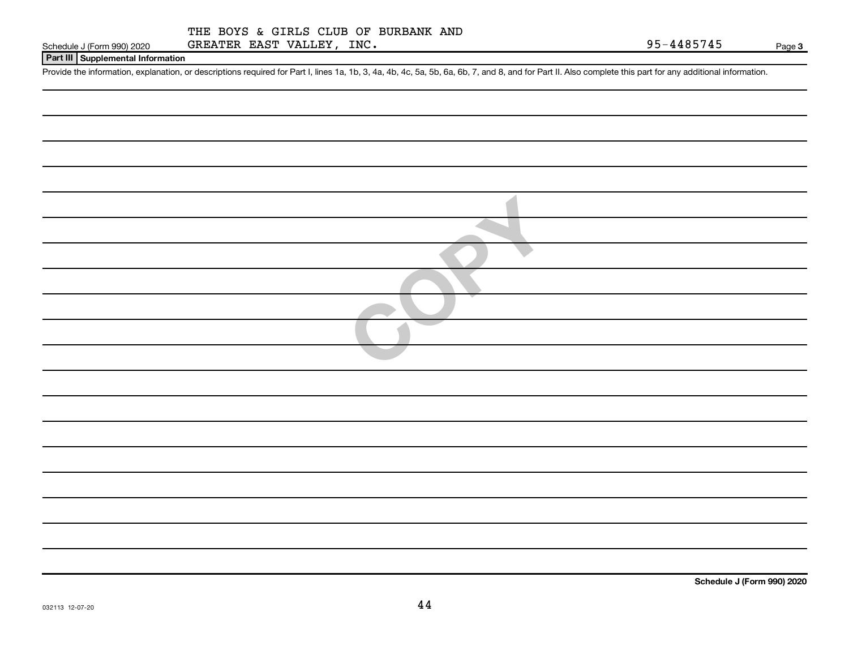| Schedule J (Form 990) 2020 |  |  |
|----------------------------|--|--|

#### **Part III Supplemental Information**

Provide the information, explanation, or descriptions required for Part I, lines 1a, 1b, 3, 4a, 4b, 4c, 5a, 5b, 6a, 6b, 7, and 8, and for Part II. Also complete this part for any additional information.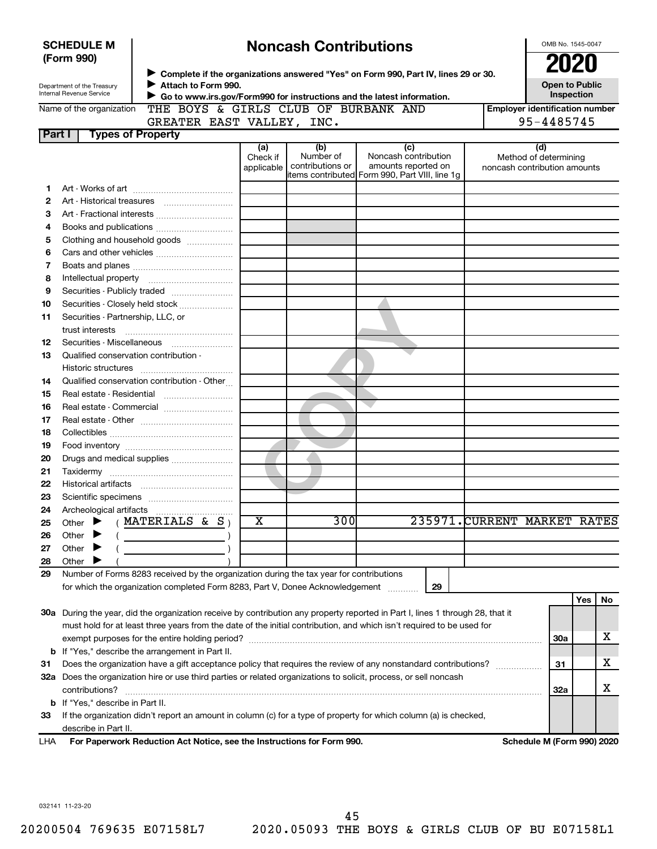|          | <b>SCHEDULE M</b><br>(Form 990)                               |                                                                                                                                | <b>Noncash Contributions</b> |                               | OMB No. 1545-0047<br><b>2020</b>                                                              |                              |                                                       |            |    |
|----------|---------------------------------------------------------------|--------------------------------------------------------------------------------------------------------------------------------|------------------------------|-------------------------------|-----------------------------------------------------------------------------------------------|------------------------------|-------------------------------------------------------|------------|----|
|          |                                                               |                                                                                                                                |                              |                               | ▶ Complete if the organizations answered "Yes" on Form 990, Part IV, lines 29 or 30.          |                              |                                                       |            |    |
|          | Department of the Treasury<br><b>Internal Revenue Service</b> | Attach to Form 990.                                                                                                            |                              |                               | Go to www.irs.gov/Form990 for instructions and the latest information.                        |                              | <b>Open to Public</b>                                 | Inspection |    |
|          | Name of the organization                                      | THE BOYS & GIRLS CLUB OF BURBANK AND                                                                                           |                              |                               |                                                                                               |                              | <b>Employer identification number</b>                 |            |    |
|          |                                                               | GREATER EAST VALLEY, INC.                                                                                                      |                              |                               |                                                                                               |                              | 95-4485745                                            |            |    |
| Part I   | <b>Types of Property</b>                                      |                                                                                                                                |                              |                               |                                                                                               |                              |                                                       |            |    |
|          |                                                               |                                                                                                                                | (a)                          | (b)                           | (c)                                                                                           |                              | (d)                                                   |            |    |
|          |                                                               |                                                                                                                                | Check if<br>applicable       | Number of<br>contributions or | Noncash contribution<br>amounts reported on<br>items contributed Form 990, Part VIII, line 1q |                              | Method of determining<br>noncash contribution amounts |            |    |
| 1        |                                                               |                                                                                                                                |                              |                               |                                                                                               |                              |                                                       |            |    |
| 2        |                                                               |                                                                                                                                |                              |                               |                                                                                               |                              |                                                       |            |    |
| з        |                                                               |                                                                                                                                |                              |                               |                                                                                               |                              |                                                       |            |    |
| 4        |                                                               | Books and publications <i>[[[[[[[[[[[[[[[[[[[[[[[[[[[[[[[[[]]]]]</i>                                                           |                              |                               |                                                                                               |                              |                                                       |            |    |
| 5        |                                                               | Clothing and household goods                                                                                                   |                              |                               |                                                                                               |                              |                                                       |            |    |
| 6        |                                                               |                                                                                                                                |                              |                               |                                                                                               |                              |                                                       |            |    |
| 7        |                                                               |                                                                                                                                |                              |                               |                                                                                               |                              |                                                       |            |    |
| 8        |                                                               |                                                                                                                                |                              |                               |                                                                                               |                              |                                                       |            |    |
| 9        |                                                               | Securities - Publicly traded                                                                                                   |                              |                               |                                                                                               |                              |                                                       |            |    |
| 10       |                                                               | Securities - Closely held stock                                                                                                |                              |                               |                                                                                               |                              |                                                       |            |    |
| 11       | Securities - Partnership, LLC, or<br>trust interests          |                                                                                                                                |                              |                               |                                                                                               |                              |                                                       |            |    |
| 12       |                                                               | Securities - Miscellaneous                                                                                                     |                              |                               |                                                                                               |                              |                                                       |            |    |
| 13       | Qualified conservation contribution -                         |                                                                                                                                |                              |                               |                                                                                               |                              |                                                       |            |    |
|          |                                                               |                                                                                                                                |                              |                               |                                                                                               |                              |                                                       |            |    |
| 14       |                                                               | Qualified conservation contribution - Other                                                                                    |                              |                               |                                                                                               |                              |                                                       |            |    |
| 15       |                                                               | Real estate - Residential                                                                                                      |                              |                               |                                                                                               |                              |                                                       |            |    |
| 16       |                                                               | Real estate - Commercial                                                                                                       |                              |                               |                                                                                               |                              |                                                       |            |    |
| 17       |                                                               |                                                                                                                                |                              |                               |                                                                                               |                              |                                                       |            |    |
| 18       |                                                               |                                                                                                                                |                              |                               |                                                                                               |                              |                                                       |            |    |
| 19       |                                                               |                                                                                                                                |                              |                               |                                                                                               |                              |                                                       |            |    |
| 20       |                                                               |                                                                                                                                |                              |                               |                                                                                               |                              |                                                       |            |    |
| 21       |                                                               |                                                                                                                                |                              |                               |                                                                                               |                              |                                                       |            |    |
| 22       |                                                               |                                                                                                                                |                              |                               |                                                                                               |                              |                                                       |            |    |
| 23       |                                                               |                                                                                                                                |                              |                               |                                                                                               |                              |                                                       |            |    |
| 24       |                                                               | Archeological artifacts                                                                                                        |                              | 300                           |                                                                                               | 235971. CURRENT MARKET RATES |                                                       |            |    |
| 25       | Other                                                         | MATERIALS & $S_1$                                                                                                              | X                            |                               |                                                                                               |                              |                                                       |            |    |
| 26       | Other                                                         |                                                                                                                                |                              |                               |                                                                                               |                              |                                                       |            |    |
| 27       | Other                                                         |                                                                                                                                |                              |                               |                                                                                               |                              |                                                       |            |    |
| 28<br>29 | Other                                                         | Number of Forms 8283 received by the organization during the tax year for contributions                                        |                              |                               |                                                                                               |                              |                                                       |            |    |
|          |                                                               | for which the organization completed Form 8283, Part V, Donee Acknowledgement                                                  |                              |                               | 29                                                                                            |                              |                                                       |            |    |
|          |                                                               |                                                                                                                                |                              |                               |                                                                                               |                              |                                                       | Yes        | No |
|          |                                                               | 30a During the year, did the organization receive by contribution any property reported in Part I, lines 1 through 28, that it |                              |                               |                                                                                               |                              |                                                       |            |    |
|          |                                                               | must hold for at least three years from the date of the initial contribution, and which isn't required to be used for          |                              |                               |                                                                                               |                              |                                                       |            |    |
|          |                                                               |                                                                                                                                |                              |                               |                                                                                               |                              | <b>30a</b>                                            |            | x  |
|          |                                                               | <b>b</b> If "Yes," describe the arrangement in Part II.                                                                        |                              |                               |                                                                                               |                              |                                                       |            |    |
| 31       |                                                               | Does the organization have a gift acceptance policy that requires the review of any nonstandard contributions?                 |                              |                               |                                                                                               |                              | 31                                                    |            | x  |
|          |                                                               | 32a Does the organization hire or use third parties or related organizations to solicit, process, or sell noncash              |                              |                               |                                                                                               |                              |                                                       |            |    |
|          | contributions?                                                |                                                                                                                                |                              |                               |                                                                                               |                              | 32a                                                   |            | x  |
|          | <b>b</b> If "Yes," describe in Part II.                       |                                                                                                                                |                              |                               |                                                                                               |                              |                                                       |            |    |
| 33       |                                                               | If the organization didn't report an amount in column (c) for a type of property for which column (a) is checked,              |                              |                               |                                                                                               |                              |                                                       |            |    |
|          | describe in Part II.                                          |                                                                                                                                |                              |                               |                                                                                               |                              |                                                       |            |    |
| LHA      |                                                               | For Paperwork Reduction Act Notice, see the Instructions for Form 990.                                                         |                              |                               |                                                                                               |                              | Schedule M (Form 990) 2020                            |            |    |
|          |                                                               |                                                                                                                                |                              |                               |                                                                                               |                              |                                                       |            |    |

032141 11-23-20

45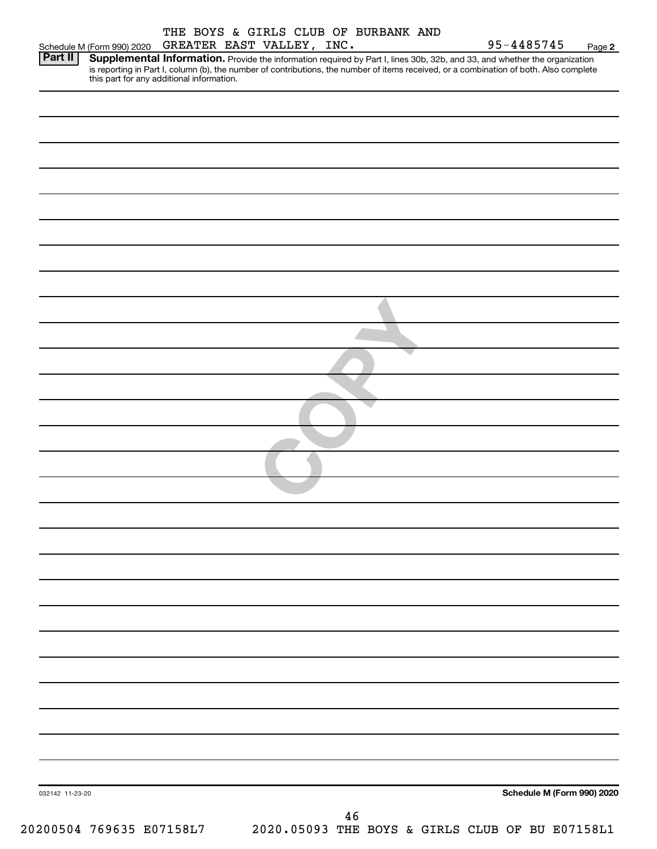| Part II                                   | Supplemental Information. Provide the information required by Part I, lines 30b, 32b, and 33, and whether the organization             |
|-------------------------------------------|----------------------------------------------------------------------------------------------------------------------------------------|
| this part for any additional information. | is reporting in Part I, column (b), the number of contributions, the number of items received, or a combination of both. Also complete |
|                                           |                                                                                                                                        |
|                                           |                                                                                                                                        |
|                                           |                                                                                                                                        |
|                                           |                                                                                                                                        |
|                                           |                                                                                                                                        |
|                                           |                                                                                                                                        |
|                                           |                                                                                                                                        |
|                                           |                                                                                                                                        |
|                                           |                                                                                                                                        |
|                                           |                                                                                                                                        |
|                                           |                                                                                                                                        |
|                                           |                                                                                                                                        |
|                                           |                                                                                                                                        |
|                                           |                                                                                                                                        |
|                                           |                                                                                                                                        |
|                                           |                                                                                                                                        |
|                                           |                                                                                                                                        |
|                                           |                                                                                                                                        |
|                                           |                                                                                                                                        |
|                                           |                                                                                                                                        |
|                                           |                                                                                                                                        |
|                                           |                                                                                                                                        |
|                                           |                                                                                                                                        |
|                                           |                                                                                                                                        |
|                                           |                                                                                                                                        |
|                                           |                                                                                                                                        |
|                                           |                                                                                                                                        |
|                                           |                                                                                                                                        |
|                                           |                                                                                                                                        |
|                                           |                                                                                                                                        |
|                                           |                                                                                                                                        |
|                                           |                                                                                                                                        |
|                                           |                                                                                                                                        |
|                                           |                                                                                                                                        |
|                                           |                                                                                                                                        |
|                                           |                                                                                                                                        |
|                                           |                                                                                                                                        |
|                                           |                                                                                                                                        |
|                                           |                                                                                                                                        |
|                                           |                                                                                                                                        |
|                                           |                                                                                                                                        |
|                                           |                                                                                                                                        |
|                                           |                                                                                                                                        |
| 032142 11-23-20                           | Schedule M (Form 990) 2020                                                                                                             |
|                                           |                                                                                                                                        |
|                                           | 46                                                                                                                                     |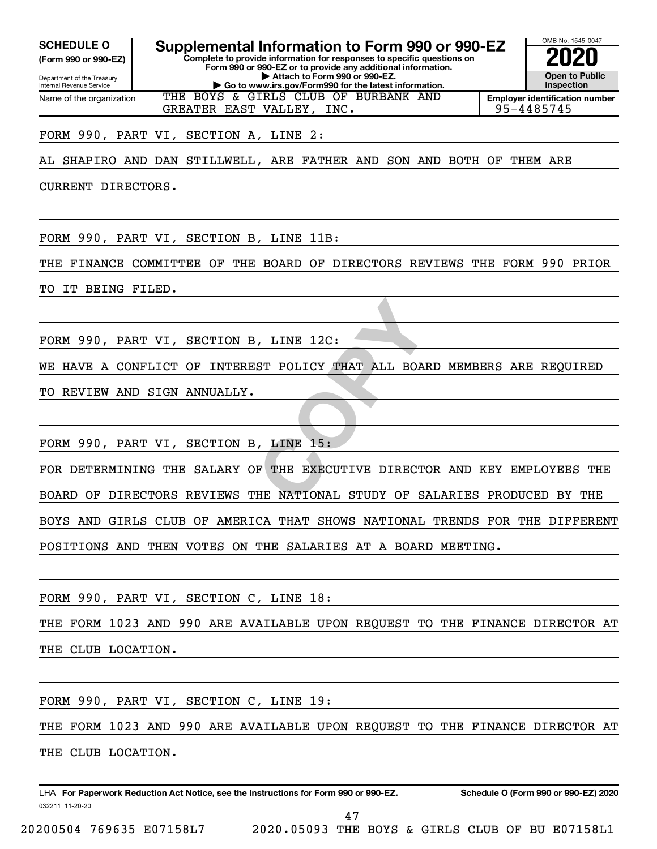Internal Revenue Service

Department of the Treasury **(Form 990 or 990-EZ)**

Name of the organization

**SCHEDULE O Supplemental Information to Form 990 or 990-EZ 2020**<br>(Form 990 or 990-EZ) **2020** 

**Complete to provide information for responses to specific questions on Form 990 or 990-EZ or to provide any additional information. | Attach to Form 990 or 990-EZ. | Go to www.irs.gov/Form990 for the latest information.**



**Employer identification number** THE BOYS & GIRLS CLUB OF BURBANK AND

FORM 990, PART VI, SECTION A, LINE 2:

AL SHAPIRO AND DAN STILLWELL, ARE FATHER AND SON AND BOTH OF THEM ARE

GREATER EAST VALLEY, INC. 95-4485745

CURRENT DIRECTORS.

FORM 990, PART VI, SECTION B, LINE 11B:

THE FINANCE COMMITTEE OF THE BOARD OF DIRECTORS REVIEWS THE FORM 990 PRIOR

TO IT BEING FILED.

FORM 990, PART VI, SECTION B, LINE 12C:

WE HAVE A CONFLICT OF INTEREST POLICY THAT ALL BOARD MEMBERS ARE REQUIRED

TO REVIEW AND SIGN ANNUALLY.

FORM 990, PART VI, SECTION B, LINE 15:

THE 12C:<br>
ST POLICY THAT ALL BOARD ME FOR DETERMINING THE SALARY OF THE EXECUTIVE DIRECTOR AND KEY EMPLOYEES THE BOARD OF DIRECTORS REVIEWS THE NATIONAL STUDY OF SALARIES PRODUCED BY THE BOYS AND GIRLS CLUB OF AMERICA THAT SHOWS NATIONAL TRENDS FOR THE DIFFERENT POSITIONS AND THEN VOTES ON THE SALARIES AT A BOARD MEETING.

FORM 990, PART VI, SECTION C, LINE 18:

THE FORM 1023 AND 990 ARE AVAILABLE UPON REQUEST TO THE FINANCE DIRECTOR AT THE CLUB LOCATION.

FORM 990, PART VI, SECTION C, LINE 19:

THE FORM 1023 AND 990 ARE AVAILABLE UPON REQUEST TO THE FINANCE DIRECTOR AT THE CLUB LOCATION.

032211 11-20-20 **For Paperwork Reduction Act Notice, see the Instructions for Form 990 or 990-EZ. Schedule O (Form 990 or 990-EZ) 2020** LHA

47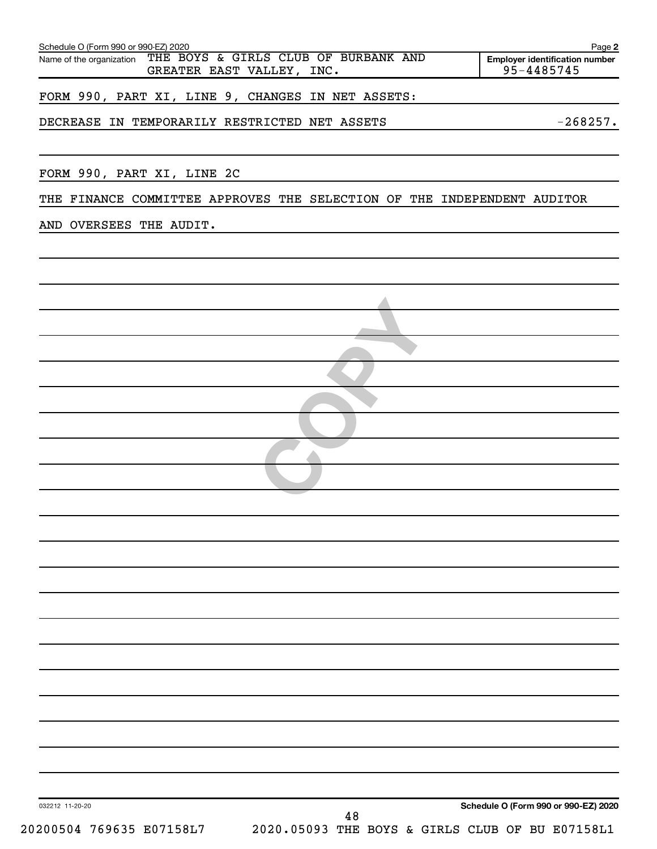| <b>Employer identification number</b><br>95-4485745                     |
|-------------------------------------------------------------------------|
|                                                                         |
|                                                                         |
|                                                                         |
| $-268257.$                                                              |
|                                                                         |
|                                                                         |
| THE FINANCE COMMITTEE APPROVES THE SELECTION OF THE INDEPENDENT AUDITOR |
|                                                                         |
|                                                                         |
|                                                                         |
|                                                                         |
|                                                                         |
|                                                                         |
|                                                                         |
|                                                                         |
|                                                                         |
|                                                                         |
|                                                                         |
|                                                                         |
|                                                                         |
|                                                                         |
|                                                                         |
|                                                                         |
|                                                                         |
|                                                                         |
|                                                                         |
|                                                                         |
|                                                                         |
|                                                                         |
|                                                                         |
|                                                                         |
|                                                                         |
|                                                                         |
|                                                                         |
|                                                                         |
|                                                                         |
|                                                                         |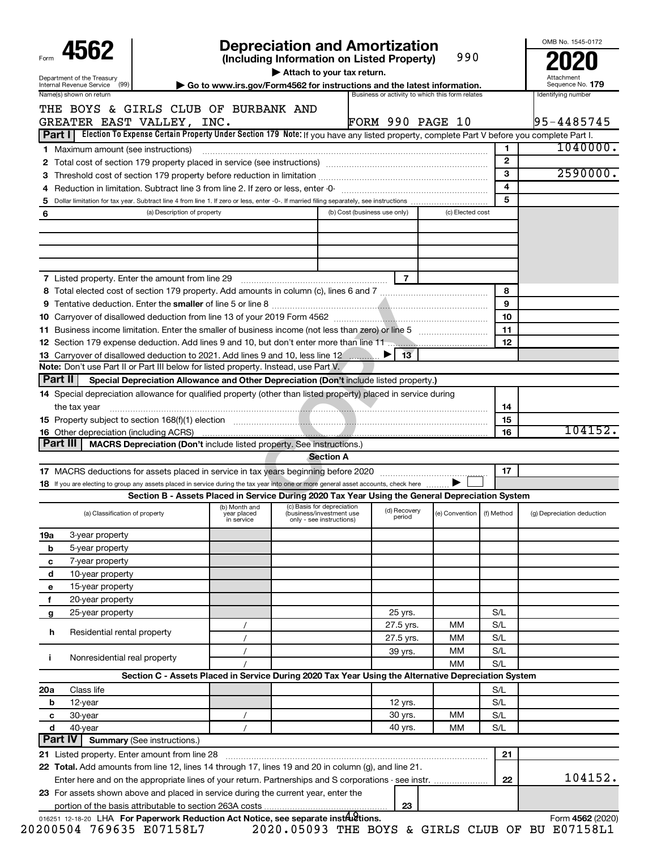| 4562<br>Department of the Treasury                        |                                                                                                                                                                                                                         |                           | Attach to your tax return.                                                                       | <b>Depreciation and Amortization</b><br>(Including Information on Listed Property)              | 990                         |              | OMB No. 1545-0172                |
|-----------------------------------------------------------|-------------------------------------------------------------------------------------------------------------------------------------------------------------------------------------------------------------------------|---------------------------|--------------------------------------------------------------------------------------------------|-------------------------------------------------------------------------------------------------|-----------------------------|--------------|----------------------------------|
| Internal Revenue Service                                  | (99)                                                                                                                                                                                                                    |                           |                                                                                                  | Go to www.irs.gov/Form4562 for instructions and the latest information.                         |                             |              | Sequence No. 179                 |
| Name(s) shown on return                                   | THE BOYS & GIRLS CLUB OF BURBANK AND<br>GREATER EAST VALLEY, INC.<br>Part I   Election To Expense Certain Property Under Section 179 Note: If you have any listed property, complete Part V before you complete Part I. |                           |                                                                                                  | Business or activity to which this form relates<br><b>FORM 990 PAGE 10</b>                      |                             |              | Identifying number<br>95-4485745 |
|                                                           |                                                                                                                                                                                                                         |                           |                                                                                                  |                                                                                                 |                             | 1            | 1040000.                         |
| <b>1</b> Maximum amount (see instructions)                |                                                                                                                                                                                                                         |                           |                                                                                                  |                                                                                                 |                             | $\mathbf{2}$ |                                  |
|                                                           |                                                                                                                                                                                                                         |                           |                                                                                                  |                                                                                                 |                             | 3            | 2590000.                         |
|                                                           |                                                                                                                                                                                                                         |                           |                                                                                                  |                                                                                                 |                             | 4            |                                  |
| 5                                                         |                                                                                                                                                                                                                         |                           |                                                                                                  |                                                                                                 |                             | 5            |                                  |
| 6                                                         | (a) Description of property                                                                                                                                                                                             |                           |                                                                                                  | (b) Cost (business use only)                                                                    | (c) Elected cost            |              |                                  |
|                                                           |                                                                                                                                                                                                                         |                           |                                                                                                  |                                                                                                 |                             |              |                                  |
|                                                           | 7 Listed property. Enter the amount from line 29                                                                                                                                                                        |                           |                                                                                                  | $\overline{7}$                                                                                  |                             |              |                                  |
|                                                           |                                                                                                                                                                                                                         |                           |                                                                                                  |                                                                                                 |                             | 8            |                                  |
|                                                           |                                                                                                                                                                                                                         |                           |                                                                                                  |                                                                                                 |                             | 9            |                                  |
|                                                           |                                                                                                                                                                                                                         |                           |                                                                                                  |                                                                                                 |                             | 10           |                                  |
|                                                           |                                                                                                                                                                                                                         |                           |                                                                                                  |                                                                                                 |                             | 11           |                                  |
|                                                           |                                                                                                                                                                                                                         |                           |                                                                                                  |                                                                                                 |                             | 12           |                                  |
|                                                           | 13 Carryover of disallowed deduction to 2021. Add lines 9 and 10, less line 12                                                                                                                                          |                           |                                                                                                  | 13 <sup>7</sup>                                                                                 |                             |              |                                  |
| Part II                                                   | Note: Don't use Part II or Part III below for listed property. Instead, use Part V.                                                                                                                                     |                           |                                                                                                  |                                                                                                 |                             |              |                                  |
|                                                           | Special Depreciation Allowance and Other Depreciation (Don't include listed property.)                                                                                                                                  |                           |                                                                                                  |                                                                                                 |                             |              |                                  |
|                                                           | 14 Special depreciation allowance for qualified property (other than listed property) placed in service during                                                                                                          |                           |                                                                                                  |                                                                                                 |                             |              |                                  |
| the tax year                                              |                                                                                                                                                                                                                         |                           |                                                                                                  |                                                                                                 |                             | 14           |                                  |
|                                                           |                                                                                                                                                                                                                         |                           |                                                                                                  |                                                                                                 |                             | 15           | 104152.                          |
| <b>16</b> Other depreciation (including ACRS)<br>Part III | MACRS Depreciation (Don't include listed property. See instructions.)                                                                                                                                                   |                           |                                                                                                  |                                                                                                 |                             | 16           |                                  |
|                                                           |                                                                                                                                                                                                                         |                           | <b>Section A</b>                                                                                 |                                                                                                 |                             |              |                                  |
|                                                           |                                                                                                                                                                                                                         |                           |                                                                                                  |                                                                                                 |                             | 17           |                                  |
|                                                           | 18 If you are electing to group any assets placed in service during the tax year into one or more general asset accounts, check here                                                                                    |                           |                                                                                                  |                                                                                                 |                             |              |                                  |
|                                                           |                                                                                                                                                                                                                         |                           |                                                                                                  | Section B - Assets Placed in Service During 2020 Tax Year Using the General Depreciation System |                             |              |                                  |
|                                                           | (a) Classification of property                                                                                                                                                                                          | year placed<br>in service | (b) Month and (c) Basis for depreciation<br>(business/investment use<br>only - see instructions) | (d) Recovery<br>period                                                                          | (e) Convention   (f) Method |              | (g) Depreciation deduction       |
| 3-year property<br>19a                                    |                                                                                                                                                                                                                         |                           |                                                                                                  |                                                                                                 |                             |              |                                  |
| 5-year property<br>b                                      |                                                                                                                                                                                                                         |                           |                                                                                                  |                                                                                                 |                             |              |                                  |
| 7-year property<br>с                                      |                                                                                                                                                                                                                         |                           |                                                                                                  |                                                                                                 |                             |              |                                  |
| 10-year property<br>d                                     |                                                                                                                                                                                                                         |                           |                                                                                                  |                                                                                                 |                             |              |                                  |
| 15-year property<br>е                                     |                                                                                                                                                                                                                         |                           |                                                                                                  |                                                                                                 |                             |              |                                  |
| 20-year property<br>f                                     |                                                                                                                                                                                                                         |                           |                                                                                                  |                                                                                                 |                             |              |                                  |
| 25-year property<br>g                                     |                                                                                                                                                                                                                         |                           |                                                                                                  | 25 yrs.                                                                                         |                             | S/L          |                                  |
| h                                                         | Residential rental property                                                                                                                                                                                             |                           |                                                                                                  | 27.5 yrs.                                                                                       | мм                          | S/L          |                                  |
|                                                           |                                                                                                                                                                                                                         | $\prime$                  |                                                                                                  | 27.5 yrs.                                                                                       | мм                          | S/L          |                                  |
| Î.                                                        | Nonresidential real property                                                                                                                                                                                            |                           |                                                                                                  | 39 yrs.                                                                                         | мм                          | S/L          |                                  |
|                                                           |                                                                                                                                                                                                                         |                           |                                                                                                  |                                                                                                 | ΜМ                          | S/L          |                                  |
|                                                           | Section C - Assets Placed in Service During 2020 Tax Year Using the Alternative Depreciation System                                                                                                                     |                           |                                                                                                  |                                                                                                 |                             |              |                                  |
| Class life<br>20a                                         |                                                                                                                                                                                                                         |                           |                                                                                                  |                                                                                                 |                             | S/L          |                                  |
| 12-year<br>b                                              |                                                                                                                                                                                                                         |                           |                                                                                                  | 12 yrs.                                                                                         |                             | S/L          |                                  |
| 30-year<br>с                                              |                                                                                                                                                                                                                         |                           |                                                                                                  | 30 yrs.                                                                                         | мм                          | S/L          |                                  |
| d<br>40-year                                              |                                                                                                                                                                                                                         | $\prime$                  |                                                                                                  | 40 yrs.                                                                                         | мм                          | S/L          |                                  |
| <b>Part IV</b>                                            | <b>Summary (See instructions.)</b>                                                                                                                                                                                      |                           |                                                                                                  |                                                                                                 |                             |              |                                  |
|                                                           | 21 Listed property. Enter amount from line 28                                                                                                                                                                           |                           |                                                                                                  |                                                                                                 |                             | 21           |                                  |
|                                                           | 22 Total. Add amounts from line 12, lines 14 through 17, lines 19 and 20 in column (g), and line 21.<br>Enter here and on the appropriate lines of your return. Partnerships and S corporations - see instr.            |                           |                                                                                                  |                                                                                                 |                             | 22           | 104152.                          |
|                                                           | 23 For assets shown above and placed in service during the current year, enter the                                                                                                                                      |                           |                                                                                                  | 23                                                                                              |                             |              |                                  |

016251 12-18-20 LHA **For Paperwork Reduction Act Notice, see separate instructions.<br>
<b>4562** (2020) otice, see separate instellations.<br>2020.05093 THE BOYS & GIRLS CLUB OF BU E07158L1